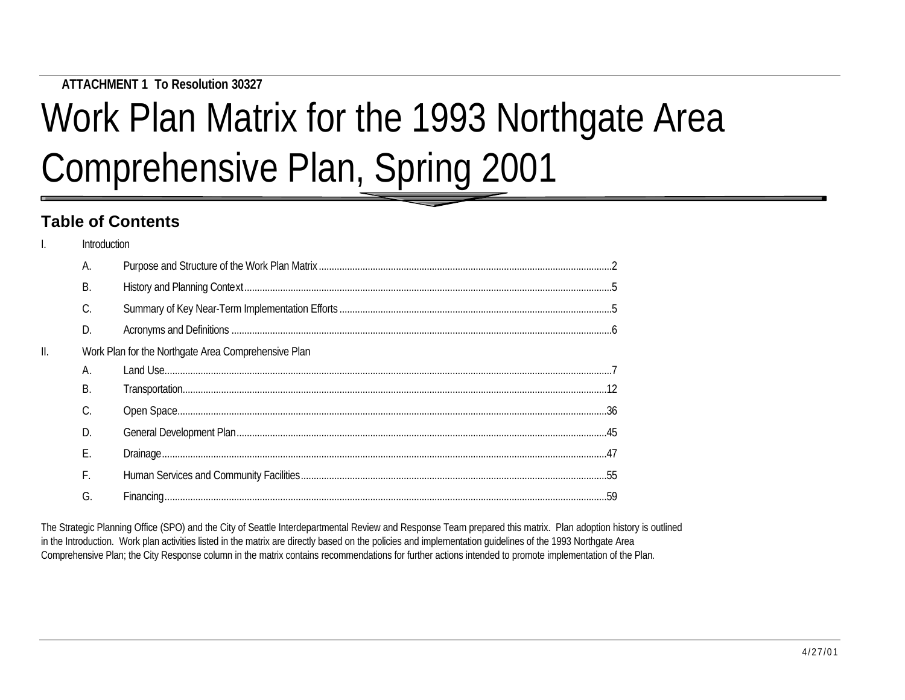**ATTACHMENT 1 To Resolution 30327**

# Work Plan Matrix for the 1993 Northgate Area Comprehensive Plan, Spring 2001

## **Table of Contents**

|     | Introduction |                                                     |  |
|-----|--------------|-----------------------------------------------------|--|
|     | A.           |                                                     |  |
|     | B.           |                                                     |  |
|     | C.           |                                                     |  |
|     | D.           |                                                     |  |
| II. |              | Work Plan for the Northgate Area Comprehensive Plan |  |
|     | А.           |                                                     |  |
|     | B.           |                                                     |  |
|     | C.           |                                                     |  |
|     | D            |                                                     |  |
|     | E.           |                                                     |  |
|     | F.           |                                                     |  |
|     | G.           |                                                     |  |
|     |              |                                                     |  |

The Strategic Planning Office (SPO) and the City of Seattle Interdepartmental Review and Response Team prepared this matrix. Plan adoption history is outlined in the Introduction. Work plan activities listed in the matrix are directly based on the policies and implementation guidelines of the 1993 Northgate Area Comprehensive Plan; the City Response column in the matrix contains recommendations for further actions intended to promote implementation of the Plan.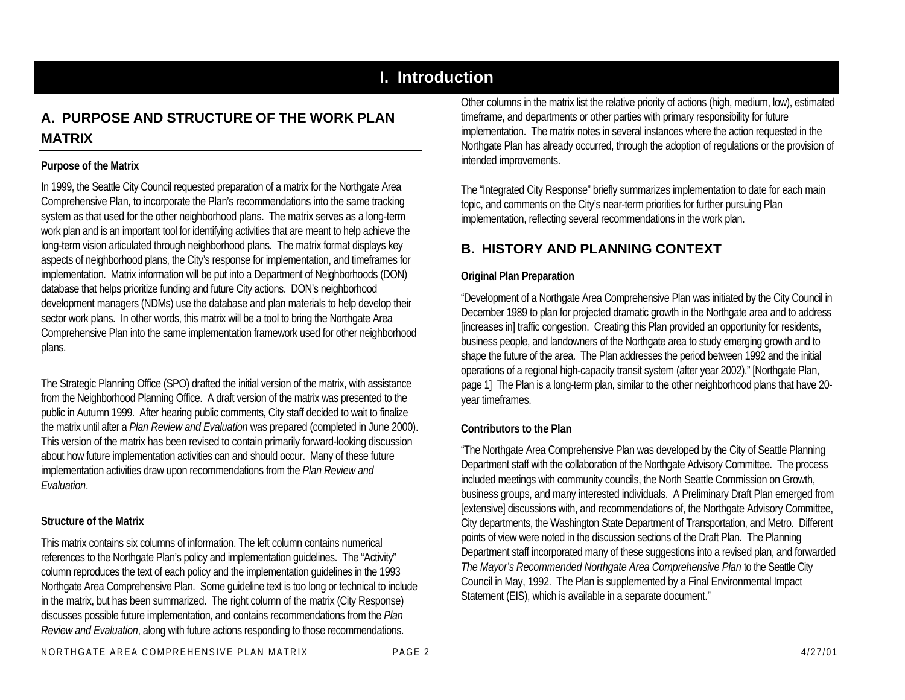## **I. Introduction**

## **A. PURPOSE AND STRUCTURE OF THE WORK PLAN MATRIX**

#### **Purpose of the Matrix**

In 1999, the Seattle City Council requested preparation of a matrix for the Northgate Area Comprehensive Plan, to incorporate the Plan's recommendations into the same tracking system as that used for the other neighborhood plans. The matrix serves as a long-term work plan and is an important tool for identifying activities that are meant to help achieve the long-term vision articulated through neighborhood plans. The matrix format displays key aspects of neighborhood plans, the City's response for implementation, and timeframes for implementation. Matrix information will be put into a Department of Neighborhoods (DON) database that helps prioritize funding and future City actions. DON's neighborhood development managers (NDMs) use the database and plan materials to help develop their sector work plans. In other words, this matrix will be a tool to bring the Northgate Area Comprehensive Plan into the same implementation framework used for other neighborhood plans.

The Strategic Planning Office (SPO) drafted the initial version of the matrix, with assistance from the Neighborhood Planning Office. A draft version of the matrix was presented to the public in Autumn 1999. After hearing public comments, City staff decided to wait to finalize the matrix until after a *Plan Review and Evaluation* was prepared (completed in June 2000). This version of the matrix has been revised to contain primarily forward-looking discussion about how future implementation activities can and should occur. Many of these future implementation activities draw upon recommendations from the *Plan Review and Evaluation*.

#### **Structure of the Matrix**

This matrix contains six columns of information. The left column contains numerical references to the Northgate Plan's policy and implementation guidelines. The "Activity" column reproduces the text of each policy and the implementation guidelines in the 1993 Northgate Area Comprehensive Plan. Some guideline text is too long or technical to include in the matrix, but has been summarized. The right column of the matrix (City Response) discusses possible future implementation, and contains recommendations from the *Plan Review and Evaluation*, along with future actions responding to those recommendations.

Other columns in the matrix list the relative priority of actions (high, medium, low), estimated timeframe, and departments or other parties with primary responsibility for future implementation. The matrix notes in several instances where the action requested in the Northgate Plan has already occurred, through the adoption of regulations or the provision of intended improvements.

The "Integrated City Response" briefly summarizes implementation to date for each main topic, and comments on the City's near-term priorities for further pursuing Plan implementation, reflecting several recommendations in the work plan.

## **B. HISTORY AND PLANNING CONTEXT**

#### **Original Plan Preparation**

"Development of a Northgate Area Comprehensive Plan was initiated by the City Council in December 1989 to plan for projected dramatic growth in the Northgate area and to address [increases in] traffic congestion. Creating this Plan provided an opportunity for residents, business people, and landowners of the Northgate area to study emerging growth and to shape the future of the area. The Plan addresses the period between 1992 and the initial operations of a regional high-capacity transit system (after year 2002)." [Northgate Plan, page 1] The Plan is a long-term plan, similar to the other neighborhood plans that have 20 year timeframes.

#### **Contributors to the Plan**

"The Northgate Area Comprehensive Plan was developed by the City of Seattle Planning Department staff with the collaboration of the Northgate Advisory Committee. The process included meetings with community councils, the North Seattle Commission on Growth, business groups, and many interested individuals. A Preliminary Draft Plan emerged from [extensive] discussions with, and recommendations of, the Northgate Advisory Committee, City departments, the Washington State Department of Transportation, and Metro. Different points of view were noted in the discussion sections of the Draft Plan. The Planning Department staff incorporated many of these suggestions into a revised plan, and forwarded *The Mayor's Recommended Northgate Area Comprehensive Plan* to the Seattle City Council in May, 1992. The Plan is supplemented by a Final Environmental Impact Statement (EIS), which is available in a separate document."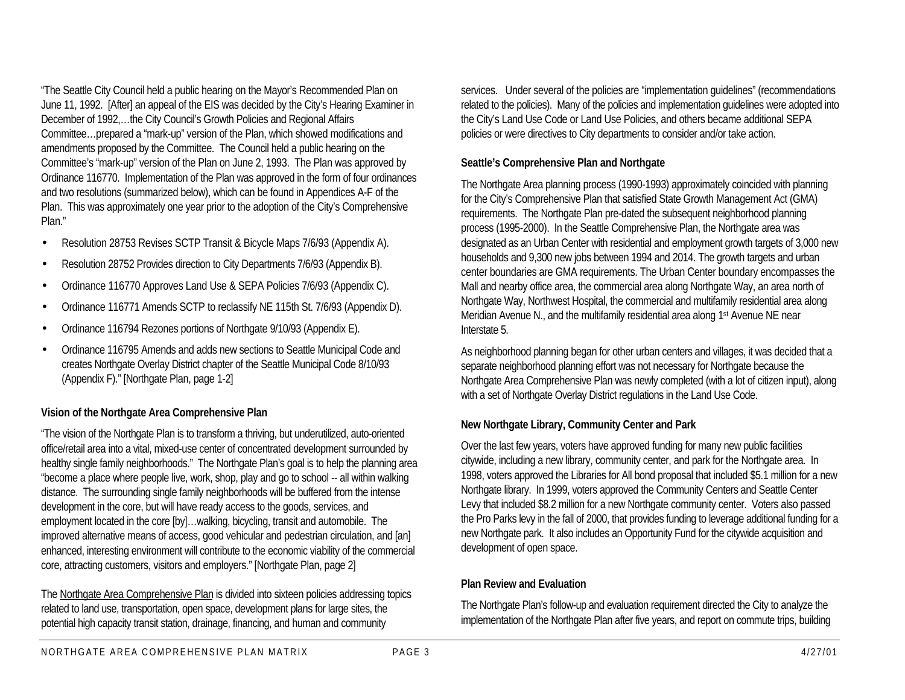"The Seattle City Council held a public hearing on the Mayor's Recommended Plan on June 11, 1992. [After] an appeal of the EIS was decided by the City's Hearing Examiner in December of 1992,…the City Council's Growth Policies and Regional Affairs Committee…prepared a "mark-up" version of the Plan, which showed modifications and amendments proposed by the Committee. The Council held a public hearing on the Committee's "mark-up" version of the Plan on June 2, 1993. The Plan was approved by Ordinance 116770. Implementation of the Plan was approved in the form of four ordinances and two resolutions (summarized below), which can be found in Appendices A-F of the Plan. This was approximately one year prior to the adoption of the City's Comprehensive Plan."

- Resolution 28753 Revises SCTP Transit & Bicycle Maps 7/6/93 (Appendix A).
- Resolution 28752 Provides direction to City Departments 7/6/93 (Appendix B).
- Ordinance 116770 Approves Land Use & SEPA Policies 7/6/93 (Appendix C).
- Ordinance 116771 Amends SCTP to reclassify NE 115th St. 7/6/93 (Appendix D).
- Ordinance 116794 Rezones portions of Northgate 9/10/93 (Appendix E).
- Ordinance 116795 Amends and adds new sections to Seattle Municipal Code and creates Northgate Overlay District chapter of the Seattle Municipal Code 8/10/93 (Appendix F)." [Northgate Plan, page 1-2]

#### **Vision of the Northgate Area Comprehensive Plan**

"The vision of the Northgate Plan is to transform a thriving, but underutilized, auto-oriented office/retail area into a vital, mixed-use center of concentrated development surrounded by healthy single family neighborhoods." The Northgate Plan's goal is to help the planning area "become a place where people live, work, shop, play and go to school -- all within walking distance. The surrounding single family neighborhoods will be buffered from the intense development in the core, but will have ready access to the goods, services, and employment located in the core [by]…walking, bicycling, transit and automobile. The improved alternative means of access, good vehicular and pedestrian circulation, and [an] enhanced, interesting environment will contribute to the economic viability of the commercial core, attracting customers, visitors and employers." [Northgate Plan, page 2]

The Northgate Area Comprehensive Plan is divided into sixteen policies addressing topics related to land use, transportation, open space, development plans for large sites, the potential high capacity transit station, drainage, financing, and human and community

services. Under several of the policies are "implementation guidelines" (recommendations related to the policies). Many of the policies and implementation guidelines were adopted into the City's Land Use Code or Land Use Policies, and others became additional SEPA policies or were directives to City departments to consider and/or take action.

#### **Seattle's Comprehensive Plan and Northgate**

The Northgate Area planning process (1990-1993) approximately coincided with planning for the City's Comprehensive Plan that satisfied State Growth Management Act (GMA) requirements. The Northgate Plan pre-dated the subsequent neighborhood planning process (1995-2000). In the Seattle Comprehensive Plan, the Northgate area was designated as an Urban Center with residential and employment growth targets of 3,000 new households and 9,300 new jobs between 1994 and 2014. The growth targets and urban center boundaries are GMA requirements. The Urban Center boundary encompasses the Mall and nearby office area, the commercial area along Northgate Way, an area north of Northgate Way, Northwest Hospital, the commercial and multifamily residential area along Meridian Avenue N., and the multifamily residential area along 1<sup>st</sup> Avenue NE near Interstate 5.

As neighborhood planning began for other urban centers and villages, it was decided that a separate neighborhood planning effort was not necessary for Northgate because the Northgate Area Comprehensive Plan was newly completed (with a lot of citizen input), along with a set of Northgate Overlay District regulations in the Land Use Code.

#### **New Northgate Library, Community Center and Park**

Over the last few years, voters have approved funding for many new public facilities citywide, including a new library, community center, and park for the Northgate area. In 1998, voters approved the Libraries for All bond proposal that included \$5.1 million for a new Northgate library. In 1999, voters approved the Community Centers and Seattle Center Levy that included \$8.2 million for a new Northgate community center. Voters also passed the Pro Parks levy in the fall of 2000, that provides funding to leverage additional funding for a new Northgate park. It also includes an Opportunity Fund for the citywide acquisition and development of open space.

#### **Plan Review and Evaluation**

The Northgate Plan's follow-up and evaluation requirement directed the City to analyze the implementation of the Northgate Plan after five years, and report on commute trips, building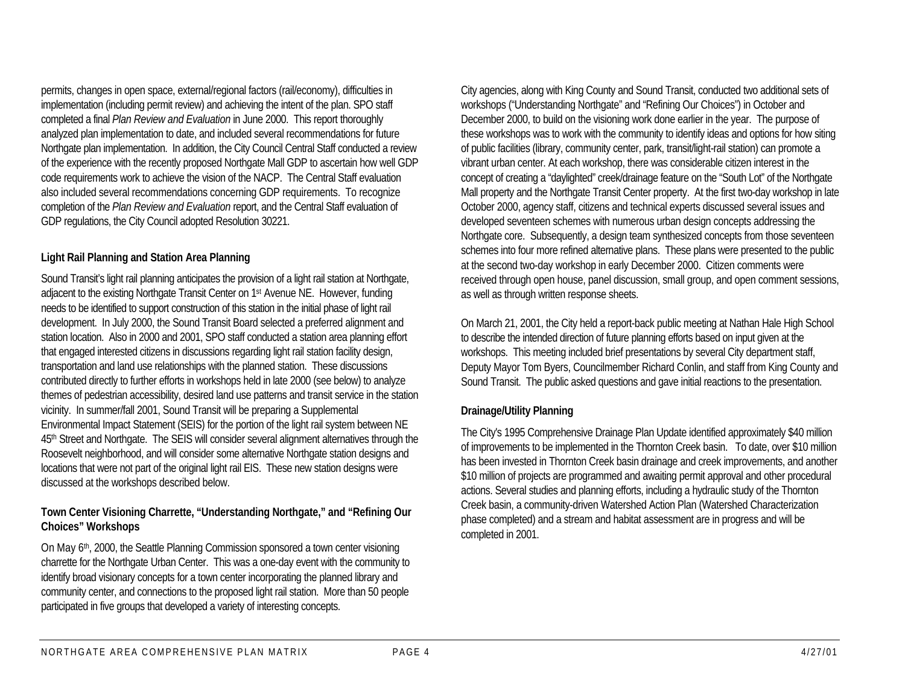permits, changes in open space, external/regional factors (rail/economy), difficulties in implementation (including permit review) and achieving the intent of the plan. SPO staff completed a final *Plan Review and Evaluation* in June 2000. This report thoroughly analyzed plan implementation to date, and included several recommendations for future Northgate plan implementation. In addition, the City Council Central Staff conducted a review of the experience with the recently proposed Northgate Mall GDP to ascertain how well GDP code requirements work to achieve the vision of the NACP. The Central Staff evaluation also included several recommendations concerning GDP requirements. To recognize completion of the *Plan Review and Evaluation* report, and the Central Staff evaluation of GDP regulations, the City Council adopted Resolution 30221.

#### **Light Rail Planning and Station Area Planning**

Sound Transit's light rail planning anticipates the provision of a light rail station at Northgate, adjacent to the existing Northgate Transit Center on 1st Avenue NE. However, funding needs to be identified to support construction of this station in the initial phase of light rail development. In July 2000, the Sound Transit Board selected a preferred alignment and station location. Also in 2000 and 2001, SPO staff conducted a station area planning effort that engaged interested citizens in discussions regarding light rail station facility design, transportation and land use relationships with the planned station. These discussions contributed directly to further efforts in workshops held in late 2000 (see below) to analyze themes of pedestrian accessibility, desired land use patterns and transit service in the station vicinity. In summer/fall 2001, Sound Transit will be preparing a Supplemental Environmental Impact Statement (SEIS) for the portion of the light rail system between NE 45th Street and Northgate. The SEIS will consider several alignment alternatives through the Roosevelt neighborhood, and will consider some alternative Northgate station designs and locations that were not part of the original light rail EIS. These new station designs were discussed at the workshops described below.

#### **Town Center Visioning Charrette, "Understanding Northgate," and "Refining Our Choices" Workshops**

On May 6th, 2000, the Seattle Planning Commission sponsored a town center visioning charrette for the Northgate Urban Center. This was a one-day event with the community to identify broad visionary concepts for a town center incorporating the planned library and community center, and connections to the proposed light rail station. More than 50 people participated in five groups that developed a variety of interesting concepts.

City agencies, along with King County and Sound Transit, conducted two additional sets of workshops ("Understanding Northgate" and "Refining Our Choices") in October and December 2000, to build on the visioning work done earlier in the year. The purpose of these workshops was to work with the community to identify ideas and options for how siting of public facilities (library, community center, park, transit/light-rail station) can promote a vibrant urban center. At each workshop, there was considerable citizen interest in the concept of creating a "daylighted" creek/drainage feature on the "South Lot" of the Northgate Mall property and the Northgate Transit Center property. At the first two-day workshop in late October 2000, agency staff, citizens and technical experts discussed several issues and developed seventeen schemes with numerous urban design concepts addressing the Northgate core. Subsequently, a design team synthesized concepts from those seventeen schemes into four more refined alternative plans. These plans were presented to the public at the second two-day workshop in early December 2000. Citizen comments were received through open house, panel discussion, small group, and open comment sessions, as well as through written response sheets.

On March 21, 2001, the City held a report-back public meeting at Nathan Hale High School to describe the intended direction of future planning efforts based on input given at the workshops. This meeting included brief presentations by several City department staff, Deputy Mayor Tom Byers, Councilmember Richard Conlin, and staff from King County and Sound Transit. The public asked questions and gave initial reactions to the presentation.

#### **Drainage/Utility Planning**

The City's 1995 Comprehensive Drainage Plan Update identified approximately \$40 million of improvements to be implemented in the Thornton Creek basin. To date, over \$10 million has been invested in Thornton Creek basin drainage and creek improvements, and another \$10 million of projects are programmed and awaiting permit approval and other procedural actions. Several studies and planning efforts, including a hydraulic study of the Thornton Creek basin, a community-driven Watershed Action Plan (Watershed Characterization phase completed) and a stream and habitat assessment are in progress and will be completed in 2001.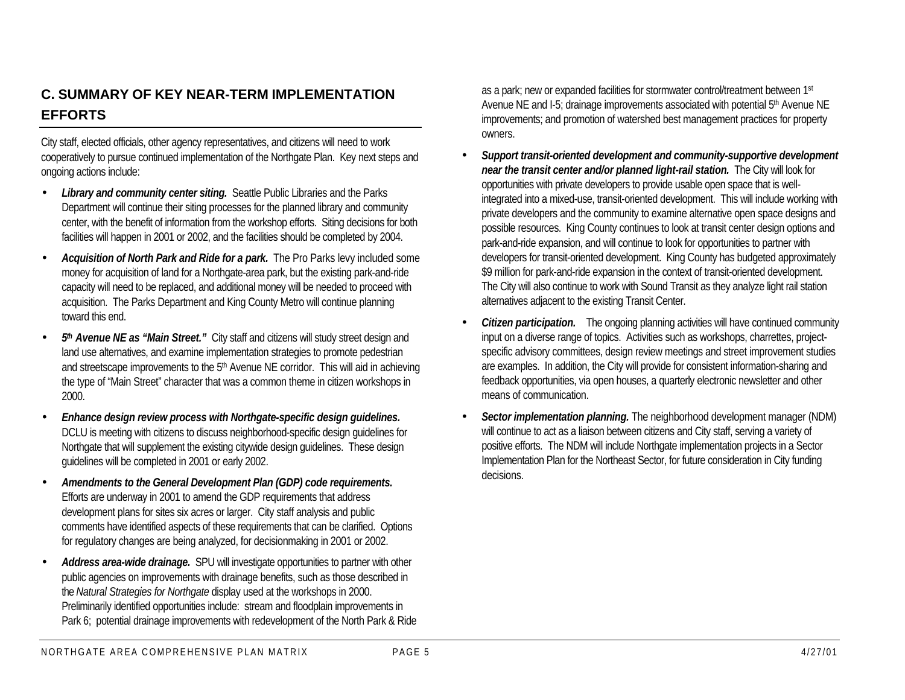## **C. SUMMARY OF KEY NEAR-TERM IMPLEMENTATION EFFORTS**

City staff, elected officials, other agency representatives, and citizens will need to work cooperatively to pursue continued implementation of the Northgate Plan. Key next steps and ongoing actions include:

- Library and community center siting. Seattle Public Libraries and the Parks Department will continue their siting processes for the planned library and community center, with the benefit of information from the workshop efforts. Siting decisions for both facilities will happen in 2001 or 2002, and the facilities should be completed by 2004.
- *Acquisition of North Park and Ride for a park.* The Pro Parks levy included some money for acquisition of land for a Northgate-area park, but the existing park-and-ride capacity will need to be replaced, and additional money will be needed to proceed with acquisition. The Parks Department and King County Metro will continue planning toward this end.
- 5<sup>th</sup> Avenue NE as "Main Street." City staff and citizens will study street design and land use alternatives, and examine implementation strategies to promote pedestrian and streetscape improvements to the 5<sup>th</sup> Avenue NE corridor. This will aid in achieving the type of "Main Street" character that was a common theme in citizen workshops in 2000.
- *Enhance design review process with Northgate-specific design guidelines.* DCLU is meeting with citizens to discuss neighborhood-specific design guidelines for Northgate that will supplement the existing citywide design guidelines. These design guidelines will be completed in 2001 or early 2002.
- *Amendments to the General Development Plan (GDP) code requirements.* Efforts are underway in 2001 to amend the GDP requirements that address development plans for sites six acres or larger. City staff analysis and public comments have identified aspects of these requirements that can be clarified. Options for regulatory changes are being analyzed, for decisionmaking in 2001 or 2002.
- *Address area-wide drainage.* SPU will investigate opportunities to partner with other public agencies on improvements with drainage benefits, such as those described in the *Natural Strategies for Northgate* display used at the workshops in 2000. Preliminarily identified opportunities include: stream and floodplain improvements in Park 6; potential drainage improvements with redevelopment of the North Park & Ride

as a park; new or expanded facilities for stormwater control/treatment between 1st Avenue NE and I-5; drainage improvements associated with potential 5<sup>th</sup> Avenue NE improvements; and promotion of watershed best management practices for property owners.

- *Support transit-oriented development and community-supportive development near the transit center and/or planned light-rail station.* The City will look for opportunities with private developers to provide usable open space that is wellintegrated into a mixed-use, transit-oriented development. This will include working with private developers and the community to examine alternative open space designs and possible resources. King County continues to look at transit center design options and park-and-ride expansion, and will continue to look for opportunities to partner with developers for transit-oriented development. King County has budgeted approximately \$9 million for park-and-ride expansion in the context of transit-oriented development. The City will also continue to work with Sound Transit as they analyze light rail station alternatives adjacent to the existing Transit Center.
- *Citizen participation.* The ongoing planning activities will have continued community input on a diverse range of topics. Activities such as workshops, charrettes, projectspecific advisory committees, design review meetings and street improvement studies are examples. In addition, the City will provide for consistent information-sharing and feedback opportunities, via open houses, a quarterly electronic newsletter and other means of communication.
- *Sector implementation planning.* The neighborhood development manager (NDM) will continue to act as a liaison between citizens and City staff, serving a variety of positive efforts. The NDM will include Northgate implementation projects in a Sector Implementation Plan for the Northeast Sector, for future consideration in City funding decisions.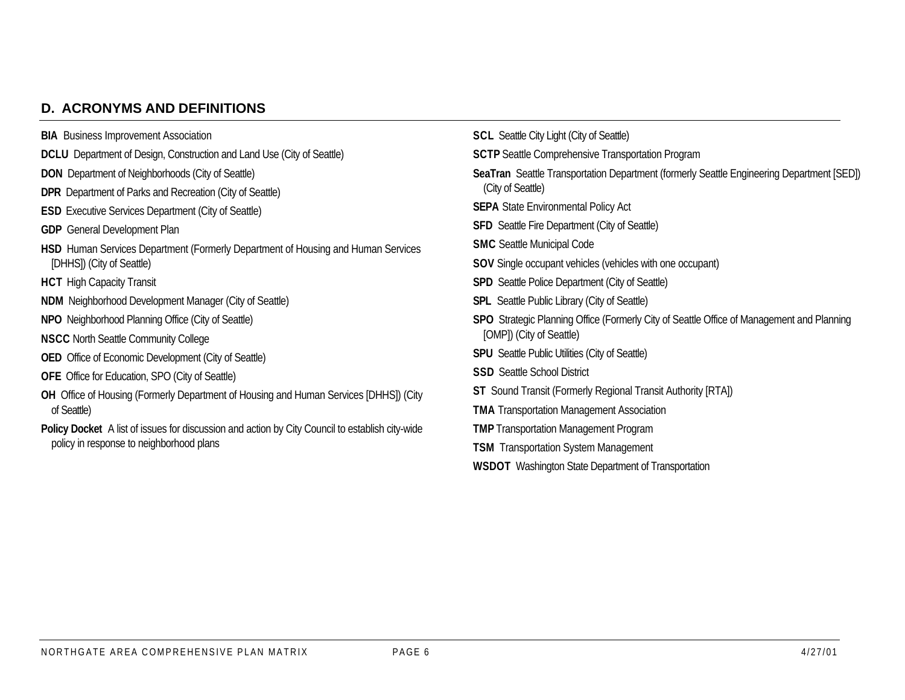## **D. ACRONYMS AND DEFINITIONS**

| <b>BIA</b> Business Improvement Association                                                     | <b>SCL</b> Seattle City Light (City of Seattle)                                                  |  |  |  |  |
|-------------------------------------------------------------------------------------------------|--------------------------------------------------------------------------------------------------|--|--|--|--|
| <b>DCLU</b> Department of Design, Construction and Land Use (City of Seattle)                   | <b>SCTP</b> Seattle Comprehensive Transportation Program                                         |  |  |  |  |
| <b>DON</b> Department of Neighborhoods (City of Seattle)                                        | SeaTran Seattle Transportation Department (formerly Seattle Engineering Department [SED])        |  |  |  |  |
| <b>DPR</b> Department of Parks and Recreation (City of Seattle)                                 | (City of Seattle)                                                                                |  |  |  |  |
| <b>ESD</b> Executive Services Department (City of Seattle)                                      | <b>SEPA</b> State Environmental Policy Act                                                       |  |  |  |  |
| <b>GDP</b> General Development Plan                                                             | <b>SFD</b> Seattle Fire Department (City of Seattle)                                             |  |  |  |  |
| HSD Human Services Department (Formerly Department of Housing and Human Services                | <b>SMC</b> Seattle Municipal Code                                                                |  |  |  |  |
| [DHHS]) (City of Seattle)                                                                       | <b>SOV</b> Single occupant vehicles (vehicles with one occupant)                                 |  |  |  |  |
| <b>HCT</b> High Capacity Transit                                                                | <b>SPD</b> Seattle Police Department (City of Seattle)                                           |  |  |  |  |
| <b>NDM</b> Neighborhood Development Manager (City of Seattle)                                   | <b>SPL</b> Seattle Public Library (City of Seattle)                                              |  |  |  |  |
| <b>NPO</b> Neighborhood Planning Office (City of Seattle)                                       | <b>SPO</b> Strategic Planning Office (Formerly City of Seattle Office of Management and Planning |  |  |  |  |
| <b>NSCC North Seattle Community College</b>                                                     | [OMP]) (City of Seattle)                                                                         |  |  |  |  |
| <b>OED</b> Office of Economic Development (City of Seattle)                                     | <b>SPU</b> Seattle Public Utilities (City of Seattle)                                            |  |  |  |  |
| <b>OFE</b> Office for Education, SPO (City of Seattle)                                          | <b>SSD</b> Seattle School District                                                               |  |  |  |  |
| OH Office of Housing (Formerly Department of Housing and Human Services [DHHS]) (City           | <b>ST</b> Sound Transit (Formerly Regional Transit Authority [RTA])                              |  |  |  |  |
| of Seattle)                                                                                     | <b>TMA</b> Transportation Management Association                                                 |  |  |  |  |
| Policy Docket A list of issues for discussion and action by City Council to establish city-wide | <b>TMP</b> Transportation Management Program                                                     |  |  |  |  |
| policy in response to neighborhood plans                                                        | <b>TSM</b> Transportation System Management                                                      |  |  |  |  |
|                                                                                                 | <b>WSDOT</b> Washington State Department of Transportation                                       |  |  |  |  |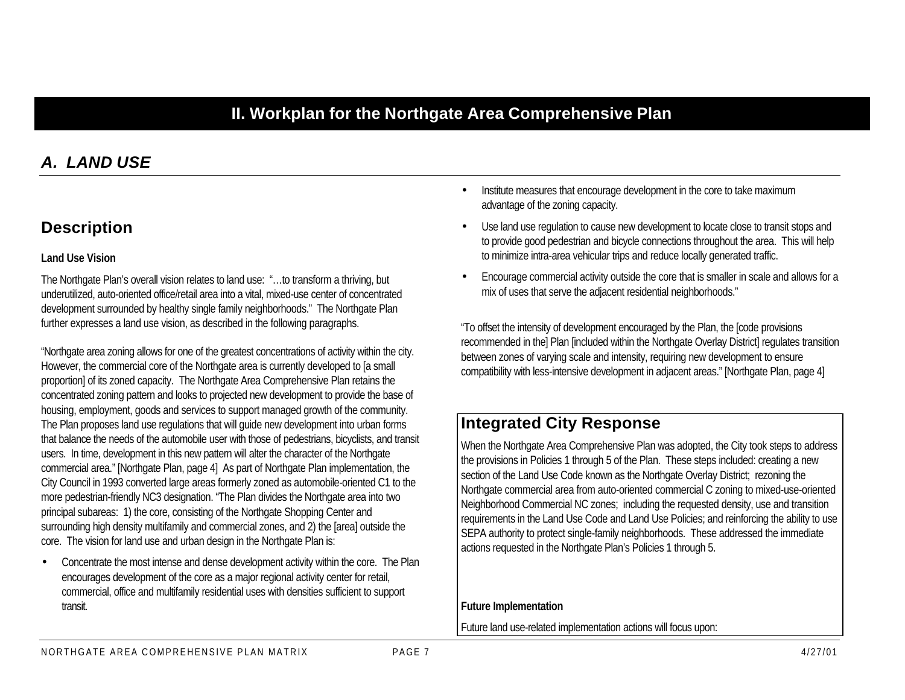## **II. Workplan for the Northgate Area Comprehensive Plan**

## *A. LAND USE*

## **Description**

#### **Land Use Vision**

The Northgate Plan's overall vision relates to land use: "…to transform a thriving, but underutilized, auto-oriented office/retail area into a vital, mixed-use center of concentrated development surrounded by healthy single family neighborhoods." The Northgate Plan further expresses a land use vision, as described in the following paragraphs.

"Northgate area zoning allows for one of the greatest concentrations of activity within the city. However, the commercial core of the Northgate area is currently developed to [a small proportion] of its zoned capacity. The Northgate Area Comprehensive Plan retains the concentrated zoning pattern and looks to projected new development to provide the base of housing, employment, goods and services to support managed growth of the community. The Plan proposes land use regulations that will guide new development into urban forms that balance the needs of the automobile user with those of pedestrians, bicyclists, and transit users. In time, development in this new pattern will alter the character of the Northgate commercial area." [Northgate Plan, page 4] As part of Northgate Plan implementation, the City Council in 1993 converted large areas formerly zoned as automobile-oriented C1 to the more pedestrian-friendly NC3 designation. "The Plan divides the Northgate area into two principal subareas: 1) the core, consisting of the Northgate Shopping Center and surrounding high density multifamily and commercial zones, and 2) the [area] outside the core. The vision for land use and urban design in the Northgate Plan is:

• Concentrate the most intense and dense development activity within the core. The Plan encourages development of the core as a major regional activity center for retail, commercial, office and multifamily residential uses with densities sufficient to support transit.

- Institute measures that encourage development in the core to take maximum advantage of the zoning capacity.
- Use land use regulation to cause new development to locate close to transit stops and to provide good pedestrian and bicycle connections throughout the area. This will help to minimize intra-area vehicular trips and reduce locally generated traffic.
- Encourage commercial activity outside the core that is smaller in scale and allows for a mix of uses that serve the adjacent residential neighborhoods."

"To offset the intensity of development encouraged by the Plan, the [code provisions recommended in the] Plan [included within the Northgate Overlay District] regulates transition between zones of varying scale and intensity, requiring new development to ensure compatibility with less-intensive development in adjacent areas." [Northgate Plan, page 4]

## **Integrated City Response**

When the Northgate Area Comprehensive Plan was adopted, the City took steps to address the provisions in Policies 1 through 5 of the Plan. These steps included: creating a new section of the Land Use Code known as the Northgate Overlay District; rezoning the Northgate commercial area from auto-oriented commercial C zoning to mixed-use-oriented Neighborhood Commercial NC zones; including the requested density, use and transition requirements in the Land Use Code and Land Use Policies; and reinforcing the ability to use SEPA authority to protect single-family neighborhoods. These addressed the immediate actions requested in the Northgate Plan's Policies 1 through 5.

#### **Future Implementation**

Future land use-related implementation actions will focus upon: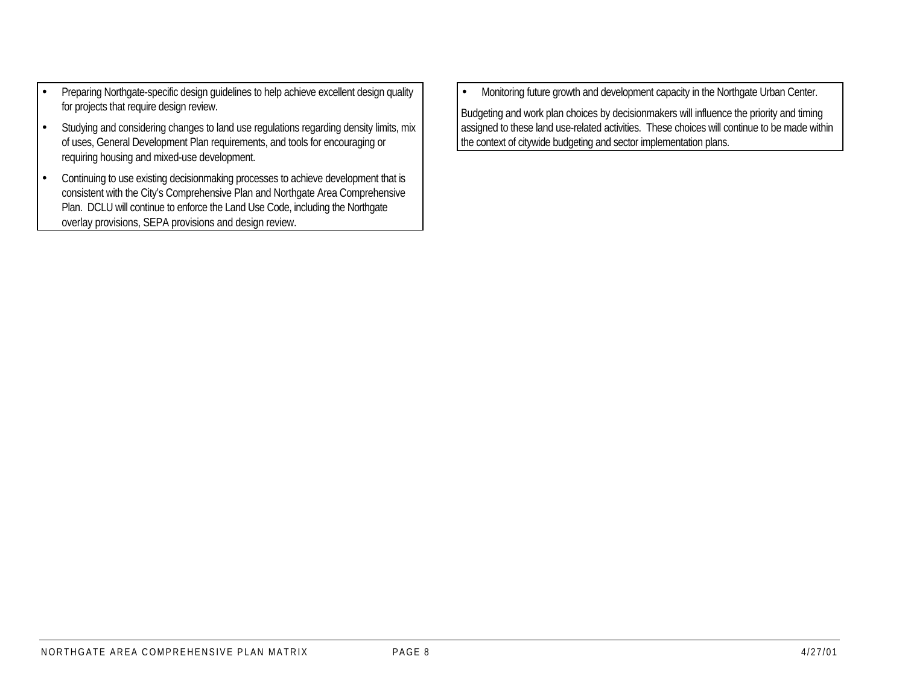- Preparing Northgate-specific design guidelines to help achieve excellent design quality for projects that require design review.
- Studying and considering changes to land use regulations regarding density limits, mix of uses, General Development Plan requirements, and tools for encouraging or requiring housing and mixed-use development.
- Continuing to use existing decisionmaking processes to achieve development that is consistent with the City's Comprehensive Plan and Northgate Area Comprehensive Plan. DCLU will continue to enforce the Land Use Code, including the Northgate overlay provisions, SEPA provisions and design review.

• Monitoring future growth and development capacity in the Northgate Urban Center.

Budgeting and work plan choices by decisionmakers will influence the priority and timing assigned to these land use-related activities. These choices will continue to be made within the context of citywide budgeting and sector implementation plans.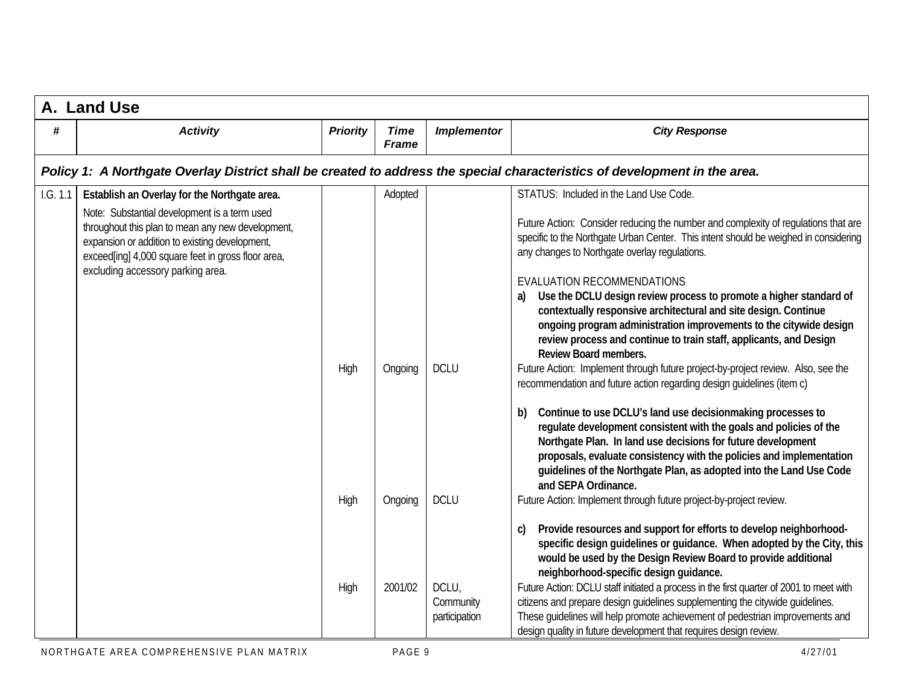|          | A. Land Use                                                                                                                                                                                                                                                                                    |                 |                               |                                     |                                                                                                                                                                                                                                                                                                                                                                                                                                                                                                                                                                                                                                                                                                                                                                                                                                                                                                                                                                                                                                                                                                                                                                                                                                                                                                                                                                                                                                                                                                               |
|----------|------------------------------------------------------------------------------------------------------------------------------------------------------------------------------------------------------------------------------------------------------------------------------------------------|-----------------|-------------------------------|-------------------------------------|---------------------------------------------------------------------------------------------------------------------------------------------------------------------------------------------------------------------------------------------------------------------------------------------------------------------------------------------------------------------------------------------------------------------------------------------------------------------------------------------------------------------------------------------------------------------------------------------------------------------------------------------------------------------------------------------------------------------------------------------------------------------------------------------------------------------------------------------------------------------------------------------------------------------------------------------------------------------------------------------------------------------------------------------------------------------------------------------------------------------------------------------------------------------------------------------------------------------------------------------------------------------------------------------------------------------------------------------------------------------------------------------------------------------------------------------------------------------------------------------------------------|
| #        | <b>Activity</b>                                                                                                                                                                                                                                                                                | <b>Priority</b> | <b>Time</b><br><b>Frame</b>   | <b>Implementor</b>                  | <b>City Response</b>                                                                                                                                                                                                                                                                                                                                                                                                                                                                                                                                                                                                                                                                                                                                                                                                                                                                                                                                                                                                                                                                                                                                                                                                                                                                                                                                                                                                                                                                                          |
|          |                                                                                                                                                                                                                                                                                                |                 |                               |                                     | Policy 1: A Northgate Overlay District shall be created to address the special characteristics of development in the area.                                                                                                                                                                                                                                                                                                                                                                                                                                                                                                                                                                                                                                                                                                                                                                                                                                                                                                                                                                                                                                                                                                                                                                                                                                                                                                                                                                                    |
| 1.G. 1.1 | Establish an Overlay for the Northgate area.<br>Note: Substantial development is a term used<br>throughout this plan to mean any new development,<br>expansion or addition to existing development,<br>exceed[ing] 4,000 square feet in gross floor area,<br>excluding accessory parking area. | High<br>High    | Adopted<br>Ongoing<br>Ongoing | <b>DCLU</b><br><b>DCLU</b>          | STATUS: Included in the Land Use Code.<br>Future Action: Consider reducing the number and complexity of regulations that are<br>specific to the Northgate Urban Center. This intent should be weighed in considering<br>any changes to Northgate overlay regulations.<br>EVALUATION RECOMMENDATIONS<br>Use the DCLU design review process to promote a higher standard of<br>a)<br>contextually responsive architectural and site design. Continue<br>ongoing program administration improvements to the citywide design<br>review process and continue to train staff, applicants, and Design<br>Review Board members.<br>Future Action: Implement through future project-by-project review. Also, see the<br>recommendation and future action regarding design quidelines (item c)<br>Continue to use DCLU's land use decisionmaking processes to<br>b)<br>regulate development consistent with the goals and policies of the<br>Northgate Plan. In land use decisions for future development<br>proposals, evaluate consistency with the policies and implementation<br>guidelines of the Northgate Plan, as adopted into the Land Use Code<br>and SEPA Ordinance.<br>Future Action: Implement through future project-by-project review.<br>Provide resources and support for efforts to develop neighborhood-<br>c)<br>specific design guidelines or guidance. When adopted by the City, this<br>would be used by the Design Review Board to provide additional<br>neighborhood-specific design guidance. |
|          |                                                                                                                                                                                                                                                                                                | High            | 2001/02                       | DCLU,<br>Community<br>participation | Future Action: DCLU staff initiated a process in the first quarter of 2001 to meet with<br>citizens and prepare design guidelines supplementing the citywide guidelines.<br>These guidelines will help promote achievement of pedestrian improvements and<br>design quality in future development that requires design review.                                                                                                                                                                                                                                                                                                                                                                                                                                                                                                                                                                                                                                                                                                                                                                                                                                                                                                                                                                                                                                                                                                                                                                                |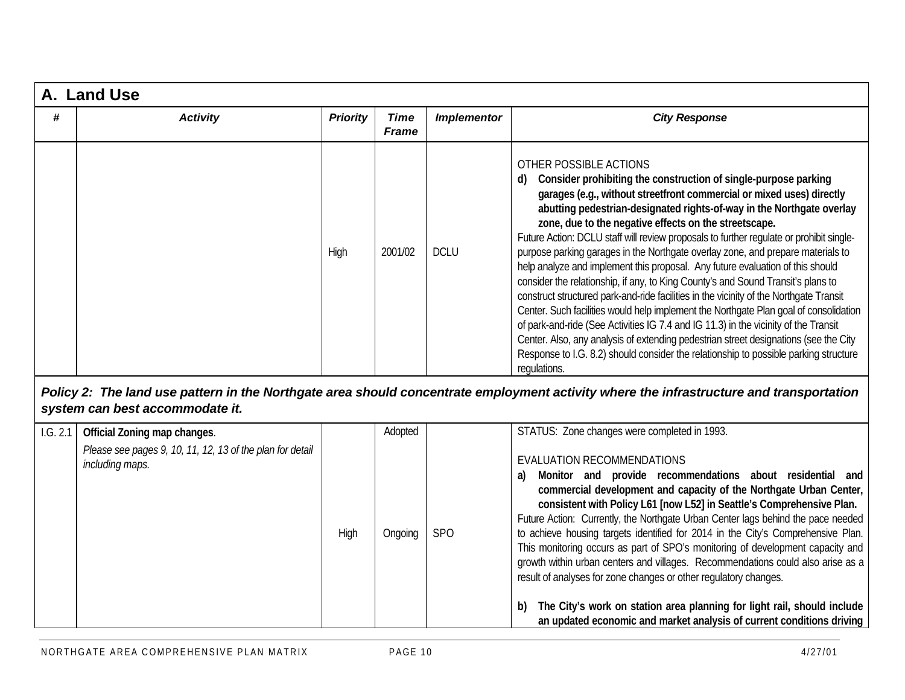| A. Land Use |                 |                 |                      |                    |                                                                                                                                                                                                                                                                                                                                                                                                                                                                                                                                                                                                                                                                                                                                                                                                                                                                                                                                                                                                                                                                                                                                          |  |  |
|-------------|-----------------|-----------------|----------------------|--------------------|------------------------------------------------------------------------------------------------------------------------------------------------------------------------------------------------------------------------------------------------------------------------------------------------------------------------------------------------------------------------------------------------------------------------------------------------------------------------------------------------------------------------------------------------------------------------------------------------------------------------------------------------------------------------------------------------------------------------------------------------------------------------------------------------------------------------------------------------------------------------------------------------------------------------------------------------------------------------------------------------------------------------------------------------------------------------------------------------------------------------------------------|--|--|
| #           | <b>Activity</b> | <b>Priority</b> | Time<br><b>Frame</b> | <b>Implementor</b> | <b>City Response</b>                                                                                                                                                                                                                                                                                                                                                                                                                                                                                                                                                                                                                                                                                                                                                                                                                                                                                                                                                                                                                                                                                                                     |  |  |
|             |                 | High            | 2001/02              | <b>DCLU</b>        | OTHER POSSIBLE ACTIONS<br>Consider prohibiting the construction of single-purpose parking<br>d)<br>garages (e.g., without streetfront commercial or mixed uses) directly<br>abutting pedestrian-designated rights-of-way in the Northgate overlay<br>zone, due to the negative effects on the streetscape.<br>Future Action: DCLU staff will review proposals to further regulate or prohibit single-<br>purpose parking garages in the Northgate overlay zone, and prepare materials to<br>help analyze and implement this proposal. Any future evaluation of this should<br>consider the relationship, if any, to King County's and Sound Transit's plans to<br>construct structured park-and-ride facilities in the vicinity of the Northqate Transit<br>Center. Such facilities would help implement the Northgate Plan goal of consolidation<br>of park-and-ride (See Activities IG 7.4 and IG 11.3) in the vicinity of the Transit<br>Center. Also, any analysis of extending pedestrian street designations (see the City<br>Response to I.G. 8.2) should consider the relationship to possible parking structure<br>regulations. |  |  |

#### *Policy 2: The land use pattern in the Northgate area should concentrate employment activity where the infrastructure and transportation system can best accommodate it.*

| 1.G. 2.1 | Official Zoning map changes.                                                 |      | Adopted |            | STATUS: Zone changes were completed in 1993.                                                                                                                                                                                                                                                                                                                                                                                                                                                                                                                                                                                                                                                                                                                                                                            |
|----------|------------------------------------------------------------------------------|------|---------|------------|-------------------------------------------------------------------------------------------------------------------------------------------------------------------------------------------------------------------------------------------------------------------------------------------------------------------------------------------------------------------------------------------------------------------------------------------------------------------------------------------------------------------------------------------------------------------------------------------------------------------------------------------------------------------------------------------------------------------------------------------------------------------------------------------------------------------------|
|          | Please see pages 9, 10, 11, 12, 13 of the plan for detail<br>including maps. | High | Ongoing | <b>SPO</b> | EVALUATION RECOMMENDATIONS<br>Monitor and provide recommendations about residential and<br>a)<br>commercial development and capacity of the Northgate Urban Center,<br>consistent with Policy L61 [now L52] in Seattle's Comprehensive Plan.<br>Future Action: Currently, the Northgate Urban Center lags behind the pace needed<br>to achieve housing targets identified for 2014 in the City's Comprehensive Plan.<br>This monitoring occurs as part of SPO's monitoring of development capacity and<br>growth within urban centers and villages. Recommendations could also arise as a<br>result of analyses for zone changes or other regulatory changes.<br>The City's work on station area planning for light rail, should include<br>b)<br>an updated economic and market analysis of current conditions driving |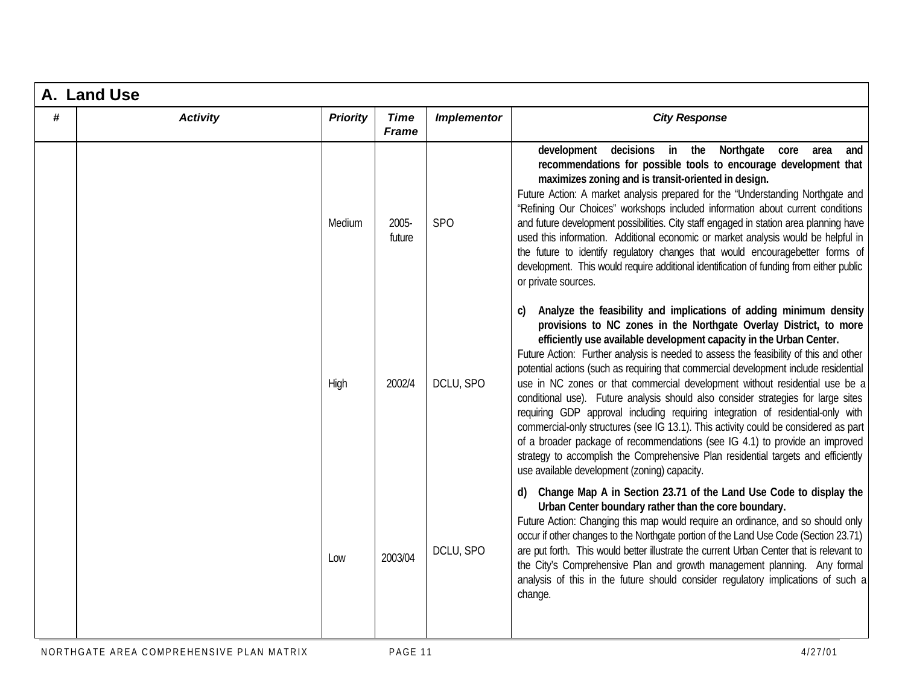|   | A. Land Use     |                 |                             |                    |                                                                                                                                                                                                                                                                                                                                                                                                                                                                                                                                                                                                                                                                                                                                                                                                                                                                                                                                                                   |
|---|-----------------|-----------------|-----------------------------|--------------------|-------------------------------------------------------------------------------------------------------------------------------------------------------------------------------------------------------------------------------------------------------------------------------------------------------------------------------------------------------------------------------------------------------------------------------------------------------------------------------------------------------------------------------------------------------------------------------------------------------------------------------------------------------------------------------------------------------------------------------------------------------------------------------------------------------------------------------------------------------------------------------------------------------------------------------------------------------------------|
| # | <b>Activity</b> | <b>Priority</b> | <b>Time</b><br><b>Frame</b> | <b>Implementor</b> | <b>City Response</b>                                                                                                                                                                                                                                                                                                                                                                                                                                                                                                                                                                                                                                                                                                                                                                                                                                                                                                                                              |
|   |                 | Medium          | 2005-<br>future             | <b>SPO</b>         | development decisions in the Northgate core area<br>and<br>recommendations for possible tools to encourage development that<br>maximizes zoning and is transit-oriented in design.<br>Future Action: A market analysis prepared for the "Understanding Northgate and<br>"Refining Our Choices" workshops included information about current conditions<br>and future development possibilities. City staff engaged in station area planning have<br>used this information. Additional economic or market analysis would be helpful in<br>the future to identify regulatory changes that would encouragebetter forms of<br>development. This would require additional identification of funding from either public<br>or private sources.                                                                                                                                                                                                                          |
|   |                 | High            | 2002/4                      | DCLU, SPO          | Analyze the feasibility and implications of adding minimum density<br>provisions to NC zones in the Northgate Overlay District, to more<br>efficiently use available development capacity in the Urban Center.<br>Future Action: Further analysis is needed to assess the feasibility of this and other<br>potential actions (such as requiring that commercial development include residential<br>use in NC zones or that commercial development without residential use be a<br>conditional use). Future analysis should also consider strategies for large sites<br>requiring GDP approval including requiring integration of residential-only with<br>commercial-only structures (see IG 13.1). This activity could be considered as part<br>of a broader package of recommendations (see IG 4.1) to provide an improved<br>strategy to accomplish the Comprehensive Plan residential targets and efficiently<br>use available development (zoning) capacity. |
|   |                 | Low             | 2003/04                     | DCLU, SPO          | Change Map A in Section 23.71 of the Land Use Code to display the<br>d)<br>Urban Center boundary rather than the core boundary.<br>Future Action: Changing this map would require an ordinance, and so should only<br>occur if other changes to the Northgate portion of the Land Use Code (Section 23.71)<br>are put forth. This would better illustrate the current Urban Center that is relevant to<br>the City's Comprehensive Plan and growth management planning. Any formal<br>analysis of this in the future should consider regulatory implications of such a<br>change.                                                                                                                                                                                                                                                                                                                                                                                 |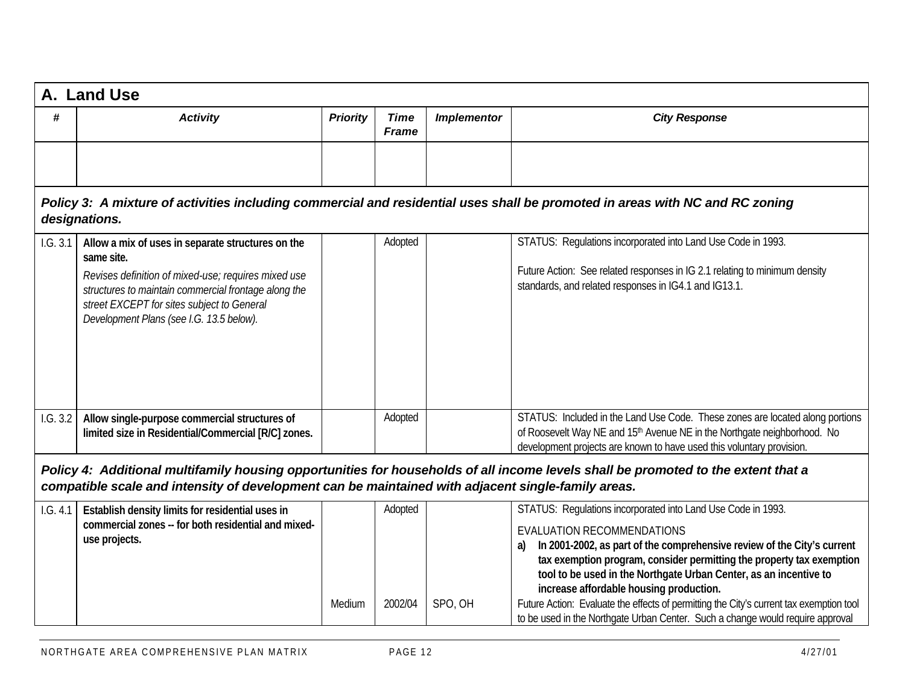|                                                                                                                                                                                                                                         | A. Land Use                                                                                                                                                                                                         |                 |                             |                    |                                                                                                                                                                                                                                                                                                                                                                                                 |  |  |  |  |
|-----------------------------------------------------------------------------------------------------------------------------------------------------------------------------------------------------------------------------------------|---------------------------------------------------------------------------------------------------------------------------------------------------------------------------------------------------------------------|-----------------|-----------------------------|--------------------|-------------------------------------------------------------------------------------------------------------------------------------------------------------------------------------------------------------------------------------------------------------------------------------------------------------------------------------------------------------------------------------------------|--|--|--|--|
| #                                                                                                                                                                                                                                       | <b>Activity</b>                                                                                                                                                                                                     | <b>Priority</b> | <b>Time</b><br><b>Frame</b> | <b>Implementor</b> | <b>City Response</b>                                                                                                                                                                                                                                                                                                                                                                            |  |  |  |  |
|                                                                                                                                                                                                                                         |                                                                                                                                                                                                                     |                 |                             |                    |                                                                                                                                                                                                                                                                                                                                                                                                 |  |  |  |  |
|                                                                                                                                                                                                                                         | designations.                                                                                                                                                                                                       |                 |                             |                    | Policy 3: A mixture of activities including commercial and residential uses shall be promoted in areas with NC and RC zoning                                                                                                                                                                                                                                                                    |  |  |  |  |
| 1.G. 3.1                                                                                                                                                                                                                                | Allow a mix of uses in separate structures on the                                                                                                                                                                   |                 | Adopted                     |                    | STATUS: Regulations incorporated into Land Use Code in 1993.                                                                                                                                                                                                                                                                                                                                    |  |  |  |  |
|                                                                                                                                                                                                                                         | same site.<br>Revises definition of mixed-use; requires mixed use<br>structures to maintain commercial frontage along the<br>street EXCEPT for sites subject to General<br>Development Plans (see I.G. 13.5 below). |                 |                             |                    | Future Action: See related responses in IG 2.1 relating to minimum density<br>standards, and related responses in IG4.1 and IG13.1.                                                                                                                                                                                                                                                             |  |  |  |  |
| 1.G. 3.2                                                                                                                                                                                                                                | Allow single-purpose commercial structures of                                                                                                                                                                       |                 | Adopted                     |                    | STATUS: Included in the Land Use Code. These zones are located along portions                                                                                                                                                                                                                                                                                                                   |  |  |  |  |
|                                                                                                                                                                                                                                         | limited size in Residential/Commercial [R/C] zones.                                                                                                                                                                 |                 |                             |                    | of Roosevelt Way NE and 15 <sup>th</sup> Avenue NE in the Northgate neighborhood. No<br>development projects are known to have used this voluntary provision.                                                                                                                                                                                                                                   |  |  |  |  |
| Policy 4: Additional multifamily housing opportunities for households of all income levels shall be promoted to the extent that a<br>compatible scale and intensity of development can be maintained with adjacent single-family areas. |                                                                                                                                                                                                                     |                 |                             |                    |                                                                                                                                                                                                                                                                                                                                                                                                 |  |  |  |  |
| 1. G. 4.1                                                                                                                                                                                                                               | Establish density limits for residential uses in                                                                                                                                                                    |                 | Adopted                     |                    | STATUS: Regulations incorporated into Land Use Code in 1993.                                                                                                                                                                                                                                                                                                                                    |  |  |  |  |
|                                                                                                                                                                                                                                         | commercial zones -- for both residential and mixed-<br>use projects.                                                                                                                                                | Medium          | 2002/04                     | SPO, OH            | EVALUATION RECOMMENDATIONS<br>In 2001-2002, as part of the comprehensive review of the City's current<br>a)<br>tax exemption program, consider permitting the property tax exemption<br>tool to be used in the Northgate Urban Center, as an incentive to<br>increase affordable housing production.<br>Future Action: Evaluate the effects of permitting the City's current tax exemption tool |  |  |  |  |
|                                                                                                                                                                                                                                         |                                                                                                                                                                                                                     |                 |                             |                    | to be used in the Northgate Urban Center. Such a change would require approval                                                                                                                                                                                                                                                                                                                  |  |  |  |  |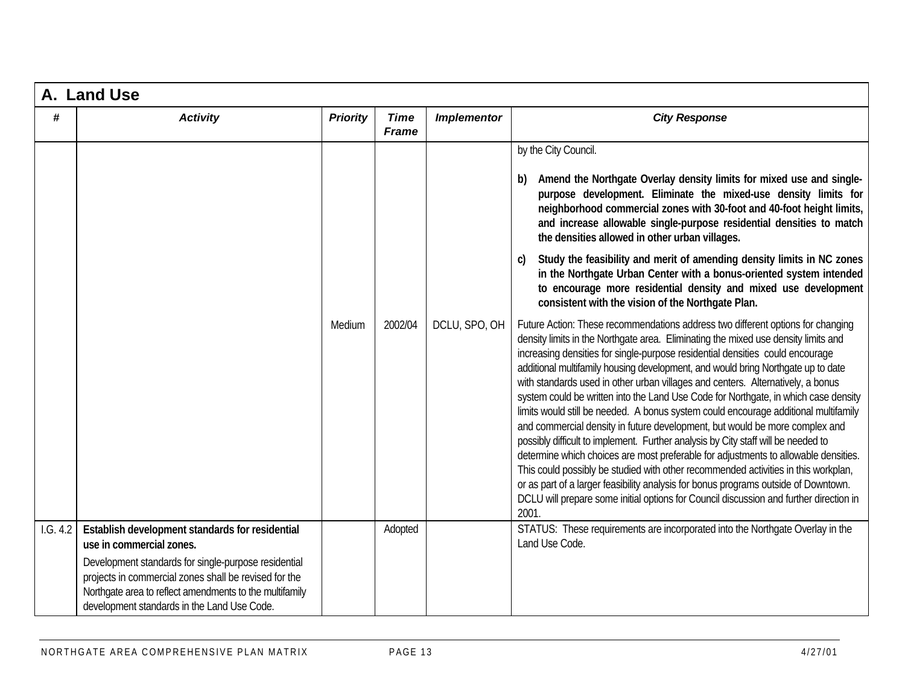|          | A. Land Use                                                                                                                                                                                                                                                                                            |                 |                             |                    |                                                                                                                                                                                                                                                                                                                                                                                                                                                                                                                                                                                                                                                                                                                                                                                                                                                                                                                                                                                                                                                                                                                                                        |  |  |  |
|----------|--------------------------------------------------------------------------------------------------------------------------------------------------------------------------------------------------------------------------------------------------------------------------------------------------------|-----------------|-----------------------------|--------------------|--------------------------------------------------------------------------------------------------------------------------------------------------------------------------------------------------------------------------------------------------------------------------------------------------------------------------------------------------------------------------------------------------------------------------------------------------------------------------------------------------------------------------------------------------------------------------------------------------------------------------------------------------------------------------------------------------------------------------------------------------------------------------------------------------------------------------------------------------------------------------------------------------------------------------------------------------------------------------------------------------------------------------------------------------------------------------------------------------------------------------------------------------------|--|--|--|
| #        | <b>Activity</b>                                                                                                                                                                                                                                                                                        | <b>Priority</b> | <b>Time</b><br><b>Frame</b> | <b>Implementor</b> | <b>City Response</b>                                                                                                                                                                                                                                                                                                                                                                                                                                                                                                                                                                                                                                                                                                                                                                                                                                                                                                                                                                                                                                                                                                                                   |  |  |  |
|          |                                                                                                                                                                                                                                                                                                        |                 |                             |                    | by the City Council.<br>Amend the Northgate Overlay density limits for mixed use and single-<br>b)<br>purpose development. Eliminate the mixed-use density limits for<br>neighborhood commercial zones with 30-foot and 40-foot height limits,<br>and increase allowable single-purpose residential densities to match<br>the densities allowed in other urban villages.                                                                                                                                                                                                                                                                                                                                                                                                                                                                                                                                                                                                                                                                                                                                                                               |  |  |  |
|          |                                                                                                                                                                                                                                                                                                        |                 |                             |                    | Study the feasibility and merit of amending density limits in NC zones<br>C)<br>in the Northgate Urban Center with a bonus-oriented system intended<br>to encourage more residential density and mixed use development<br>consistent with the vision of the Northgate Plan.                                                                                                                                                                                                                                                                                                                                                                                                                                                                                                                                                                                                                                                                                                                                                                                                                                                                            |  |  |  |
|          |                                                                                                                                                                                                                                                                                                        | Medium          | 2002/04                     | DCLU, SPO, OH      | Future Action: These recommendations address two different options for changing<br>density limits in the Northgate area. Eliminating the mixed use density limits and<br>increasing densities for single-purpose residential densities could encourage<br>additional multifamily housing development, and would bring Northgate up to date<br>with standards used in other urban villages and centers. Alternatively, a bonus<br>system could be written into the Land Use Code for Northgate, in which case density<br>limits would still be needed. A bonus system could encourage additional multifamily<br>and commercial density in future development, but would be more complex and<br>possibly difficult to implement. Further analysis by City staff will be needed to<br>determine which choices are most preferable for adjustments to allowable densities.<br>This could possibly be studied with other recommended activities in this workplan,<br>or as part of a larger feasibility analysis for bonus programs outside of Downtown.<br>DCLU will prepare some initial options for Council discussion and further direction in<br>2001. |  |  |  |
| 1.G. 4.2 | Establish development standards for residential<br>use in commercial zones.<br>Development standards for single-purpose residential<br>projects in commercial zones shall be revised for the<br>Northgate area to reflect amendments to the multifamily<br>development standards in the Land Use Code. |                 | Adopted                     |                    | STATUS: These requirements are incorporated into the Northgate Overlay in the<br>Land Use Code.                                                                                                                                                                                                                                                                                                                                                                                                                                                                                                                                                                                                                                                                                                                                                                                                                                                                                                                                                                                                                                                        |  |  |  |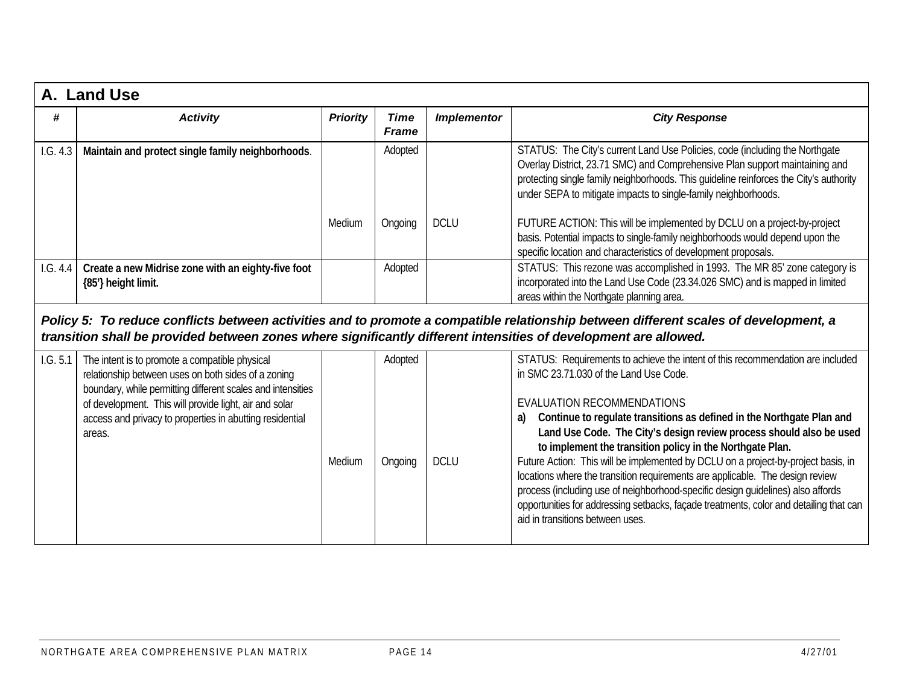|          | A. Land Use                                                                                                                                                                                                                                                                                          |                 |                             |                    |                                                                                                                                                                                                                                                                                                                                                                                                                                                                                                                                                                                                                                                                                                                                                                  |  |  |  |
|----------|------------------------------------------------------------------------------------------------------------------------------------------------------------------------------------------------------------------------------------------------------------------------------------------------------|-----------------|-----------------------------|--------------------|------------------------------------------------------------------------------------------------------------------------------------------------------------------------------------------------------------------------------------------------------------------------------------------------------------------------------------------------------------------------------------------------------------------------------------------------------------------------------------------------------------------------------------------------------------------------------------------------------------------------------------------------------------------------------------------------------------------------------------------------------------------|--|--|--|
| #        | <b>Activity</b>                                                                                                                                                                                                                                                                                      | <b>Priority</b> | <b>Time</b><br><b>Frame</b> | <b>Implementor</b> | <b>City Response</b>                                                                                                                                                                                                                                                                                                                                                                                                                                                                                                                                                                                                                                                                                                                                             |  |  |  |
| 1.G. 4.3 | Maintain and protect single family neighborhoods.                                                                                                                                                                                                                                                    |                 | Adopted                     |                    | STATUS: The City's current Land Use Policies, code (including the Northgate<br>Overlay District, 23.71 SMC) and Comprehensive Plan support maintaining and<br>protecting single family neighborhoods. This guideline reinforces the City's authority<br>under SEPA to mitigate impacts to single-family neighborhoods.                                                                                                                                                                                                                                                                                                                                                                                                                                           |  |  |  |
|          |                                                                                                                                                                                                                                                                                                      | Medium          | Ongoing                     | <b>DCLU</b>        | FUTURE ACTION: This will be implemented by DCLU on a project-by-project<br>basis. Potential impacts to single-family neighborhoods would depend upon the<br>specific location and characteristics of development proposals.                                                                                                                                                                                                                                                                                                                                                                                                                                                                                                                                      |  |  |  |
| 1.G. 4.4 | Create a new Midrise zone with an eighty-five foot<br>{85'} height limit.                                                                                                                                                                                                                            |                 | Adopted                     |                    | STATUS: This rezone was accomplished in 1993. The MR 85' zone category is<br>incorporated into the Land Use Code (23.34.026 SMC) and is mapped in limited<br>areas within the Northgate planning area.                                                                                                                                                                                                                                                                                                                                                                                                                                                                                                                                                           |  |  |  |
|          | Policy 5: To reduce conflicts between activities and to promote a compatible relationship between different scales of development, a<br>transition shall be provided between zones where significantly different intensities of development are allowed.                                             |                 |                             |                    |                                                                                                                                                                                                                                                                                                                                                                                                                                                                                                                                                                                                                                                                                                                                                                  |  |  |  |
| 1.G. 5.1 | The intent is to promote a compatible physical<br>relationship between uses on both sides of a zoning<br>boundary, while permitting different scales and intensities<br>of development. This will provide light, air and solar<br>access and privacy to properties in abutting residential<br>areas. | Medium          | Adopted<br>Ongoing          | <b>DCLU</b>        | STATUS: Requirements to achieve the intent of this recommendation are included<br>in SMC 23.71.030 of the Land Use Code.<br>EVALUATION RECOMMENDATIONS<br>Continue to regulate transitions as defined in the Northgate Plan and<br>a)<br>Land Use Code. The City's design review process should also be used<br>to implement the transition policy in the Northgate Plan.<br>Future Action: This will be implemented by DCLU on a project-by-project basis, in<br>locations where the transition requirements are applicable. The design review<br>process (including use of neighborhood-specific design guidelines) also affords<br>opportunities for addressing setbacks, façade treatments, color and detailing that can<br>aid in transitions between uses. |  |  |  |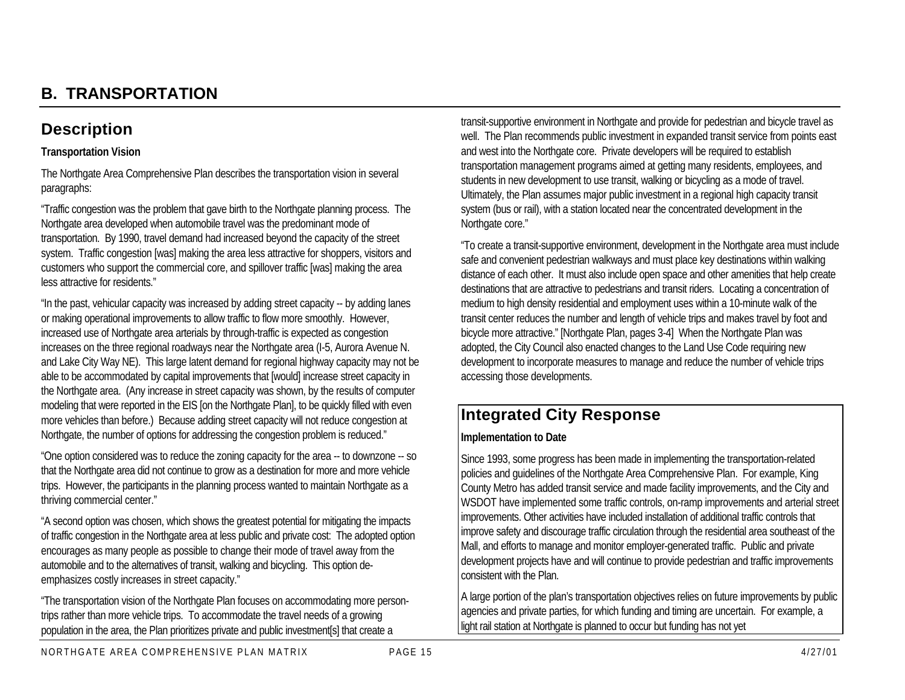## **B. TRANSPORTATION**

## **Description**

#### **Transportation Vision**

The Northgate Area Comprehensive Plan describes the transportation vision in several paragraphs:

"Traffic congestion was the problem that gave birth to the Northgate planning process. The Northgate area developed when automobile travel was the predominant mode of transportation. By 1990, travel demand had increased beyond the capacity of the street system. Traffic congestion [was] making the area less attractive for shoppers, visitors and customers who support the commercial core, and spillover traffic [was] making the area less attractive for residents."

"In the past, vehicular capacity was increased by adding street capacity -- by adding lanes or making operational improvements to allow traffic to flow more smoothly. However, increased use of Northgate area arterials by through-traffic is expected as congestion increases on the three regional roadways near the Northgate area (I-5, Aurora Avenue N. and Lake City Way NE). This large latent demand for regional highway capacity may not be able to be accommodated by capital improvements that [would] increase street capacity in the Northgate area. (Any increase in street capacity was shown, by the results of computer modeling that were reported in the EIS [on the Northgate Plan], to be quickly filled with even more vehicles than before.) Because adding street capacity will not reduce congestion at Northgate, the number of options for addressing the congestion problem is reduced."

"One option considered was to reduce the zoning capacity for the area -- to downzone -- so that the Northgate area did not continue to grow as a destination for more and more vehicle trips. However, the participants in the planning process wanted to maintain Northgate as a thriving commercial center."

"A second option was chosen, which shows the greatest potential for mitigating the impacts of traffic congestion in the Northgate area at less public and private cost: The adopted option encourages as many people as possible to change their mode of travel away from the automobile and to the alternatives of transit, walking and bicycling. This option deemphasizes costly increases in street capacity."

"The transportation vision of the Northgate Plan focuses on accommodating more persontrips rather than more vehicle trips. To accommodate the travel needs of a growing population in the area, the Plan prioritizes private and public investment[s] that create a

transit-supportive environment in Northgate and provide for pedestrian and bicycle travel as well. The Plan recommends public investment in expanded transit service from points east and west into the Northgate core. Private developers will be required to establish transportation management programs aimed at getting many residents, employees, and students in new development to use transit, walking or bicycling as a mode of travel. Ultimately, the Plan assumes major public investment in a regional high capacity transit system (bus or rail), with a station located near the concentrated development in the Northgate core."

"To create a transit-supportive environment, development in the Northgate area must include safe and convenient pedestrian walkways and must place key destinations within walking distance of each other. It must also include open space and other amenities that help create destinations that are attractive to pedestrians and transit riders. Locating a concentration of medium to high density residential and employment uses within a 10-minute walk of the transit center reduces the number and length of vehicle trips and makes travel by foot and bicycle more attractive." [Northgate Plan, pages 3-4] When the Northgate Plan was adopted, the City Council also enacted changes to the Land Use Code requiring new development to incorporate measures to manage and reduce the number of vehicle trips accessing those developments.

## **Integrated City Response**

#### **Implementation to Date**

Since 1993, some progress has been made in implementing the transportation-related policies and guidelines of the Northgate Area Comprehensive Plan. For example, King County Metro has added transit service and made facility improvements, and the City and WSDOT have implemented some traffic controls, on-ramp improvements and arterial street improvements. Other activities have included installation of additional traffic controls that improve safety and discourage traffic circulation through the residential area southeast of the Mall, and efforts to manage and monitor employer-generated traffic. Public and private development projects have and will continue to provide pedestrian and traffic improvements consistent with the Plan.

A large portion of the plan's transportation objectives relies on future improvements by public agencies and private parties, for which funding and timing are uncertain. For example, a light rail station at Northgate is planned to occur but funding has not yet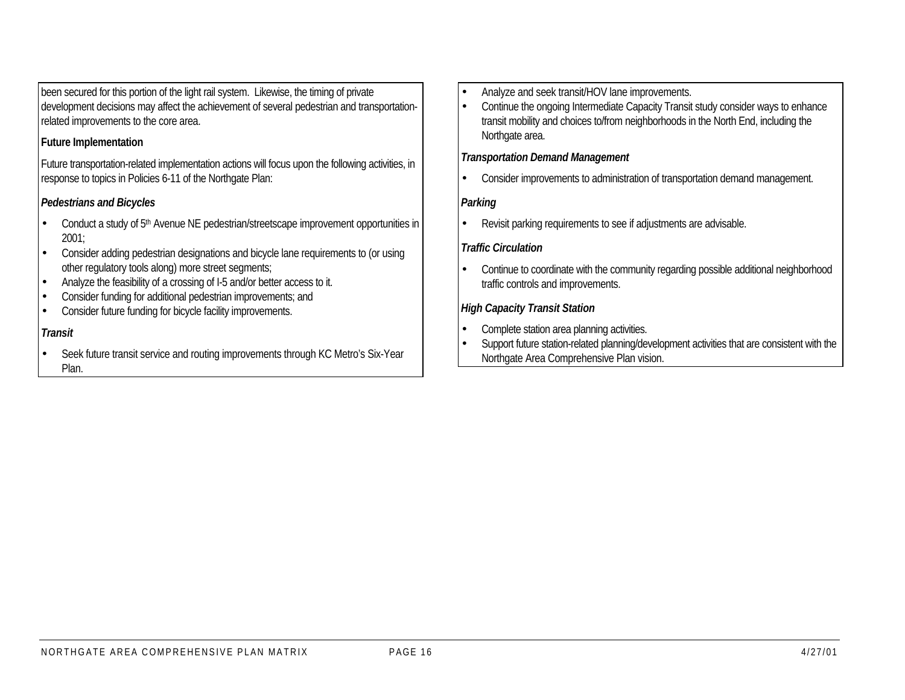been secured for this portion of the light rail system. Likewise, the timing of private development decisions may affect the achievement of several pedestrian and transportationrelated improvements to the core area.

#### **Future Implementation**

Future transportation-related implementation actions will focus upon the following activities, in response to topics in Policies 6-11 of the Northgate Plan:

## *Pedestrians and Bicycles*

- Conduct a study of 5<sup>th</sup> Avenue NE pedestrian/streetscape improvement opportunities in 2001;
- Consider adding pedestrian designations and bicycle lane requirements to (or using other regulatory tools along) more street segments;
- Analyze the feasibility of a crossing of I-5 and/or better access to it.
- Consider funding for additional pedestrian improvements; and
- Consider future funding for bicycle facility improvements.

#### *Transit*

• Seek future transit service and routing improvements through KC Metro's Six-Year Plan.

- Analyze and seek transit/HOV lane improvements.
- Continue the ongoing Intermediate Capacity Transit study consider ways to enhance transit mobility and choices to/from neighborhoods in the North End, including the Northgate area.

#### *Transportation Demand Management*

• Consider improvements to administration of transportation demand management.

#### *Parking*

• Revisit parking requirements to see if adjustments are advisable.

#### *Traffic Circulation*

• Continue to coordinate with the community regarding possible additional neighborhood traffic controls and improvements.

#### *High Capacity Transit Station*

- Complete station area planning activities.
- Support future station-related planning/development activities that are consistent with the Northgate Area Comprehensive Plan vision.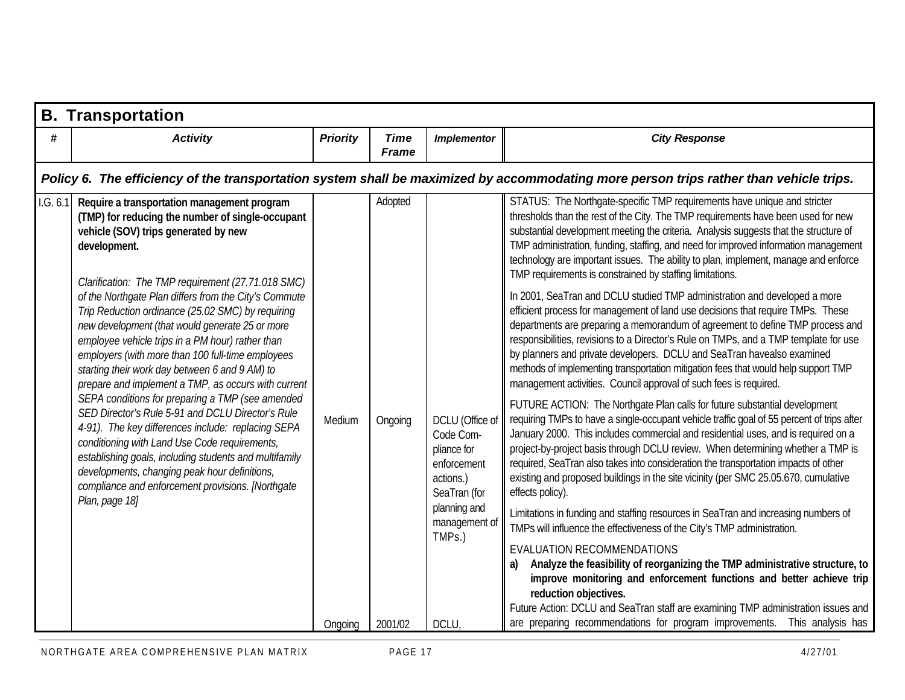|           | <b>B. Transportation</b>                                                                                                                                                                                                                                                                                                                                                                                                                                                                                                                                                                                                                                                                                                                                                                                                                |                 |                             |                                                                                         |                                                                                                                                                                                                                                                                                                                                                                                                                                                                                                                                                                            |  |  |  |  |  |  |
|-----------|-----------------------------------------------------------------------------------------------------------------------------------------------------------------------------------------------------------------------------------------------------------------------------------------------------------------------------------------------------------------------------------------------------------------------------------------------------------------------------------------------------------------------------------------------------------------------------------------------------------------------------------------------------------------------------------------------------------------------------------------------------------------------------------------------------------------------------------------|-----------------|-----------------------------|-----------------------------------------------------------------------------------------|----------------------------------------------------------------------------------------------------------------------------------------------------------------------------------------------------------------------------------------------------------------------------------------------------------------------------------------------------------------------------------------------------------------------------------------------------------------------------------------------------------------------------------------------------------------------------|--|--|--|--|--|--|
| #         | <b>Activity</b>                                                                                                                                                                                                                                                                                                                                                                                                                                                                                                                                                                                                                                                                                                                                                                                                                         | <b>Priority</b> | <b>Time</b><br><b>Frame</b> | <b>Implementor</b>                                                                      | <b>City Response</b>                                                                                                                                                                                                                                                                                                                                                                                                                                                                                                                                                       |  |  |  |  |  |  |
|           | Policy 6. The efficiency of the transportation system shall be maximized by accommodating more person trips rather than vehicle trips.                                                                                                                                                                                                                                                                                                                                                                                                                                                                                                                                                                                                                                                                                                  |                 |                             |                                                                                         |                                                                                                                                                                                                                                                                                                                                                                                                                                                                                                                                                                            |  |  |  |  |  |  |
| 1. G. 6.1 | Require a transportation management program<br>(TMP) for reducing the number of single-occupant<br>vehicle (SOV) trips generated by new<br>development.                                                                                                                                                                                                                                                                                                                                                                                                                                                                                                                                                                                                                                                                                 |                 | Adopted                     |                                                                                         | STATUS: The Northgate-specific TMP requirements have unique and stricter<br>thresholds than the rest of the City. The TMP requirements have been used for new<br>substantial development meeting the criteria. Analysis suggests that the structure of<br>TMP administration, funding, staffing, and need for improved information management<br>technology are important issues. The ability to plan, implement, manage and enforce<br>TMP requirements is constrained by staffing limitations.                                                                           |  |  |  |  |  |  |
|           | Clarification: The TMP requirement (27.71.018 SMC)<br>of the Northgate Plan differs from the City's Commute<br>Trip Reduction ordinance (25.02 SMC) by requiring<br>new development (that would generate 25 or more<br>employee vehicle trips in a PM hour) rather than<br>employers (with more than 100 full-time employees<br>starting their work day between 6 and 9 AM) to<br>prepare and implement a TMP, as occurs with current<br>SEPA conditions for preparing a TMP (see amended<br>SED Director's Rule 5-91 and DCLU Director's Rule<br>4-91). The key differences include: replacing SEPA<br>conditioning with Land Use Code requirements,<br>establishing goals, including students and multifamily<br>developments, changing peak hour definitions,<br>compliance and enforcement provisions. [Northgate<br>Plan, page 18] |                 |                             |                                                                                         | In 2001, SeaTran and DCLU studied TMP administration and developed a more<br>efficient process for management of land use decisions that require TMPs. These<br>departments are preparing a memorandum of agreement to define TMP process and<br>responsibilities, revisions to a Director's Rule on TMPs, and a TMP template for use<br>by planners and private developers. DCLU and SeaTran havealso examined<br>methods of implementing transportation mitigation fees that would help support TMP<br>management activities. Council approval of such fees is required. |  |  |  |  |  |  |
|           |                                                                                                                                                                                                                                                                                                                                                                                                                                                                                                                                                                                                                                                                                                                                                                                                                                         | Medium          | Ongoing                     | DCLU (Office of<br>Code Com-<br>pliance for<br>enforcement<br>actions.)<br>SeaTran (for | FUTURE ACTION: The Northgate Plan calls for future substantial development<br>requiring TMPs to have a single-occupant vehicle traffic goal of 55 percent of trips after<br>January 2000. This includes commercial and residential uses, and is required on a<br>project-by-project basis through DCLU review. When determining whether a TMP is<br>required, SeaTran also takes into consideration the transportation impacts of other<br>existing and proposed buildings in the site vicinity (per SMC 25.05.670, cumulative<br>effects policy).                         |  |  |  |  |  |  |
|           |                                                                                                                                                                                                                                                                                                                                                                                                                                                                                                                                                                                                                                                                                                                                                                                                                                         |                 |                             | planning and<br>management of<br>TMPs.)                                                 | Limitations in funding and staffing resources in SeaTran and increasing numbers of<br>TMPs will influence the effectiveness of the City's TMP administration.                                                                                                                                                                                                                                                                                                                                                                                                              |  |  |  |  |  |  |
|           |                                                                                                                                                                                                                                                                                                                                                                                                                                                                                                                                                                                                                                                                                                                                                                                                                                         |                 |                             |                                                                                         | EVALUATION RECOMMENDATIONS<br>Analyze the feasibility of reorganizing the TMP administrative structure, to<br>improve monitoring and enforcement functions and better achieve trip<br>reduction objectives.                                                                                                                                                                                                                                                                                                                                                                |  |  |  |  |  |  |
|           |                                                                                                                                                                                                                                                                                                                                                                                                                                                                                                                                                                                                                                                                                                                                                                                                                                         | Ongoing         | 2001/02                     | DCLU,                                                                                   | Future Action: DCLU and SeaTran staff are examining TMP administration issues and<br>are preparing recommendations for program improvements. This analysis has                                                                                                                                                                                                                                                                                                                                                                                                             |  |  |  |  |  |  |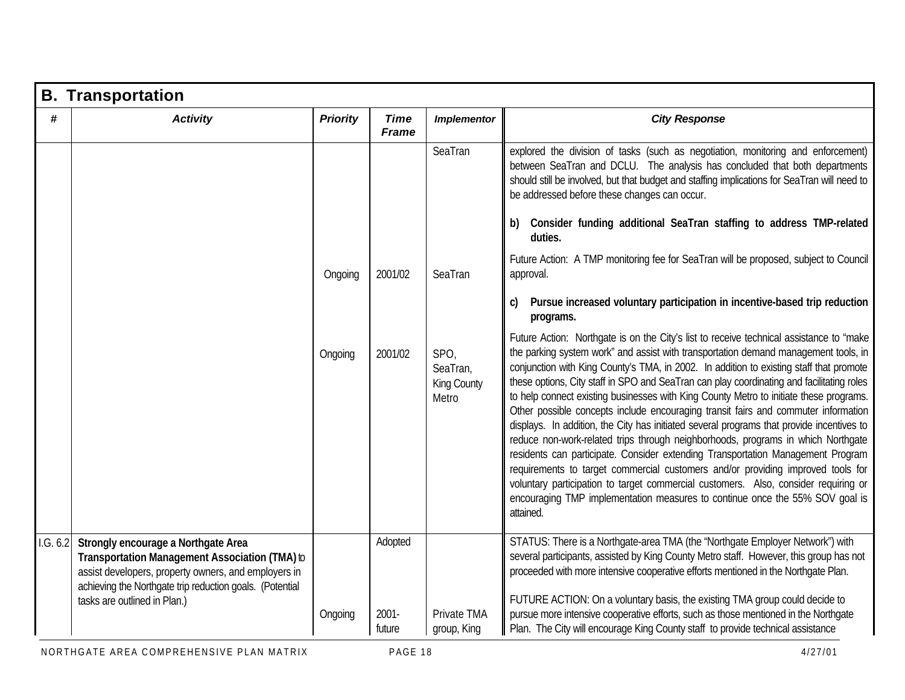|          | <b>B. Transportation</b>                                                                                                                                                                                                                  |                 |                               |                                          |                                                                                                                                                                                                                                                                                                                                                                                                                                                                                                                                                                                                                                                                                                                                                                                                                                                                                                                                                                                                                                                                                                   |
|----------|-------------------------------------------------------------------------------------------------------------------------------------------------------------------------------------------------------------------------------------------|-----------------|-------------------------------|------------------------------------------|---------------------------------------------------------------------------------------------------------------------------------------------------------------------------------------------------------------------------------------------------------------------------------------------------------------------------------------------------------------------------------------------------------------------------------------------------------------------------------------------------------------------------------------------------------------------------------------------------------------------------------------------------------------------------------------------------------------------------------------------------------------------------------------------------------------------------------------------------------------------------------------------------------------------------------------------------------------------------------------------------------------------------------------------------------------------------------------------------|
| #        | <b>Activity</b>                                                                                                                                                                                                                           | <b>Priority</b> | <b>Time</b><br><b>Frame</b>   | <b>Implementor</b>                       | <b>City Response</b>                                                                                                                                                                                                                                                                                                                                                                                                                                                                                                                                                                                                                                                                                                                                                                                                                                                                                                                                                                                                                                                                              |
|          |                                                                                                                                                                                                                                           |                 |                               | SeaTran                                  | explored the division of tasks (such as negotiation, monitoring and enforcement)<br>between SeaTran and DCLU. The analysis has concluded that both departments<br>should still be involved, but that budget and staffing implications for SeaTran will need to<br>be addressed before these changes can occur.                                                                                                                                                                                                                                                                                                                                                                                                                                                                                                                                                                                                                                                                                                                                                                                    |
|          |                                                                                                                                                                                                                                           |                 |                               |                                          | Consider funding additional SeaTran staffing to address TMP-related<br>b)<br>duties.                                                                                                                                                                                                                                                                                                                                                                                                                                                                                                                                                                                                                                                                                                                                                                                                                                                                                                                                                                                                              |
|          |                                                                                                                                                                                                                                           | Ongoing         | 2001/02                       | SeaTran                                  | Future Action: A TMP monitoring fee for SeaTran will be proposed, subject to Council<br>approval.                                                                                                                                                                                                                                                                                                                                                                                                                                                                                                                                                                                                                                                                                                                                                                                                                                                                                                                                                                                                 |
|          |                                                                                                                                                                                                                                           |                 |                               |                                          | Pursue increased voluntary participation in incentive-based trip reduction<br>C)<br>programs.                                                                                                                                                                                                                                                                                                                                                                                                                                                                                                                                                                                                                                                                                                                                                                                                                                                                                                                                                                                                     |
|          |                                                                                                                                                                                                                                           | Ongoing         | 2001/02                       | SPO,<br>SeaTran,<br>King County<br>Metro | Future Action: Northgate is on the City's list to receive technical assistance to "make<br>the parking system work" and assist with transportation demand management tools, in<br>conjunction with King County's TMA, in 2002. In addition to existing staff that promote<br>these options, City staff in SPO and SeaTran can play coordinating and facilitating roles<br>to help connect existing businesses with King County Metro to initiate these programs.<br>Other possible concepts include encouraging transit fairs and commuter information<br>displays. In addition, the City has initiated several programs that provide incentives to<br>reduce non-work-related trips through neighborhoods, programs in which Northgate<br>residents can participate. Consider extending Transportation Management Program<br>requirements to target commercial customers and/or providing improved tools for<br>voluntary participation to target commercial customers. Also, consider requiring or<br>encouraging TMP implementation measures to continue once the 55% SOV goal is<br>attained. |
| 1.G. 6.2 | Strongly encourage a Northgate Area<br>Transportation Management Association (TMA) to<br>assist developers, property owners, and employers in<br>achieving the Northgate trip reduction goals. (Potential<br>tasks are outlined in Plan.) | Ongoing         | Adopted<br>$2001 -$<br>future | Private TMA<br>group, King               | STATUS: There is a Northgate-area TMA (the "Northgate Employer Network") with<br>several participants, assisted by King County Metro staff. However, this group has not<br>proceeded with more intensive cooperative efforts mentioned in the Northgate Plan.<br>FUTURE ACTION: On a voluntary basis, the existing TMA group could decide to<br>pursue more intensive cooperative efforts, such as those mentioned in the Northgate<br>Plan. The City will encourage King County staff to provide technical assistance                                                                                                                                                                                                                                                                                                                                                                                                                                                                                                                                                                            |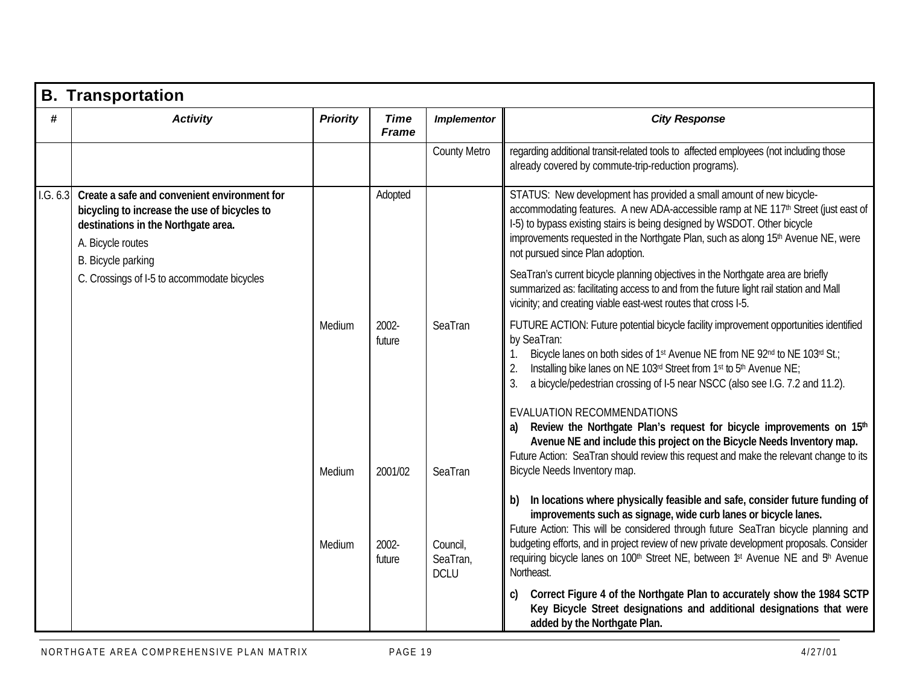|          | <b>B. Transportation</b>                                                                                                                                                       |                 |                             |                                     |                                                                                                                                                                                                                                                                                                                                                                                                                                                                            |
|----------|--------------------------------------------------------------------------------------------------------------------------------------------------------------------------------|-----------------|-----------------------------|-------------------------------------|----------------------------------------------------------------------------------------------------------------------------------------------------------------------------------------------------------------------------------------------------------------------------------------------------------------------------------------------------------------------------------------------------------------------------------------------------------------------------|
| #        | <b>Activity</b>                                                                                                                                                                | <b>Priority</b> | <b>Time</b><br><b>Frame</b> | <b>Implementor</b>                  | <b>City Response</b>                                                                                                                                                                                                                                                                                                                                                                                                                                                       |
|          |                                                                                                                                                                                |                 |                             | <b>County Metro</b>                 | regarding additional transit-related tools to affected employees (not including those<br>already covered by commute-trip-reduction programs).                                                                                                                                                                                                                                                                                                                              |
| 1.G. 6.3 | Create a safe and convenient environment for<br>bicycling to increase the use of bicycles to<br>destinations in the Northgate area.<br>A. Bicycle routes<br>B. Bicycle parking |                 | Adopted                     |                                     | STATUS: New development has provided a small amount of new bicycle-<br>accommodating features. A new ADA-accessible ramp at NE 117 <sup>th</sup> Street (just east of<br>I-5) to bypass existing stairs is being designed by WSDOT. Other bicycle<br>improvements requested in the Northgate Plan, such as along 15 <sup>th</sup> Avenue NE, were<br>not pursued since Plan adoption.                                                                                      |
|          | C. Crossings of I-5 to accommodate bicycles                                                                                                                                    |                 |                             |                                     | SeaTran's current bicycle planning objectives in the Northgate area are briefly<br>summarized as: facilitating access to and from the future light rail station and Mall<br>vicinity; and creating viable east-west routes that cross I-5.                                                                                                                                                                                                                                 |
|          |                                                                                                                                                                                | Medium          | 2002-<br>future             | SeaTran                             | FUTURE ACTION: Future potential bicycle facility improvement opportunities identified<br>by SeaTran:<br>Bicycle lanes on both sides of 1 <sup>st</sup> Avenue NE from NE 92 <sup>nd</sup> to NE 103 <sup>rd</sup> St.;<br>Installing bike lanes on NE 103rd Street from 1st to 5th Avenue NE;<br>2.<br>3.<br>a bicycle/pedestrian crossing of I-5 near NSCC (also see I.G. 7.2 and 11.2).                                                                                  |
|          |                                                                                                                                                                                | Medium          | 2001/02                     | SeaTran                             | EVALUATION RECOMMENDATIONS<br>Review the Northgate Plan's request for bicycle improvements on 15 <sup>th</sup><br>Avenue NE and include this project on the Bicycle Needs Inventory map.<br>Future Action: SeaTran should review this request and make the relevant change to its<br>Bicycle Needs Inventory map.                                                                                                                                                          |
|          |                                                                                                                                                                                | Medium          | 2002-<br>future             | Council,<br>SeaTran,<br><b>DCLU</b> | In locations where physically feasible and safe, consider future funding of<br>b)<br>improvements such as signage, wide curb lanes or bicycle lanes.<br>Future Action: This will be considered through future SeaTran bicycle planning and<br>budgeting efforts, and in project review of new private development proposals. Consider<br>requiring bicycle lanes on 100 <sup>th</sup> Street NE, between <sup>1st</sup> Avenue NE and 5 <sup>th</sup> Avenue<br>Northeast. |
|          |                                                                                                                                                                                |                 |                             |                                     | Correct Figure 4 of the Northgate Plan to accurately show the 1984 SCTP<br>C)<br>Key Bicycle Street designations and additional designations that were<br>added by the Northgate Plan.                                                                                                                                                                                                                                                                                     |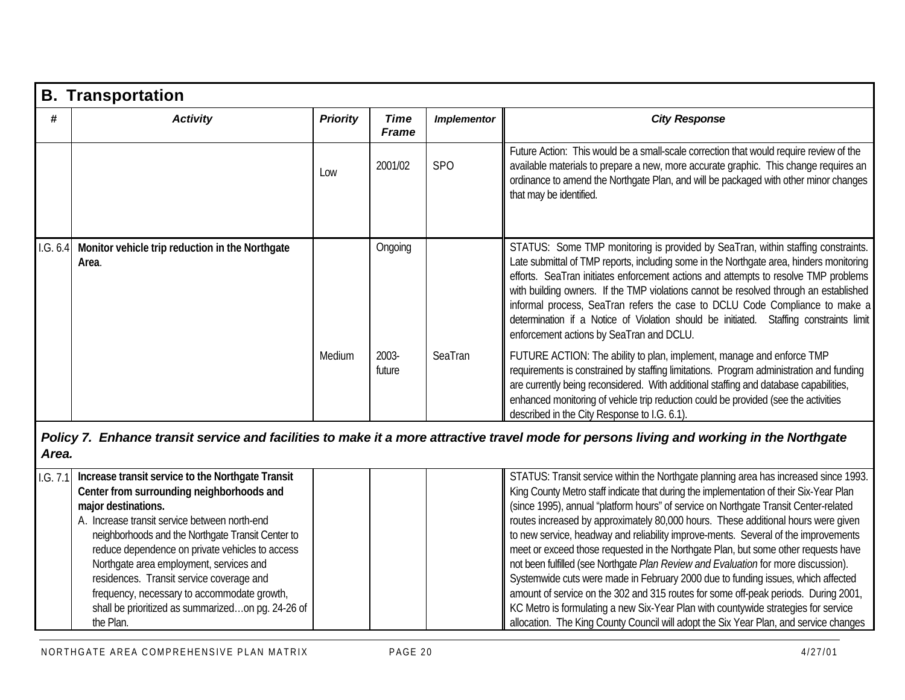|          | <b>B. Transportation</b>                                                                                                                                                                                                                                                                                                                                                                                                                                                               |                 |                             |                    |                                                                                                                                                                                                                                                                                                                                                                                                                                                                                                                                                                                                                                                                                                                                                                                                                                                                                                                                                                                         |
|----------|----------------------------------------------------------------------------------------------------------------------------------------------------------------------------------------------------------------------------------------------------------------------------------------------------------------------------------------------------------------------------------------------------------------------------------------------------------------------------------------|-----------------|-----------------------------|--------------------|-----------------------------------------------------------------------------------------------------------------------------------------------------------------------------------------------------------------------------------------------------------------------------------------------------------------------------------------------------------------------------------------------------------------------------------------------------------------------------------------------------------------------------------------------------------------------------------------------------------------------------------------------------------------------------------------------------------------------------------------------------------------------------------------------------------------------------------------------------------------------------------------------------------------------------------------------------------------------------------------|
| #        | <b>Activity</b>                                                                                                                                                                                                                                                                                                                                                                                                                                                                        | <b>Priority</b> | <b>Time</b><br><b>Frame</b> | <b>Implementor</b> | <b>City Response</b>                                                                                                                                                                                                                                                                                                                                                                                                                                                                                                                                                                                                                                                                                                                                                                                                                                                                                                                                                                    |
|          |                                                                                                                                                                                                                                                                                                                                                                                                                                                                                        | Low             | 2001/02                     | <b>SPO</b>         | Future Action: This would be a small-scale correction that would require review of the<br>available materials to prepare a new, more accurate graphic. This change requires an<br>ordinance to amend the Northgate Plan, and will be packaged with other minor changes<br>that may be identified.                                                                                                                                                                                                                                                                                                                                                                                                                                                                                                                                                                                                                                                                                       |
| 1.G. 6.4 | Monitor vehicle trip reduction in the Northgate<br>Area.                                                                                                                                                                                                                                                                                                                                                                                                                               |                 | Ongoing                     |                    | STATUS: Some TMP monitoring is provided by SeaTran, within staffing constraints.<br>Late submittal of TMP reports, including some in the Northgate area, hinders monitoring<br>efforts. SeaTran initiates enforcement actions and attempts to resolve TMP problems<br>with building owners. If the TMP violations cannot be resolved through an established<br>informal process, SeaTran refers the case to DCLU Code Compliance to make a<br>determination if a Notice of Violation should be initiated. Staffing constraints limit<br>enforcement actions by SeaTran and DCLU.                                                                                                                                                                                                                                                                                                                                                                                                        |
|          |                                                                                                                                                                                                                                                                                                                                                                                                                                                                                        | Medium          | 2003-<br>future             | SeaTran            | FUTURE ACTION: The ability to plan, implement, manage and enforce TMP<br>requirements is constrained by staffing limitations. Program administration and funding<br>are currently being reconsidered. With additional staffing and database capabilities,<br>enhanced monitoring of vehicle trip reduction could be provided (see the activities<br>described in the City Response to I.G. 6.1).                                                                                                                                                                                                                                                                                                                                                                                                                                                                                                                                                                                        |
| Area.    |                                                                                                                                                                                                                                                                                                                                                                                                                                                                                        |                 |                             |                    | Policy 7. Enhance transit service and facilities to make it a more attractive travel mode for persons living and working in the Northgate                                                                                                                                                                                                                                                                                                                                                                                                                                                                                                                                                                                                                                                                                                                                                                                                                                               |
| 1.G. 7.1 | Increase transit service to the Northgate Transit<br>Center from surrounding neighborhoods and<br>major destinations.<br>A. Increase transit service between north-end<br>neighborhoods and the Northgate Transit Center to<br>reduce dependence on private vehicles to access<br>Northgate area employment, services and<br>residences. Transit service coverage and<br>frequency, necessary to accommodate growth,<br>shall be prioritized as summarizedon pg. 24-26 of<br>the Plan. |                 |                             |                    | STATUS: Transit service within the Northgate planning area has increased since 1993.<br>King County Metro staff indicate that during the implementation of their Six-Year Plan<br>(since 1995), annual "platform hours" of service on Northgate Transit Center-related<br>routes increased by approximately 80,000 hours. These additional hours were given<br>to new service, headway and reliability improve-ments. Several of the improvements<br>meet or exceed those requested in the Northgate Plan, but some other requests have<br>not been fulfilled (see Northgate Plan Review and Evaluation for more discussion).<br>Systemwide cuts were made in February 2000 due to funding issues, which affected<br>amount of service on the 302 and 315 routes for some off-peak periods. During 2001,<br>KC Metro is formulating a new Six-Year Plan with countywide strategies for service<br>allocation. The King County Council will adopt the Six Year Plan, and service changes |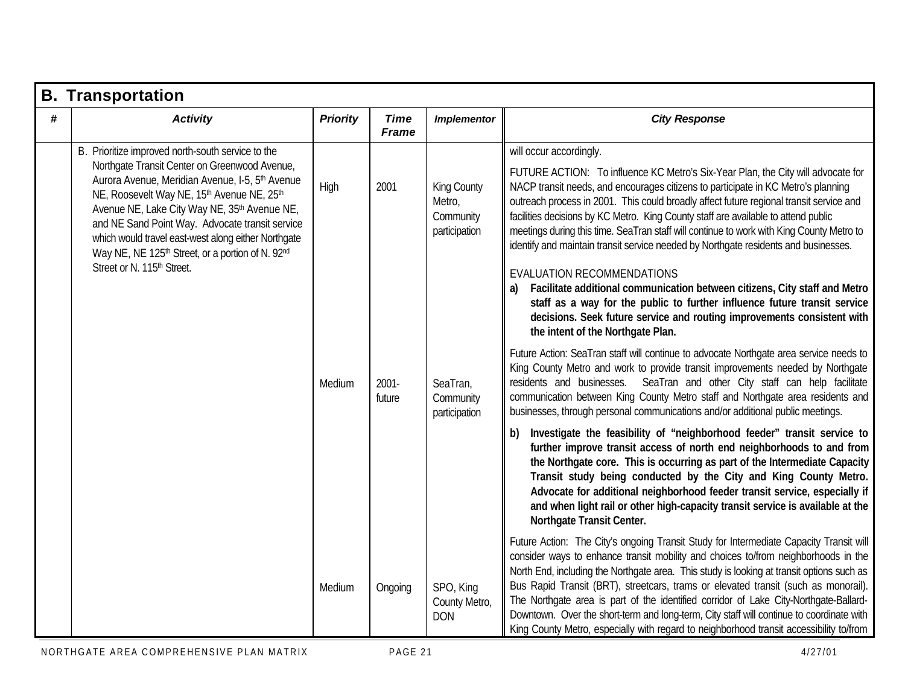|   | <b>B.</b> Transportation                                                                                                                                                                                                                                                                     |                 |                             |                                                            |                                                                                                                                                                                                                                                                                                                                                                                                                                                                                                                                                                                                                                                 |
|---|----------------------------------------------------------------------------------------------------------------------------------------------------------------------------------------------------------------------------------------------------------------------------------------------|-----------------|-----------------------------|------------------------------------------------------------|-------------------------------------------------------------------------------------------------------------------------------------------------------------------------------------------------------------------------------------------------------------------------------------------------------------------------------------------------------------------------------------------------------------------------------------------------------------------------------------------------------------------------------------------------------------------------------------------------------------------------------------------------|
| # | <b>Activity</b>                                                                                                                                                                                                                                                                              | <b>Priority</b> | <b>Time</b><br><b>Frame</b> | <b>Implementor</b>                                         | <b>City Response</b>                                                                                                                                                                                                                                                                                                                                                                                                                                                                                                                                                                                                                            |
|   | B. Prioritize improved north-south service to the<br>Northgate Transit Center on Greenwood Avenue,<br>Aurora Avenue, Meridian Avenue, I-5, 5 <sup>th</sup> Avenue                                                                                                                            |                 |                             |                                                            | will occur accordingly.<br>FUTURE ACTION: To influence KC Metro's Six-Year Plan, the City will advocate for                                                                                                                                                                                                                                                                                                                                                                                                                                                                                                                                     |
|   | NE, Roosevelt Way NE, 15th Avenue NE, 25th<br>Avenue NE, Lake City Way NE, 35 <sup>th</sup> Avenue NE,<br>and NE Sand Point Way. Advocate transit service<br>which would travel east-west along either Northgate<br>Way NE, NE 125 <sup>th</sup> Street, or a portion of N. 92 <sup>nd</sup> | High            | 2001                        | <b>King County</b><br>Metro,<br>Community<br>participation | NACP transit needs, and encourages citizens to participate in KC Metro's planning<br>outreach process in 2001. This could broadly affect future regional transit service and<br>facilities decisions by KC Metro. King County staff are available to attend public<br>meetings during this time. SeaTran staff will continue to work with King County Metro to<br>identify and maintain transit service needed by Northgate residents and businesses.                                                                                                                                                                                           |
|   | Street or N. 115 <sup>th</sup> Street.                                                                                                                                                                                                                                                       |                 |                             |                                                            | EVALUATION RECOMMENDATIONS<br>Facilitate additional communication between citizens, City staff and Metro<br>staff as a way for the public to further influence future transit service<br>decisions. Seek future service and routing improvements consistent with<br>the intent of the Northgate Plan.                                                                                                                                                                                                                                                                                                                                           |
|   |                                                                                                                                                                                                                                                                                              | Medium          | $2001 -$<br>future          | SeaTran,<br>Community<br>participation                     | Future Action: SeaTran staff will continue to advocate Northgate area service needs to<br>King County Metro and work to provide transit improvements needed by Northgate<br>residents and businesses. SeaTran and other City staff can help facilitate<br>communication between King County Metro staff and Northgate area residents and<br>businesses, through personal communications and/or additional public meetings.                                                                                                                                                                                                                      |
|   |                                                                                                                                                                                                                                                                                              |                 |                             |                                                            | Investigate the feasibility of "neighborhood feeder" transit service to<br>b)<br>further improve transit access of north end neighborhoods to and from<br>the Northgate core. This is occurring as part of the Intermediate Capacity<br>Transit study being conducted by the City and King County Metro.<br>Advocate for additional neighborhood feeder transit service, especially if<br>and when light rail or other high-capacity transit service is available at the<br>Northgate Transit Center.                                                                                                                                           |
|   |                                                                                                                                                                                                                                                                                              | Medium          | Ongoing                     | SPO, King<br>County Metro,<br><b>DON</b>                   | Future Action: The City's ongoing Transit Study for Intermediate Capacity Transit will<br>consider ways to enhance transit mobility and choices to/from neighborhoods in the<br>North End, including the Northgate area. This study is looking at transit options such as<br>Bus Rapid Transit (BRT), streetcars, trams or elevated transit (such as monorail).<br>The Northgate area is part of the identified corridor of Lake City-Northgate-Ballard-<br>Downtown. Over the short-term and long-term, City staff will continue to coordinate with<br>King County Metro, especially with regard to neighborhood transit accessibility to/from |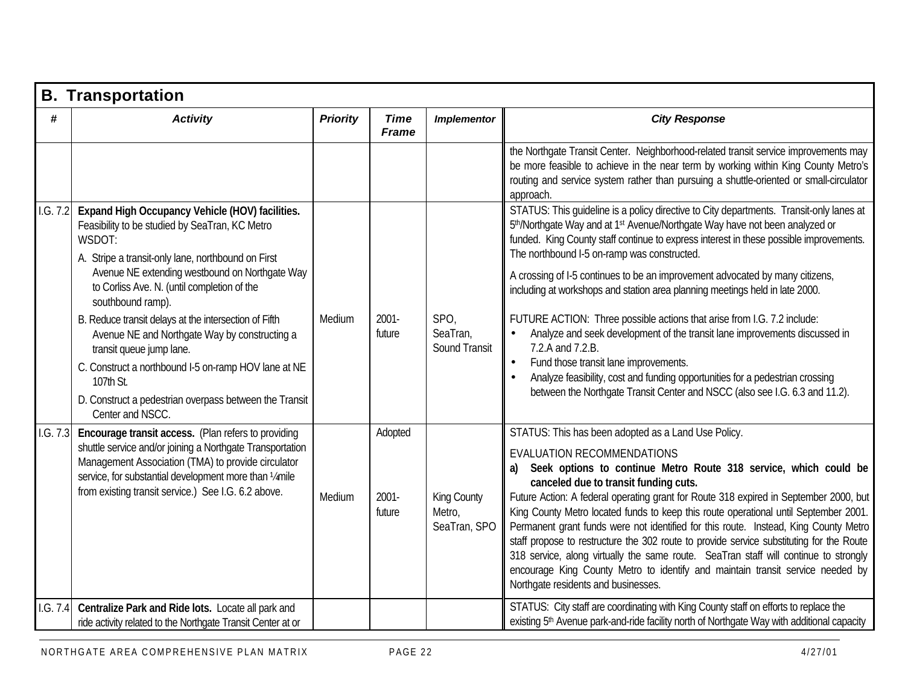|          | <b>B. Transportation</b>                                                                                                                                                                                                                                                                |                 |                               |                                       |                                                                                                                                                                                                                                                                                                                                                                                                                                                                                                                                                                                                                                                                                                                                                                                      |
|----------|-----------------------------------------------------------------------------------------------------------------------------------------------------------------------------------------------------------------------------------------------------------------------------------------|-----------------|-------------------------------|---------------------------------------|--------------------------------------------------------------------------------------------------------------------------------------------------------------------------------------------------------------------------------------------------------------------------------------------------------------------------------------------------------------------------------------------------------------------------------------------------------------------------------------------------------------------------------------------------------------------------------------------------------------------------------------------------------------------------------------------------------------------------------------------------------------------------------------|
| #        | <b>Activity</b>                                                                                                                                                                                                                                                                         | <b>Priority</b> | <b>Time</b><br><b>Frame</b>   | <b>Implementor</b>                    | <b>City Response</b>                                                                                                                                                                                                                                                                                                                                                                                                                                                                                                                                                                                                                                                                                                                                                                 |
|          |                                                                                                                                                                                                                                                                                         |                 |                               |                                       | the Northgate Transit Center. Neighborhood-related transit service improvements may<br>be more feasible to achieve in the near term by working within King County Metro's<br>routing and service system rather than pursuing a shuttle-oriented or small-circulator<br>approach.                                                                                                                                                                                                                                                                                                                                                                                                                                                                                                     |
| 1.G. 7.2 | Expand High Occupancy Vehicle (HOV) facilities.<br>Feasibility to be studied by SeaTran, KC Metro<br>WSDOT:<br>A. Stripe a transit-only lane, northbound on First                                                                                                                       |                 |                               |                                       | STATUS: This guideline is a policy directive to City departments. Transit-only lanes at<br>5th/Northgate Way and at 1st Avenue/Northgate Way have not been analyzed or<br>funded. King County staff continue to express interest in these possible improvements.<br>The northbound I-5 on-ramp was constructed.                                                                                                                                                                                                                                                                                                                                                                                                                                                                      |
|          | Avenue NE extending westbound on Northgate Way<br>to Corliss Ave. N. (until completion of the<br>southbound ramp).                                                                                                                                                                      |                 |                               |                                       | A crossing of I-5 continues to be an improvement advocated by many citizens,<br>including at workshops and station area planning meetings held in late 2000.                                                                                                                                                                                                                                                                                                                                                                                                                                                                                                                                                                                                                         |
|          | B. Reduce transit delays at the intersection of Fifth<br>Avenue NE and Northgate Way by constructing a<br>transit queue jump lane.<br>C. Construct a northbound I-5 on-ramp HOV lane at NE<br>107th St.                                                                                 | Medium          | 2001-<br>future               | SPO,<br>SeaTran,<br>Sound Transit     | FUTURE ACTION: Three possible actions that arise from I.G. 7.2 include:<br>Analyze and seek development of the transit lane improvements discussed in<br>7.2.A and 7.2.B.<br>Fund those transit lane improvements.<br>$\bullet$<br>Analyze feasibility, cost and funding opportunities for a pedestrian crossing                                                                                                                                                                                                                                                                                                                                                                                                                                                                     |
|          | D. Construct a pedestrian overpass between the Transit<br>Center and NSCC.                                                                                                                                                                                                              |                 |                               |                                       | between the Northgate Transit Center and NSCC (also see I.G. 6.3 and 11.2).                                                                                                                                                                                                                                                                                                                                                                                                                                                                                                                                                                                                                                                                                                          |
| I.G. 7.3 | Encourage transit access. (Plan refers to providing<br>shuttle service and/or joining a Northgate Transportation<br>Management Association (TMA) to provide circulator<br>service, for substantial development more than 14 mile<br>from existing transit service.) See I.G. 6.2 above. | Medium          | Adopted<br>$2001 -$<br>future | King County<br>Metro,<br>SeaTran, SPO | STATUS: This has been adopted as a Land Use Policy.<br>EVALUATION RECOMMENDATIONS<br>Seek options to continue Metro Route 318 service, which could be<br>canceled due to transit funding cuts.<br>Future Action: A federal operating grant for Route 318 expired in September 2000, but<br>King County Metro located funds to keep this route operational until September 2001.<br>Permanent grant funds were not identified for this route. Instead, King County Metro<br>staff propose to restructure the 302 route to provide service substituting for the Route<br>318 service, along virtually the same route. SeaTran staff will continue to strongly<br>encourage King County Metro to identify and maintain transit service needed by<br>Northgate residents and businesses. |
| 1.G. 7.4 | Centralize Park and Ride lots. Locate all park and<br>ride activity related to the Northgate Transit Center at or                                                                                                                                                                       |                 |                               |                                       | STATUS: City staff are coordinating with King County staff on efforts to replace the<br>existing 5 <sup>th</sup> Avenue park-and-ride facility north of Northgate Way with additional capacity                                                                                                                                                                                                                                                                                                                                                                                                                                                                                                                                                                                       |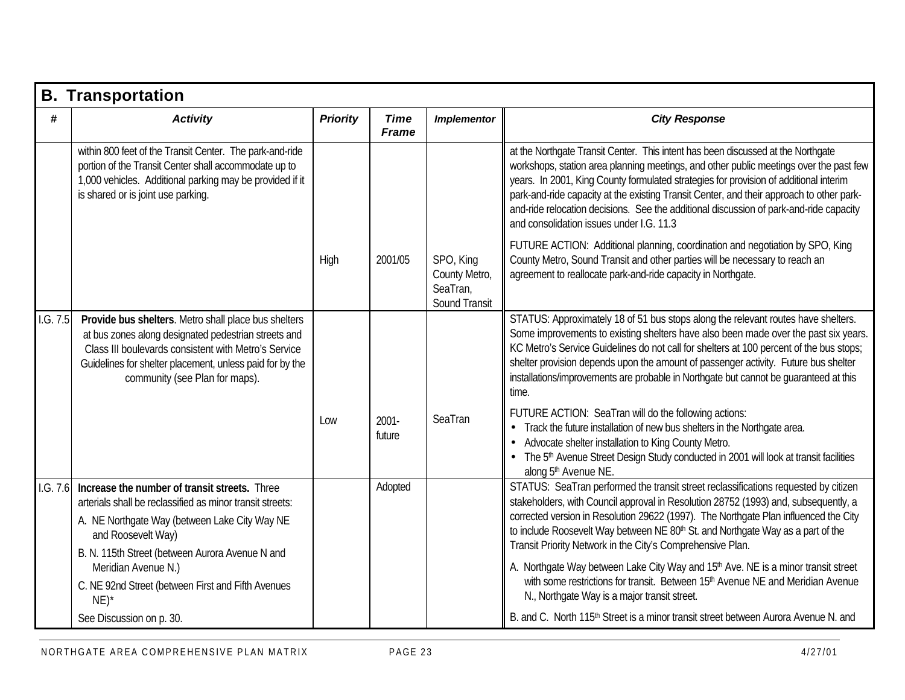|          | <b>B. Transportation</b>                                                                                                                                                                                                                                           |                 |                             |                                                         |                                                                                                                                                                                                                                                                                                                                                                                                                                                                                                       |
|----------|--------------------------------------------------------------------------------------------------------------------------------------------------------------------------------------------------------------------------------------------------------------------|-----------------|-----------------------------|---------------------------------------------------------|-------------------------------------------------------------------------------------------------------------------------------------------------------------------------------------------------------------------------------------------------------------------------------------------------------------------------------------------------------------------------------------------------------------------------------------------------------------------------------------------------------|
| #        | <b>Activity</b>                                                                                                                                                                                                                                                    | <b>Priority</b> | <b>Time</b><br><b>Frame</b> | <b>Implementor</b>                                      | <b>City Response</b>                                                                                                                                                                                                                                                                                                                                                                                                                                                                                  |
|          | within 800 feet of the Transit Center. The park-and-ride<br>portion of the Transit Center shall accommodate up to<br>1,000 vehicles. Additional parking may be provided if it<br>is shared or is joint use parking.                                                |                 |                             |                                                         | at the Northgate Transit Center. This intent has been discussed at the Northgate<br>workshops, station area planning meetings, and other public meetings over the past few<br>years. In 2001, King County formulated strategies for provision of additional interim<br>park-and-ride capacity at the existing Transit Center, and their approach to other park-<br>and-ride relocation decisions. See the additional discussion of park-and-ride capacity<br>and consolidation issues under I.G. 11.3 |
|          |                                                                                                                                                                                                                                                                    | High            | 2001/05                     | SPO, King<br>County Metro,<br>SeaTran,<br>Sound Transit | FUTURE ACTION: Additional planning, coordination and negotiation by SPO, King<br>County Metro, Sound Transit and other parties will be necessary to reach an<br>agreement to reallocate park-and-ride capacity in Northgate.                                                                                                                                                                                                                                                                          |
| 1.G. 7.5 | Provide bus shelters. Metro shall place bus shelters<br>at bus zones along designated pedestrian streets and<br>Class III boulevards consistent with Metro's Service<br>Guidelines for shelter placement, unless paid for by the<br>community (see Plan for maps). |                 |                             |                                                         | STATUS: Approximately 18 of 51 bus stops along the relevant routes have shelters.<br>Some improvements to existing shelters have also been made over the past six years.<br>KC Metro's Service Guidelines do not call for shelters at 100 percent of the bus stops;<br>shelter provision depends upon the amount of passenger activity. Future bus shelter<br>installations/improvements are probable in Northgate but cannot be quaranteed at this<br>time.                                          |
|          |                                                                                                                                                                                                                                                                    | Low             | $2001 -$<br>future          | SeaTran                                                 | FUTURE ACTION: SeaTran will do the following actions:<br>Track the future installation of new bus shelters in the Northgate area.<br>Advocate shelter installation to King County Metro.<br>The 5th Avenue Street Design Study conducted in 2001 will look at transit facilities<br>along 5th Avenue NE.                                                                                                                                                                                              |
| 1.G. 7.6 | Increase the number of transit streets. Three<br>arterials shall be reclassified as minor transit streets:<br>A. NE Northgate Way (between Lake City Way NE<br>and Roosevelt Way)<br>B. N. 115th Street (between Aurora Avenue N and                               |                 | Adopted                     |                                                         | STATUS: SeaTran performed the transit street reclassifications requested by citizen<br>stakeholders, with Council approval in Resolution 28752 (1993) and, subsequently, a<br>corrected version in Resolution 29622 (1997). The Northgate Plan influenced the City<br>to include Roosevelt Way between NE 80 <sup>th</sup> St. and Northgate Way as a part of the<br>Transit Priority Network in the City's Comprehensive Plan.                                                                       |
|          | Meridian Avenue N.)<br>C. NE 92nd Street (between First and Fifth Avenues<br>$NE)^*$                                                                                                                                                                               |                 |                             |                                                         | A. Northgate Way between Lake City Way and 15 <sup>th</sup> Ave. NE is a minor transit street<br>with some restrictions for transit. Between 15th Avenue NE and Meridian Avenue<br>N., Northgate Way is a major transit street.                                                                                                                                                                                                                                                                       |
|          | See Discussion on p. 30.                                                                                                                                                                                                                                           |                 |                             |                                                         | B. and C. North 115 <sup>th</sup> Street is a minor transit street between Aurora Avenue N. and                                                                                                                                                                                                                                                                                                                                                                                                       |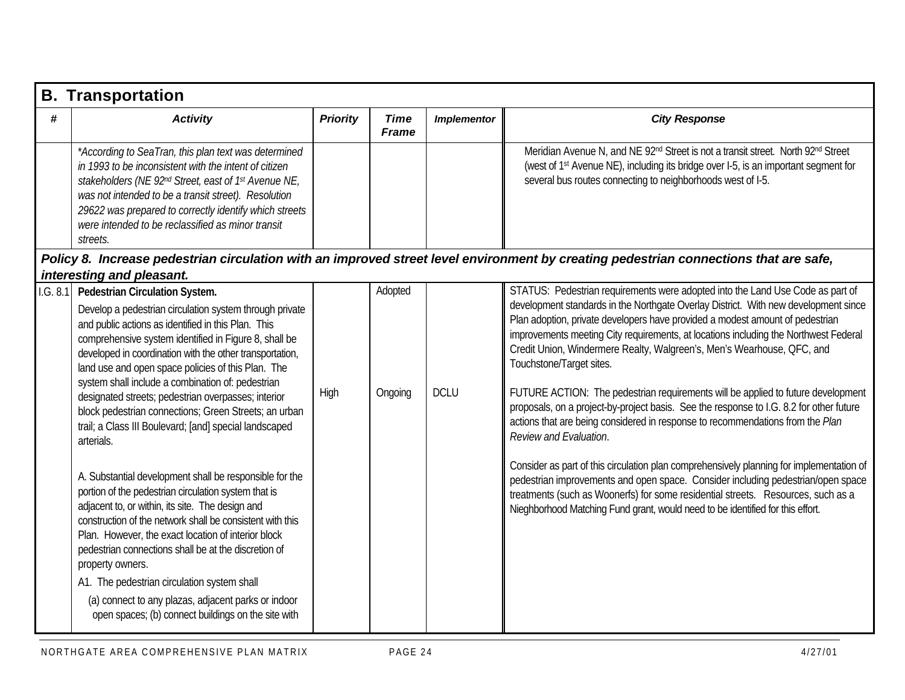|           | <b>B.</b> Transportation                                                                                                                                                                                                                                                                                                                                                                                                                                                                                                                                                                                                                                                                                                                                                                                                                                                                                                                                                                                                                                                                                                                  |                 |                             |                    |                                                                                                                                                                                                                                                                                                                                                                                                                                                                                                                                                                                                                                                                                                                                                                                                                                                                                                                                                                                                                                                                                                       |
|-----------|-------------------------------------------------------------------------------------------------------------------------------------------------------------------------------------------------------------------------------------------------------------------------------------------------------------------------------------------------------------------------------------------------------------------------------------------------------------------------------------------------------------------------------------------------------------------------------------------------------------------------------------------------------------------------------------------------------------------------------------------------------------------------------------------------------------------------------------------------------------------------------------------------------------------------------------------------------------------------------------------------------------------------------------------------------------------------------------------------------------------------------------------|-----------------|-----------------------------|--------------------|-------------------------------------------------------------------------------------------------------------------------------------------------------------------------------------------------------------------------------------------------------------------------------------------------------------------------------------------------------------------------------------------------------------------------------------------------------------------------------------------------------------------------------------------------------------------------------------------------------------------------------------------------------------------------------------------------------------------------------------------------------------------------------------------------------------------------------------------------------------------------------------------------------------------------------------------------------------------------------------------------------------------------------------------------------------------------------------------------------|
| #         | <b>Activity</b>                                                                                                                                                                                                                                                                                                                                                                                                                                                                                                                                                                                                                                                                                                                                                                                                                                                                                                                                                                                                                                                                                                                           | <b>Priority</b> | <b>Time</b><br><b>Frame</b> | <b>Implementor</b> | <b>City Response</b>                                                                                                                                                                                                                                                                                                                                                                                                                                                                                                                                                                                                                                                                                                                                                                                                                                                                                                                                                                                                                                                                                  |
|           | *According to SeaTran, this plan text was determined<br>in 1993 to be inconsistent with the intent of citizen<br>stakeholders (NE 92nd Street, east of 1 <sup>st</sup> Avenue NE,<br>was not intended to be a transit street). Resolution<br>29622 was prepared to correctly identify which streets<br>were intended to be reclassified as minor transit<br>streets.                                                                                                                                                                                                                                                                                                                                                                                                                                                                                                                                                                                                                                                                                                                                                                      |                 |                             |                    | Meridian Avenue N, and NE 92 <sup>nd</sup> Street is not a transit street. North 92 <sup>nd</sup> Street<br>(west of 1 <sup>st</sup> Avenue NE), including its bridge over I-5, is an important segment for<br>several bus routes connecting to neighborhoods west of I-5.                                                                                                                                                                                                                                                                                                                                                                                                                                                                                                                                                                                                                                                                                                                                                                                                                            |
|           |                                                                                                                                                                                                                                                                                                                                                                                                                                                                                                                                                                                                                                                                                                                                                                                                                                                                                                                                                                                                                                                                                                                                           |                 |                             |                    | Policy 8. Increase pedestrian circulation with an improved street level environment by creating pedestrian connections that are safe,                                                                                                                                                                                                                                                                                                                                                                                                                                                                                                                                                                                                                                                                                                                                                                                                                                                                                                                                                                 |
| 1. G. 8.1 | interesting and pleasant.<br>Pedestrian Circulation System.<br>Develop a pedestrian circulation system through private<br>and public actions as identified in this Plan. This<br>comprehensive system identified in Figure 8, shall be<br>developed in coordination with the other transportation,<br>land use and open space policies of this Plan. The<br>system shall include a combination of: pedestrian<br>designated streets; pedestrian overpasses; interior<br>block pedestrian connections; Green Streets; an urban<br>trail; a Class III Boulevard; [and] special landscaped<br>arterials.<br>A. Substantial development shall be responsible for the<br>portion of the pedestrian circulation system that is<br>adjacent to, or within, its site. The design and<br>construction of the network shall be consistent with this<br>Plan. However, the exact location of interior block<br>pedestrian connections shall be at the discretion of<br>property owners.<br>A1. The pedestrian circulation system shall<br>(a) connect to any plazas, adjacent parks or indoor<br>open spaces; (b) connect buildings on the site with | High            | Adopted<br>Ongoing          | <b>DCLU</b>        | STATUS: Pedestrian requirements were adopted into the Land Use Code as part of<br>development standards in the Northgate Overlay District. With new development since<br>Plan adoption, private developers have provided a modest amount of pedestrian<br>improvements meeting City requirements, at locations including the Northwest Federal<br>Credit Union, Windermere Realty, Walgreen's, Men's Wearhouse, QFC, and<br>Touchstone/Target sites.<br>FUTURE ACTION: The pedestrian requirements will be applied to future development<br>proposals, on a project-by-project basis. See the response to I.G. 8.2 for other future<br>actions that are being considered in response to recommendations from the Plan<br>Review and Evaluation.<br>Consider as part of this circulation plan comprehensively planning for implementation of<br>pedestrian improvements and open space. Consider including pedestrian/open space<br>treatments (such as Woonerfs) for some residential streets. Resources, such as a<br>Nieghborhood Matching Fund grant, would need to be identified for this effort. |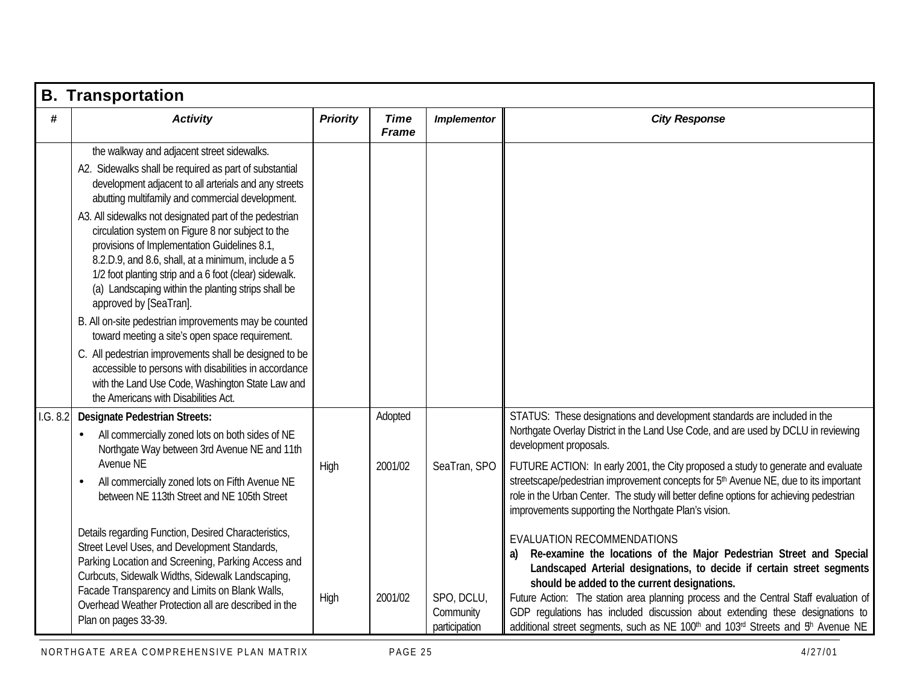|          | <b>B. Transportation</b>                                                                                                                                                                                                                                                                                                                                                                                                                                                                                                                                                                                                                                                                                                                                                                                                                                                                                      |                 |                               |                                                          |                                                                                                                                                                                                                                                                                                                                                                                                                                                                                                                                                                                                                                                                                                                                                                                                                                                                                                                                                                                                                                                                          |
|----------|---------------------------------------------------------------------------------------------------------------------------------------------------------------------------------------------------------------------------------------------------------------------------------------------------------------------------------------------------------------------------------------------------------------------------------------------------------------------------------------------------------------------------------------------------------------------------------------------------------------------------------------------------------------------------------------------------------------------------------------------------------------------------------------------------------------------------------------------------------------------------------------------------------------|-----------------|-------------------------------|----------------------------------------------------------|--------------------------------------------------------------------------------------------------------------------------------------------------------------------------------------------------------------------------------------------------------------------------------------------------------------------------------------------------------------------------------------------------------------------------------------------------------------------------------------------------------------------------------------------------------------------------------------------------------------------------------------------------------------------------------------------------------------------------------------------------------------------------------------------------------------------------------------------------------------------------------------------------------------------------------------------------------------------------------------------------------------------------------------------------------------------------|
| #        | <b>Activity</b>                                                                                                                                                                                                                                                                                                                                                                                                                                                                                                                                                                                                                                                                                                                                                                                                                                                                                               | <b>Priority</b> | <b>Time</b><br><b>Frame</b>   | <b>Implementor</b>                                       | <b>City Response</b>                                                                                                                                                                                                                                                                                                                                                                                                                                                                                                                                                                                                                                                                                                                                                                                                                                                                                                                                                                                                                                                     |
|          | the walkway and adjacent street sidewalks.<br>A2. Sidewalks shall be required as part of substantial<br>development adjacent to all arterials and any streets<br>abutting multifamily and commercial development.<br>A3. All sidewalks not designated part of the pedestrian<br>circulation system on Figure 8 nor subject to the<br>provisions of Implementation Guidelines 8.1,<br>8.2.D.9, and 8.6, shall, at a minimum, include a 5<br>1/2 foot planting strip and a 6 foot (clear) sidewalk.<br>(a) Landscaping within the planting strips shall be<br>approved by [SeaTran].<br>B. All on-site pedestrian improvements may be counted<br>toward meeting a site's open space requirement.<br>C. All pedestrian improvements shall be designed to be<br>accessible to persons with disabilities in accordance<br>with the Land Use Code, Washington State Law and<br>the Americans with Disabilities Act. |                 |                               |                                                          |                                                                                                                                                                                                                                                                                                                                                                                                                                                                                                                                                                                                                                                                                                                                                                                                                                                                                                                                                                                                                                                                          |
| 1.G. 8.2 | <b>Designate Pedestrian Streets:</b><br>All commercially zoned lots on both sides of NE<br>$\bullet$<br>Northgate Way between 3rd Avenue NE and 11th<br>Avenue NE<br>All commercially zoned lots on Fifth Avenue NE<br>between NE 113th Street and NE 105th Street<br>Details regarding Function, Desired Characteristics,<br>Street Level Uses, and Development Standards,<br>Parking Location and Screening, Parking Access and<br>Curbcuts, Sidewalk Widths, Sidewalk Landscaping,<br>Facade Transparency and Limits on Blank Walls,<br>Overhead Weather Protection all are described in the<br>Plan on pages 33-39.                                                                                                                                                                                                                                                                                       | High<br>High    | Adopted<br>2001/02<br>2001/02 | SeaTran, SPO<br>SPO, DCLU,<br>Community<br>participation | STATUS: These designations and development standards are included in the<br>Northgate Overlay District in the Land Use Code, and are used by DCLU in reviewing<br>development proposals.<br>FUTURE ACTION: In early 2001, the City proposed a study to generate and evaluate<br>streetscape/pedestrian improvement concepts for 5 <sup>th</sup> Avenue NE, due to its important<br>role in the Urban Center. The study will better define options for achieving pedestrian<br>improvements supporting the Northgate Plan's vision.<br>EVALUATION RECOMMENDATIONS<br>Re-examine the locations of the Major Pedestrian Street and Special<br>a)<br>Landscaped Arterial designations, to decide if certain street segments<br>should be added to the current designations.<br>Future Action: The station area planning process and the Central Staff evaluation of<br>GDP regulations has included discussion about extending these designations to<br>additional street segments, such as NE 100 <sup>th</sup> and 103 <sup>rd</sup> Streets and 5 <sup>th</sup> Avenue NE |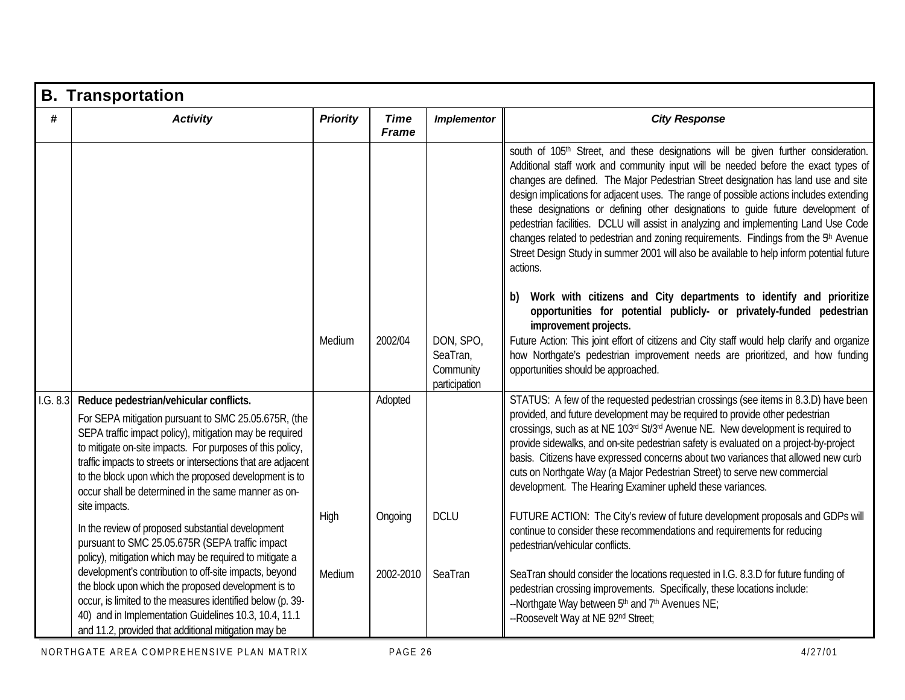|          | <b>B. Transportation</b>                                                                                                                                                                                                                                                                                                                                                                                 |                 |                             |                                                     |                                                                                                                                                                                                                                                                                                                                                                                                                                                                                                                                                                                                                                                                                                                                                              |  |  |  |  |  |
|----------|----------------------------------------------------------------------------------------------------------------------------------------------------------------------------------------------------------------------------------------------------------------------------------------------------------------------------------------------------------------------------------------------------------|-----------------|-----------------------------|-----------------------------------------------------|--------------------------------------------------------------------------------------------------------------------------------------------------------------------------------------------------------------------------------------------------------------------------------------------------------------------------------------------------------------------------------------------------------------------------------------------------------------------------------------------------------------------------------------------------------------------------------------------------------------------------------------------------------------------------------------------------------------------------------------------------------------|--|--|--|--|--|
| #        | <b>Activity</b>                                                                                                                                                                                                                                                                                                                                                                                          | <b>Priority</b> | <b>Time</b><br><b>Frame</b> | <b>Implementor</b>                                  | <b>City Response</b>                                                                                                                                                                                                                                                                                                                                                                                                                                                                                                                                                                                                                                                                                                                                         |  |  |  |  |  |
|          |                                                                                                                                                                                                                                                                                                                                                                                                          |                 |                             |                                                     | south of 105 <sup>th</sup> Street, and these designations will be given further consideration.<br>Additional staff work and community input will be needed before the exact types of<br>changes are defined. The Major Pedestrian Street designation has land use and site<br>design implications for adjacent uses. The range of possible actions includes extending<br>these designations or defining other designations to quide future development of<br>pedestrian facilities. DCLU will assist in analyzing and implementing Land Use Code<br>changes related to pedestrian and zoning requirements. Findings from the 5 <sup>th</sup> Avenue<br>Street Design Study in summer 2001 will also be available to help inform potential future<br>actions. |  |  |  |  |  |
|          |                                                                                                                                                                                                                                                                                                                                                                                                          |                 |                             |                                                     | Work with citizens and City departments to identify and prioritize<br>opportunities for potential publicly- or privately-funded pedestrian<br>improvement projects.                                                                                                                                                                                                                                                                                                                                                                                                                                                                                                                                                                                          |  |  |  |  |  |
|          |                                                                                                                                                                                                                                                                                                                                                                                                          | Medium          | 2002/04                     | DON, SPO,<br>SeaTran,<br>Community<br>participation | Future Action: This joint effort of citizens and City staff would help clarify and organize<br>how Northgate's pedestrian improvement needs are prioritized, and how funding<br>opportunities should be approached.                                                                                                                                                                                                                                                                                                                                                                                                                                                                                                                                          |  |  |  |  |  |
| 1.G. 8.3 | Reduce pedestrian/vehicular conflicts.<br>For SEPA mitigation pursuant to SMC 25.05.675R, (the<br>SEPA traffic impact policy), mitigation may be required<br>to mitigate on-site impacts. For purposes of this policy,<br>traffic impacts to streets or intersections that are adjacent<br>to the block upon which the proposed development is to<br>occur shall be determined in the same manner as on- |                 | Adopted                     |                                                     | STATUS: A few of the requested pedestrian crossings (see items in 8.3.D) have been<br>provided, and future development may be required to provide other pedestrian<br>crossings, such as at NE 103rd St/3rd Avenue NE. New development is required to<br>provide sidewalks, and on-site pedestrian safety is evaluated on a project-by-project<br>basis. Citizens have expressed concerns about two variances that allowed new curb<br>cuts on Northgate Way (a Major Pedestrian Street) to serve new commercial<br>development. The Hearing Examiner upheld these variances.                                                                                                                                                                                |  |  |  |  |  |
|          | site impacts.<br>In the review of proposed substantial development<br>pursuant to SMC 25.05.675R (SEPA traffic impact<br>policy), mitigation which may be required to mitigate a                                                                                                                                                                                                                         | High            | Ongoing                     | <b>DCLU</b>                                         | FUTURE ACTION: The City's review of future development proposals and GDPs will<br>continue to consider these recommendations and requirements for reducing<br>pedestrian/vehicular conflicts.                                                                                                                                                                                                                                                                                                                                                                                                                                                                                                                                                                |  |  |  |  |  |
|          | development's contribution to off-site impacts, beyond<br>the block upon which the proposed development is to<br>occur, is limited to the measures identified below (p. 39-<br>40) and in Implementation Guidelines 10.3, 10.4, 11.1<br>and 11.2, provided that additional mitigation may be                                                                                                             | Medium          | 2002-2010                   | SeaTran                                             | SeaTran should consider the locations requested in I.G. 8.3.D for future funding of<br>pedestrian crossing improvements. Specifically, these locations include:<br>--Northgate Way between 5 <sup>th</sup> and 7 <sup>th</sup> Avenues NE;<br>-- Roosevelt Way at NE 92nd Street;                                                                                                                                                                                                                                                                                                                                                                                                                                                                            |  |  |  |  |  |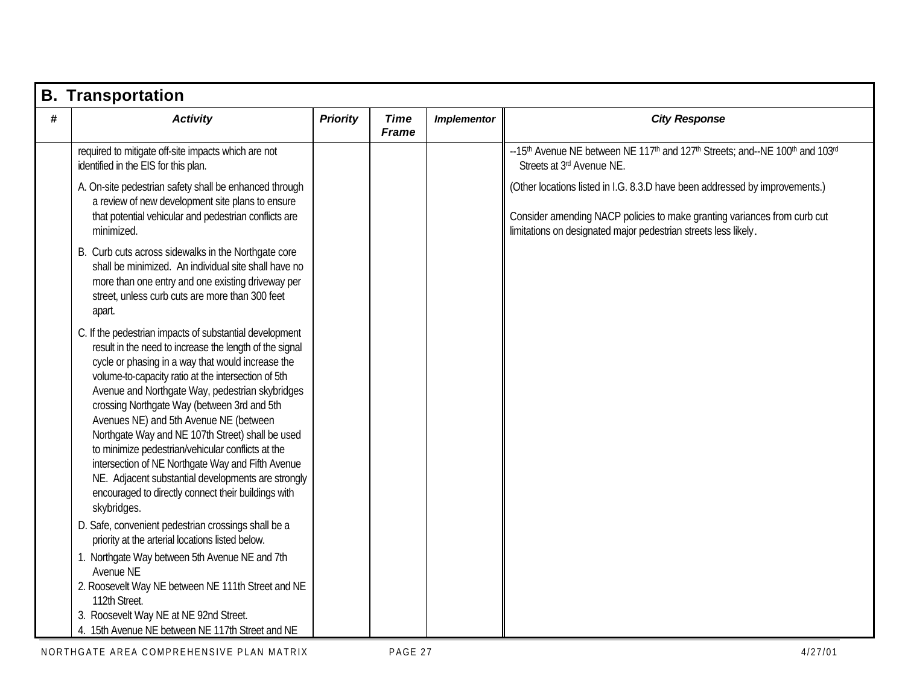|   | <b>B. Transportation</b>                                                                                                                                                                                                                                                                                                                                                                                                                                                                                                                                                                                                                                             |                 |                             |                    |                                                                                                                                                                                                                            |
|---|----------------------------------------------------------------------------------------------------------------------------------------------------------------------------------------------------------------------------------------------------------------------------------------------------------------------------------------------------------------------------------------------------------------------------------------------------------------------------------------------------------------------------------------------------------------------------------------------------------------------------------------------------------------------|-----------------|-----------------------------|--------------------|----------------------------------------------------------------------------------------------------------------------------------------------------------------------------------------------------------------------------|
| # | <b>Activity</b>                                                                                                                                                                                                                                                                                                                                                                                                                                                                                                                                                                                                                                                      | <b>Priority</b> | <b>Time</b><br><b>Frame</b> | <b>Implementor</b> | <b>City Response</b>                                                                                                                                                                                                       |
|   | required to mitigate off-site impacts which are not<br>identified in the EIS for this plan.                                                                                                                                                                                                                                                                                                                                                                                                                                                                                                                                                                          |                 |                             |                    | --15 <sup>th</sup> Avenue NE between NE 117 <sup>th</sup> and 127 <sup>th</sup> Streets; and--NE 100 <sup>th</sup> and 103 <sup>rd</sup><br>Streets at 3rd Avenue NE.                                                      |
|   | A. On-site pedestrian safety shall be enhanced through<br>a review of new development site plans to ensure<br>that potential vehicular and pedestrian conflicts are<br>minimized.                                                                                                                                                                                                                                                                                                                                                                                                                                                                                    |                 |                             |                    | (Other locations listed in I.G. 8.3.D have been addressed by improvements.)<br>Consider amending NACP policies to make granting variances from curb cut<br>limitations on designated major pedestrian streets less likely. |
|   | B. Curb cuts across sidewalks in the Northgate core<br>shall be minimized. An individual site shall have no<br>more than one entry and one existing driveway per<br>street, unless curb cuts are more than 300 feet<br>apart.                                                                                                                                                                                                                                                                                                                                                                                                                                        |                 |                             |                    |                                                                                                                                                                                                                            |
|   | C. If the pedestrian impacts of substantial development<br>result in the need to increase the length of the signal<br>cycle or phasing in a way that would increase the<br>volume-to-capacity ratio at the intersection of 5th<br>Avenue and Northgate Way, pedestrian skybridges<br>crossing Northgate Way (between 3rd and 5th<br>Avenues NE) and 5th Avenue NE (between<br>Northgate Way and NE 107th Street) shall be used<br>to minimize pedestrian/vehicular conflicts at the<br>intersection of NE Northgate Way and Fifth Avenue<br>NE. Adjacent substantial developments are strongly<br>encouraged to directly connect their buildings with<br>skybridges. |                 |                             |                    |                                                                                                                                                                                                                            |
|   | D. Safe, convenient pedestrian crossings shall be a<br>priority at the arterial locations listed below.<br>1. Northgate Way between 5th Avenue NE and 7th                                                                                                                                                                                                                                                                                                                                                                                                                                                                                                            |                 |                             |                    |                                                                                                                                                                                                                            |
|   | Avenue NE<br>2. Roosevelt Way NE between NE 111th Street and NE<br>112th Street.<br>3. Roosevelt Way NE at NE 92nd Street.<br>4. 15th Avenue NE between NE 117th Street and NE                                                                                                                                                                                                                                                                                                                                                                                                                                                                                       |                 |                             |                    |                                                                                                                                                                                                                            |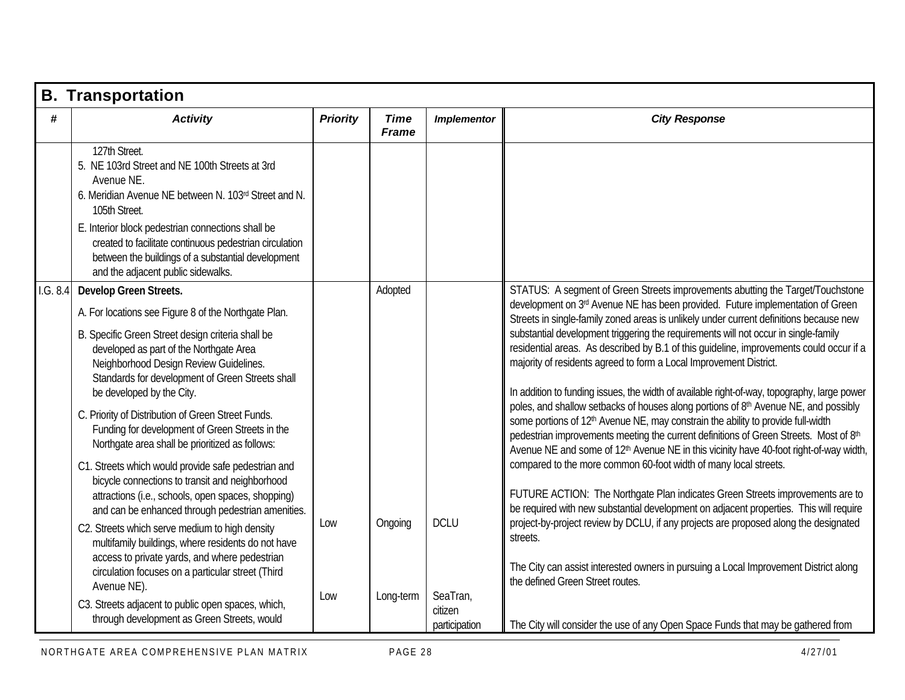|          | <b>B. Transportation</b>                                                                                                                                                                                                                                                                                                                                           |                 |                             |                          |                                                                                                                                                                                                                                                                                                                                                                                                                                              |
|----------|--------------------------------------------------------------------------------------------------------------------------------------------------------------------------------------------------------------------------------------------------------------------------------------------------------------------------------------------------------------------|-----------------|-----------------------------|--------------------------|----------------------------------------------------------------------------------------------------------------------------------------------------------------------------------------------------------------------------------------------------------------------------------------------------------------------------------------------------------------------------------------------------------------------------------------------|
| #        | <b>Activity</b>                                                                                                                                                                                                                                                                                                                                                    | <b>Priority</b> | <b>Time</b><br><b>Frame</b> | <b>Implementor</b>       | <b>City Response</b>                                                                                                                                                                                                                                                                                                                                                                                                                         |
|          | 127th Street.<br>5. NE 103rd Street and NE 100th Streets at 3rd<br>Avenue NE.<br>6. Meridian Avenue NE between N. 103rd Street and N.<br>105th Street.<br>E. Interior block pedestrian connections shall be<br>created to facilitate continuous pedestrian circulation<br>between the buildings of a substantial development<br>and the adjacent public sidewalks. |                 |                             |                          |                                                                                                                                                                                                                                                                                                                                                                                                                                              |
| 1.G. 8.4 | Develop Green Streets.<br>A. For locations see Figure 8 of the Northgate Plan.<br>B. Specific Green Street design criteria shall be<br>developed as part of the Northgate Area                                                                                                                                                                                     |                 | Adopted                     |                          | STATUS: A segment of Green Streets improvements abutting the Target/Touchstone<br>development on 3rd Avenue NE has been provided. Future implementation of Green<br>Streets in single-family zoned areas is unlikely under current definitions because new<br>substantial development triggering the requirements will not occur in single-family<br>residential areas. As described by B.1 of this guideline, improvements could occur if a |
|          | Neighborhood Design Review Guidelines.<br>Standards for development of Green Streets shall<br>be developed by the City.                                                                                                                                                                                                                                            |                 |                             |                          | majority of residents agreed to form a Local Improvement District.<br>In addition to funding issues, the width of available right-of-way, topography, large power<br>poles, and shallow setbacks of houses along portions of 8 <sup>th</sup> Avenue NE, and possibly                                                                                                                                                                         |
|          | C. Priority of Distribution of Green Street Funds.<br>Funding for development of Green Streets in the<br>Northgate area shall be prioritized as follows:                                                                                                                                                                                                           |                 |                             |                          | some portions of 12 <sup>th</sup> Avenue NE, may constrain the ability to provide full-width<br>pedestrian improvements meeting the current definitions of Green Streets. Most of 8th<br>Avenue NE and some of 12 <sup>th</sup> Avenue NE in this vicinity have 40-foot right-of-way width,                                                                                                                                                  |
|          | C1. Streets which would provide safe pedestrian and<br>bicycle connections to transit and neighborhood<br>attractions (i.e., schools, open spaces, shopping)<br>and can be enhanced through pedestrian amenities.                                                                                                                                                  |                 |                             |                          | compared to the more common 60-foot width of many local streets.<br>FUTURE ACTION: The Northgate Plan indicates Green Streets improvements are to<br>be required with new substantial development on adjacent properties. This will require                                                                                                                                                                                                  |
|          | C2. Streets which serve medium to high density<br>multifamily buildings, where residents do not have<br>access to private yards, and where pedestrian                                                                                                                                                                                                              | Low             | Ongoing                     | <b>DCLU</b>              | project-by-project review by DCLU, if any projects are proposed along the designated<br>streets.<br>The City can assist interested owners in pursuing a Local Improvement District along                                                                                                                                                                                                                                                     |
|          | circulation focuses on a particular street (Third<br>Avenue NE).<br>C3. Streets adjacent to public open spaces, which,                                                                                                                                                                                                                                             | Low             | Long-term                   | SeaTran,                 | the defined Green Street routes.                                                                                                                                                                                                                                                                                                                                                                                                             |
|          | through development as Green Streets, would                                                                                                                                                                                                                                                                                                                        |                 |                             | citizen<br>participation | The City will consider the use of any Open Space Funds that may be gathered from                                                                                                                                                                                                                                                                                                                                                             |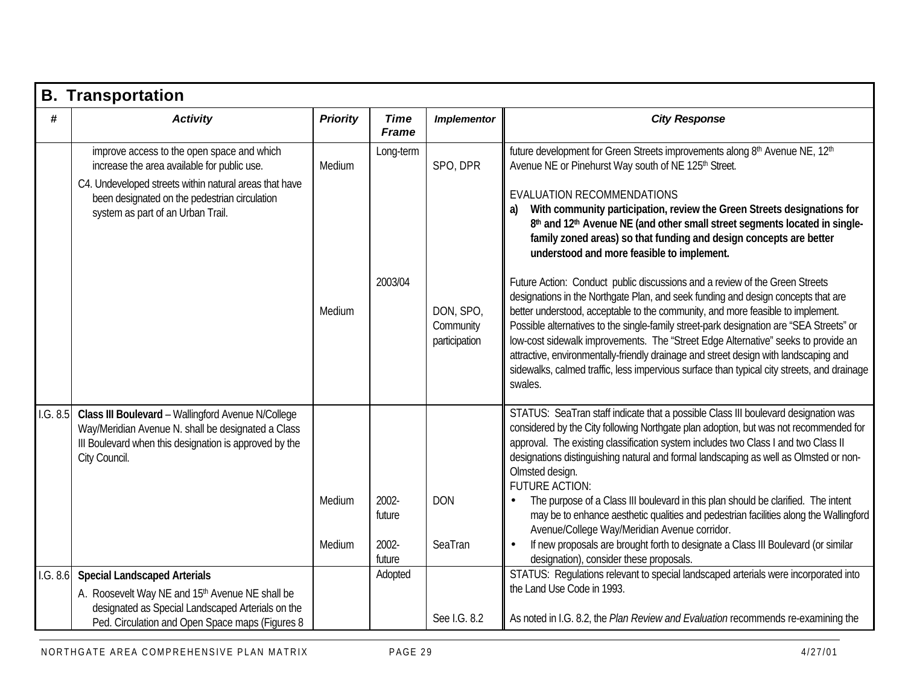|          | <b>B. Transportation</b>                                                                                                                                                                                                                  |                  |                                    |                                         |                                                                                                                                                                                                                                                                                                                                                                                                                                                                                                                                                                                                                                                                                                                                                                                   |
|----------|-------------------------------------------------------------------------------------------------------------------------------------------------------------------------------------------------------------------------------------------|------------------|------------------------------------|-----------------------------------------|-----------------------------------------------------------------------------------------------------------------------------------------------------------------------------------------------------------------------------------------------------------------------------------------------------------------------------------------------------------------------------------------------------------------------------------------------------------------------------------------------------------------------------------------------------------------------------------------------------------------------------------------------------------------------------------------------------------------------------------------------------------------------------------|
| #        | <b>Activity</b>                                                                                                                                                                                                                           | <b>Priority</b>  | <b>Time</b><br><b>Frame</b>        | <b>Implementor</b>                      | <b>City Response</b>                                                                                                                                                                                                                                                                                                                                                                                                                                                                                                                                                                                                                                                                                                                                                              |
|          | improve access to the open space and which<br>increase the area available for public use.<br>C4. Undeveloped streets within natural areas that have<br>been designated on the pedestrian circulation<br>system as part of an Urban Trail. | Medium           | Long-term                          | SPO, DPR                                | future development for Green Streets improvements along 8th Avenue NE, 12th<br>Avenue NE or Pinehurst Way south of NE 125th Street.<br><b>EVALUATION RECOMMENDATIONS</b><br>With community participation, review the Green Streets designations for<br>8th and 12th Avenue NE (and other small street segments located in single-<br>family zoned areas) so that funding and design concepts are better<br>understood and more feasible to implement.                                                                                                                                                                                                                                                                                                                             |
|          |                                                                                                                                                                                                                                           | Medium           | 2003/04                            | DON, SPO,<br>Community<br>participation | Future Action: Conduct public discussions and a review of the Green Streets<br>designations in the Northgate Plan, and seek funding and design concepts that are<br>better understood, acceptable to the community, and more feasible to implement.<br>Possible alternatives to the single-family street-park designation are "SEA Streets" or<br>low-cost sidewalk improvements. The "Street Edge Alternative" seeks to provide an<br>attractive, environmentally-friendly drainage and street design with landscaping and<br>sidewalks, calmed traffic, less impervious surface than typical city streets, and drainage<br>swales.                                                                                                                                              |
| 1.G. 8.5 | Class III Boulevard - Wallingford Avenue N/College<br>Way/Meridian Avenue N. shall be designated a Class<br>III Boulevard when this designation is approved by the<br>City Council.                                                       | Medium<br>Medium | 2002-<br>future<br>2002-<br>future | <b>DON</b><br>SeaTran                   | STATUS: SeaTran staff indicate that a possible Class III boulevard designation was<br>considered by the City following Northgate plan adoption, but was not recommended for<br>approval. The existing classification system includes two Class I and two Class II<br>designations distinguishing natural and formal landscaping as well as Olmsted or non-<br>Olmsted design.<br><b>FUTURE ACTION:</b><br>The purpose of a Class III boulevard in this plan should be clarified. The intent<br>may be to enhance aesthetic qualities and pedestrian facilities along the Wallingford<br>Avenue/College Way/Meridian Avenue corridor.<br>If new proposals are brought forth to designate a Class III Boulevard (or similar<br>$\bullet$<br>designation), consider these proposals. |
| 1.G. 8.6 | <b>Special Landscaped Arterials</b><br>A. Roosevelt Way NE and 15th Avenue NE shall be<br>designated as Special Landscaped Arterials on the<br>Ped. Circulation and Open Space maps (Figures 8                                            |                  | Adopted                            | See I.G. 8.2                            | STATUS: Regulations relevant to special landscaped arterials were incorporated into<br>the Land Use Code in 1993.<br>As noted in I.G. 8.2, the Plan Review and Evaluation recommends re-examining the                                                                                                                                                                                                                                                                                                                                                                                                                                                                                                                                                                             |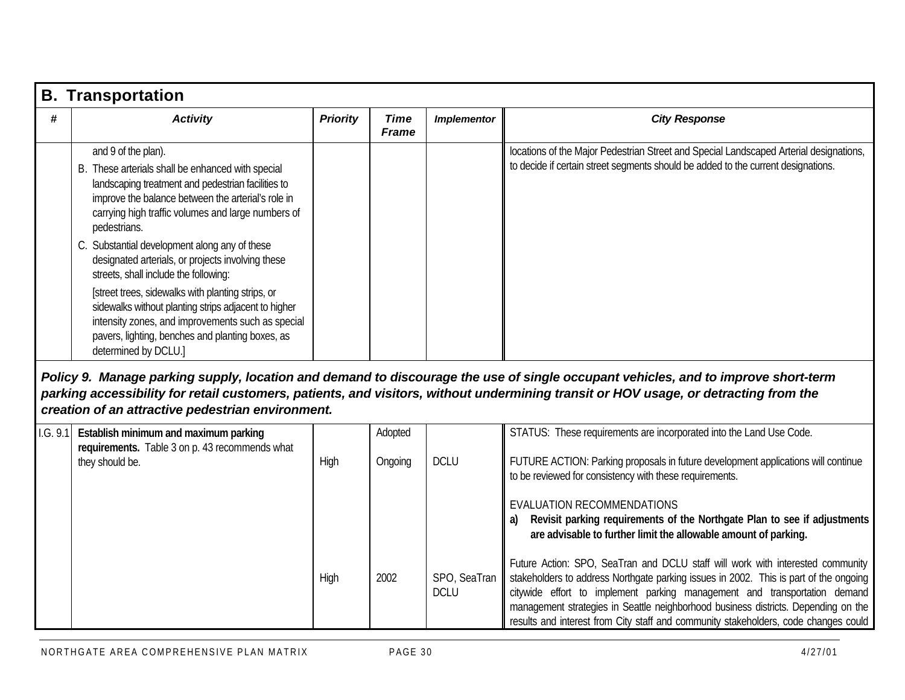|   | <b>B.</b> Transportation                                                                                                                                                                                                                                                                                                                                                                  |                 |                             |                    |                                                                                                                                                                             |
|---|-------------------------------------------------------------------------------------------------------------------------------------------------------------------------------------------------------------------------------------------------------------------------------------------------------------------------------------------------------------------------------------------|-----------------|-----------------------------|--------------------|-----------------------------------------------------------------------------------------------------------------------------------------------------------------------------|
| # | <b>Activity</b>                                                                                                                                                                                                                                                                                                                                                                           | <b>Priority</b> | <b>Time</b><br><b>Frame</b> | <b>Implementor</b> | <b>City Response</b>                                                                                                                                                        |
|   | and 9 of the plan).<br>B. These arterials shall be enhanced with special<br>landscaping treatment and pedestrian facilities to<br>improve the balance between the arterial's role in<br>carrying high traffic volumes and large numbers of<br>pedestrians.                                                                                                                                |                 |                             |                    | locations of the Major Pedestrian Street and Special Landscaped Arterial designations,<br>to decide if certain street segments should be added to the current designations. |
|   | C. Substantial development along any of these<br>designated arterials, or projects involving these<br>streets, shall include the following:<br>[street trees, sidewalks with planting strips, or<br>sidewalks without planting strips adjacent to higher<br>intensity zones, and improvements such as special<br>pavers, lighting, benches and planting boxes, as<br>determined by DCLU.] |                 |                             |                    |                                                                                                                                                                             |

#### *Policy 9. Manage parking supply, location and demand to discourage the use of single occupant vehicles, and to improve short-term parking accessibility for retail customers, patients, and visitors, without undermining transit or HOV usage, or detracting from the creation of an attractive pedestrian environment.*

| 1.G. 9.1 | Establish minimum and maximum parking<br>requirements. Table 3 on p. 43 recommends what |             | Adopted |                             | STATUS: These requirements are incorporated into the Land Use Code.                                                                                                                                                                                                                                                                                                                                                               |
|----------|-----------------------------------------------------------------------------------------|-------------|---------|-----------------------------|-----------------------------------------------------------------------------------------------------------------------------------------------------------------------------------------------------------------------------------------------------------------------------------------------------------------------------------------------------------------------------------------------------------------------------------|
|          | they should be.                                                                         | High        | Ongoing | <b>DCLU</b>                 | FUTURE ACTION: Parking proposals in future development applications will continue<br>to be reviewed for consistency with these requirements.                                                                                                                                                                                                                                                                                      |
|          |                                                                                         |             |         |                             | EVALUATION RECOMMENDATIONS<br>Revisit parking requirements of the Northgate Plan to see if adjustments<br>a)<br>are advisable to further limit the allowable amount of parking.                                                                                                                                                                                                                                                   |
|          |                                                                                         | <b>High</b> | 2002    | SPO, SeaTran<br><b>DCLU</b> | Future Action: SPO, SeaTran and DCLU staff will work with interested community<br>stakeholders to address Northgate parking issues in 2002. This is part of the ongoing<br>citywide effort to implement parking management and transportation demand<br>management strategies in Seattle neighborhood business districts. Depending on the<br>results and interest from City staff and community stakeholders, code changes could |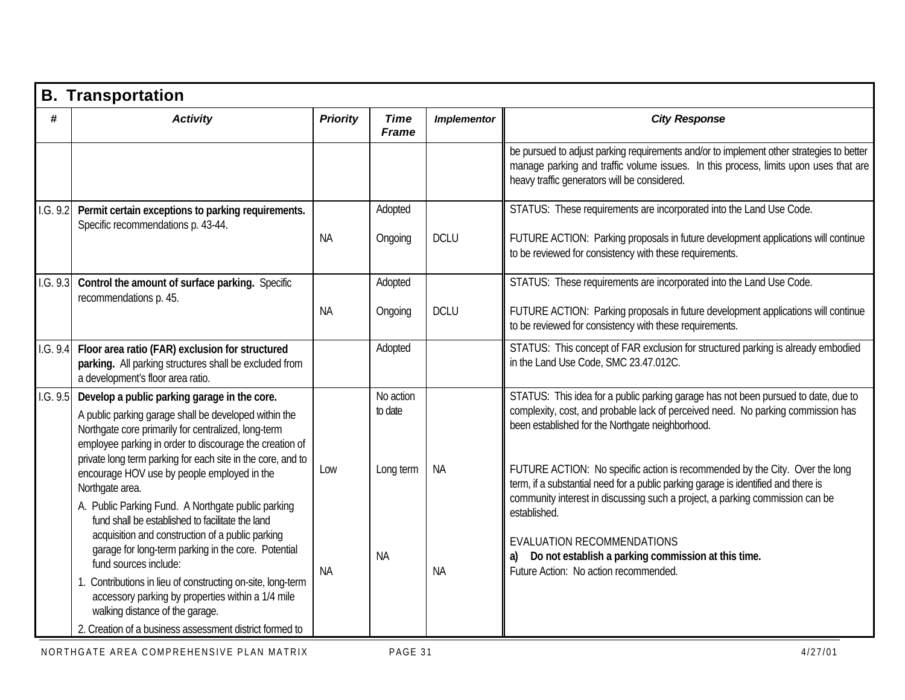|          | <b>B. Transportation</b>                                                                                                                                                                                                |                 |                             |                    |                                                                                                                                                                                                                                                   |  |  |
|----------|-------------------------------------------------------------------------------------------------------------------------------------------------------------------------------------------------------------------------|-----------------|-----------------------------|--------------------|---------------------------------------------------------------------------------------------------------------------------------------------------------------------------------------------------------------------------------------------------|--|--|
| #        | <b>Activity</b>                                                                                                                                                                                                         | <b>Priority</b> | <b>Time</b><br><b>Frame</b> | <b>Implementor</b> | <b>City Response</b>                                                                                                                                                                                                                              |  |  |
|          |                                                                                                                                                                                                                         |                 |                             |                    | be pursued to adjust parking requirements and/or to implement other strategies to better<br>manage parking and traffic volume issues. In this process, limits upon uses that are<br>heavy traffic generators will be considered.                  |  |  |
| 1.G. 9.2 | Permit certain exceptions to parking requirements.<br>Specific recommendations p. 43-44.                                                                                                                                | NA.             | Adopted<br>Ongoing          | <b>DCLU</b>        | STATUS: These requirements are incorporated into the Land Use Code.<br>FUTURE ACTION: Parking proposals in future development applications will continue<br>to be reviewed for consistency with these requirements.                               |  |  |
| 1.G. 9.3 | Control the amount of surface parking. Specific<br>recommendations p. 45.                                                                                                                                               | <b>NA</b>       | Adopted<br>Ongoing          | <b>DCLU</b>        | STATUS: These requirements are incorporated into the Land Use Code.<br>FUTURE ACTION: Parking proposals in future development applications will continue<br>to be reviewed for consistency with these requirements.                               |  |  |
| 1.G. 9.4 | Floor area ratio (FAR) exclusion for structured<br>parking. All parking structures shall be excluded from<br>a development's floor area ratio.                                                                          |                 | Adopted                     |                    | STATUS: This concept of FAR exclusion for structured parking is already embodied<br>in the Land Use Code, SMC 23.47.012C.                                                                                                                         |  |  |
| 1.G. 9.5 | Develop a public parking garage in the core.<br>A public parking garage shall be developed within the<br>Northgate core primarily for centralized, long-term<br>employee parking in order to discourage the creation of |                 | No action<br>to date        |                    | STATUS: This idea for a public parking garage has not been pursued to date, due to<br>complexity, cost, and probable lack of perceived need. No parking commission has<br>been established for the Northgate neighborhood.                        |  |  |
|          | private long term parking for each site in the core, and to<br>encourage HOV use by people employed in the<br>Northgate area.<br>A. Public Parking Fund. A Northgate public parking                                     | Low             | Long term                   | <b>NA</b>          | FUTURE ACTION: No specific action is recommended by the City. Over the long<br>term, if a substantial need for a public parking garage is identified and there is<br>community interest in discussing such a project, a parking commission can be |  |  |
|          | fund shall be established to facilitate the land<br>acquisition and construction of a public parking<br>garage for long-term parking in the core. Potential<br>fund sources include:                                    | <b>NA</b>       | <b>NA</b>                   | <b>NA</b>          | established.<br>EVALUATION RECOMMENDATIONS<br>Do not establish a parking commission at this time.<br>a)<br>Future Action: No action recommended.                                                                                                  |  |  |
|          | 1. Contributions in lieu of constructing on-site, long-term<br>accessory parking by properties within a 1/4 mile<br>walking distance of the garage.<br>2. Creation of a business assessment district formed to          |                 |                             |                    |                                                                                                                                                                                                                                                   |  |  |
|          |                                                                                                                                                                                                                         |                 |                             |                    |                                                                                                                                                                                                                                                   |  |  |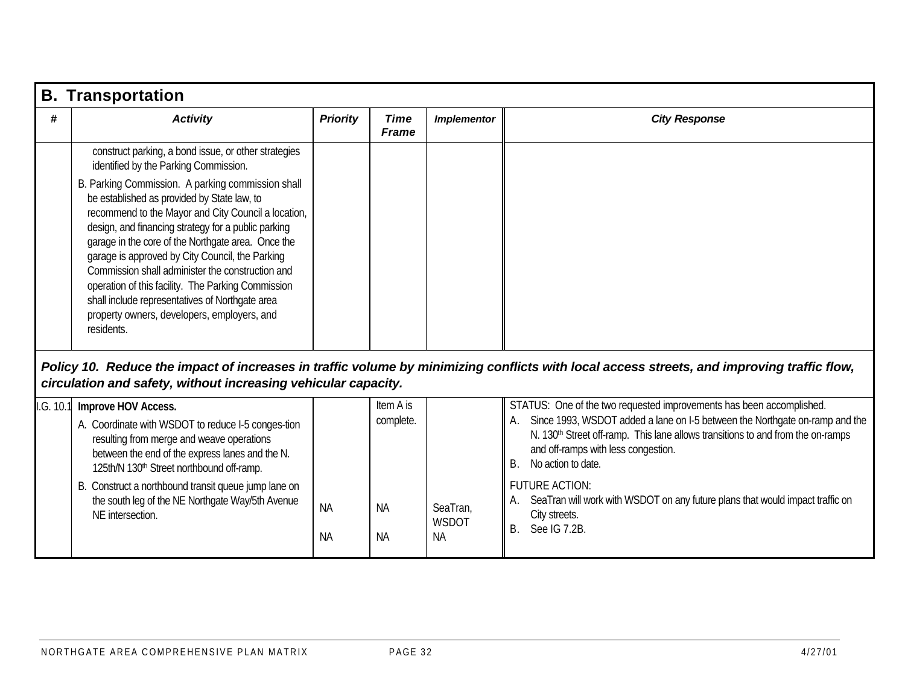|          | <b>B.</b> Transportation                                                                                                                                                                                                                                                                                                                                                                                                                      |                 |                             |                                       |                                                                                                                                                                                                                                                                                                                       |
|----------|-----------------------------------------------------------------------------------------------------------------------------------------------------------------------------------------------------------------------------------------------------------------------------------------------------------------------------------------------------------------------------------------------------------------------------------------------|-----------------|-----------------------------|---------------------------------------|-----------------------------------------------------------------------------------------------------------------------------------------------------------------------------------------------------------------------------------------------------------------------------------------------------------------------|
| #        | <b>Activity</b>                                                                                                                                                                                                                                                                                                                                                                                                                               | <b>Priority</b> | <b>Time</b><br><b>Frame</b> | <b>Implementor</b>                    | <b>City Response</b>                                                                                                                                                                                                                                                                                                  |
|          | construct parking, a bond issue, or other strategies<br>identified by the Parking Commission.<br>B. Parking Commission. A parking commission shall<br>be established as provided by State law, to                                                                                                                                                                                                                                             |                 |                             |                                       |                                                                                                                                                                                                                                                                                                                       |
|          | recommend to the Mayor and City Council a location,<br>design, and financing strategy for a public parking<br>garage in the core of the Northgate area. Once the<br>garage is approved by City Council, the Parking<br>Commission shall administer the construction and<br>operation of this facility. The Parking Commission<br>shall include representatives of Northgate area<br>property owners, developers, employers, and<br>residents. |                 |                             |                                       |                                                                                                                                                                                                                                                                                                                       |
|          | circulation and safety, without increasing vehicular capacity.                                                                                                                                                                                                                                                                                                                                                                                |                 |                             |                                       | Policy 10. Reduce the impact of increases in traffic volume by minimizing conflicts with local access streets, and improving traffic flow,                                                                                                                                                                            |
| .G. 10.1 | Improve HOV Access.<br>A. Coordinate with WSDOT to reduce I-5 conges-tion<br>resulting from merge and weave operations<br>between the end of the express lanes and the N.<br>125th/N 130 <sup>th</sup> Street northbound off-ramp.                                                                                                                                                                                                            |                 | Item A is<br>complete.      |                                       | STATUS: One of the two requested improvements has been accomplished.<br>Since 1993, WSDOT added a lane on I-5 between the Northgate on-ramp and the<br>N. 130 <sup>th</sup> Street off-ramp. This lane allows transitions to and from the on-ramps<br>and off-ramps with less congestion.<br>No action to date.<br>B. |
|          | B. Construct a northbound transit queue jump lane on<br>the south leg of the NE Northgate Way/5th Avenue<br>NE intersection.                                                                                                                                                                                                                                                                                                                  | <b>NA</b><br>NА | <b>NA</b><br>NА             | SeaTran,<br><b>WSDOT</b><br><b>NA</b> | <b>FUTURE ACTION:</b><br>SeaTran will work with WSDOT on any future plans that would impact traffic on<br>А.<br>City streets.<br>See IG 7.2B.<br>Β.                                                                                                                                                                   |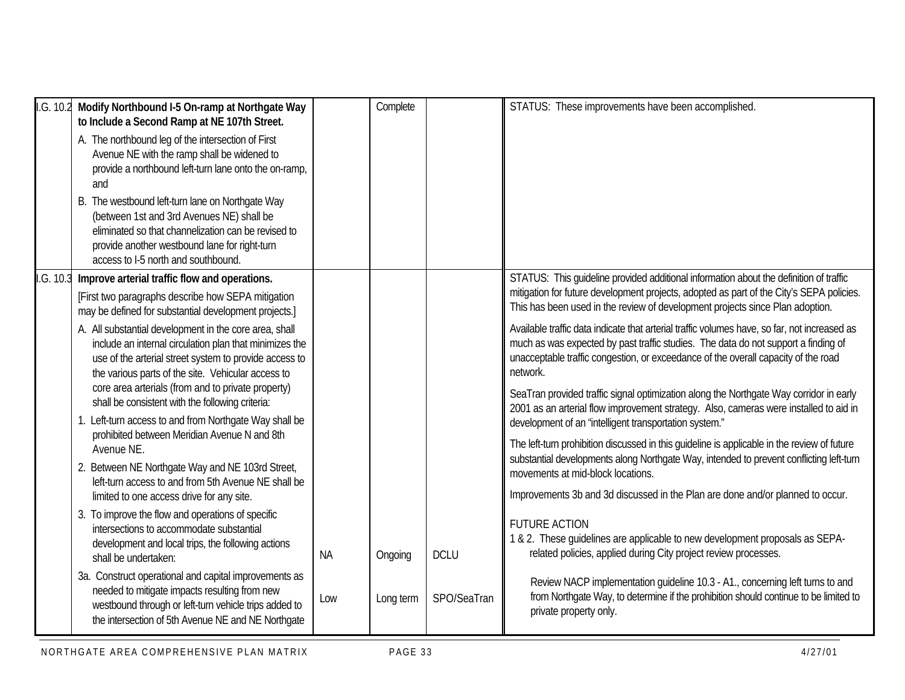| I.G. 10.2<br>Modify Northbound I-5 On-ramp at Northgate Way<br>to Include a Second Ramp at NE 107th Street.<br>A. The northbound leg of the intersection of First<br>Avenue NE with the ramp shall be widened to<br>provide a northbound left-turn lane onto the on-ramp,<br>and<br>B. The westbound left-turn lane on Northgate Way<br>(between 1st and 3rd Avenues NE) shall be<br>eliminated so that channelization can be revised to<br>provide another westbound lane for right-turn<br>access to I-5 north and southbound.                                                                                                                                                                                                                                                                                                                                                                                                                                                                                                                                                                                                                                                                                 |                  | Complete             |                            | STATUS: These improvements have been accomplished.                                                                                                                                                                                                                                                                                                                                                                                                                                                                                                                                                                                                                                                                                                                                                                                                                                                                                                                                                                                                                                                                                                                                                                                                                                                                                                                                                                                                                                                      |
|------------------------------------------------------------------------------------------------------------------------------------------------------------------------------------------------------------------------------------------------------------------------------------------------------------------------------------------------------------------------------------------------------------------------------------------------------------------------------------------------------------------------------------------------------------------------------------------------------------------------------------------------------------------------------------------------------------------------------------------------------------------------------------------------------------------------------------------------------------------------------------------------------------------------------------------------------------------------------------------------------------------------------------------------------------------------------------------------------------------------------------------------------------------------------------------------------------------|------------------|----------------------|----------------------------|---------------------------------------------------------------------------------------------------------------------------------------------------------------------------------------------------------------------------------------------------------------------------------------------------------------------------------------------------------------------------------------------------------------------------------------------------------------------------------------------------------------------------------------------------------------------------------------------------------------------------------------------------------------------------------------------------------------------------------------------------------------------------------------------------------------------------------------------------------------------------------------------------------------------------------------------------------------------------------------------------------------------------------------------------------------------------------------------------------------------------------------------------------------------------------------------------------------------------------------------------------------------------------------------------------------------------------------------------------------------------------------------------------------------------------------------------------------------------------------------------------|
| I.G. 10.3<br>Improve arterial traffic flow and operations.<br>[First two paragraphs describe how SEPA mitigation<br>may be defined for substantial development projects.]<br>A. All substantial development in the core area, shall<br>include an internal circulation plan that minimizes the<br>use of the arterial street system to provide access to<br>the various parts of the site. Vehicular access to<br>core area arterials (from and to private property)<br>shall be consistent with the following criteria:<br>1. Left-turn access to and from Northgate Way shall be<br>prohibited between Meridian Avenue N and 8th<br>Avenue NE.<br>2. Between NE Northgate Way and NE 103rd Street,<br>left-turn access to and from 5th Avenue NE shall be<br>limited to one access drive for any site.<br>3. To improve the flow and operations of specific<br>intersections to accommodate substantial<br>development and local trips, the following actions<br>shall be undertaken:<br>3a. Construct operational and capital improvements as<br>needed to mitigate impacts resulting from new<br>westbound through or left-turn vehicle trips added to<br>the intersection of 5th Avenue NE and NE Northgate | <b>NA</b><br>Low | Ongoing<br>Long term | <b>DCLU</b><br>SPO/SeaTran | STATUS: This guideline provided additional information about the definition of traffic<br>mitigation for future development projects, adopted as part of the City's SEPA policies.<br>This has been used in the review of development projects since Plan adoption.<br>Available traffic data indicate that arterial traffic volumes have, so far, not increased as<br>much as was expected by past traffic studies. The data do not support a finding of<br>unacceptable traffic congestion, or exceedance of the overall capacity of the road<br>network.<br>SeaTran provided traffic signal optimization along the Northgate Way corridor in early<br>2001 as an arterial flow improvement strategy. Also, cameras were installed to aid in<br>development of an "intelligent transportation system."<br>The left-turn prohibition discussed in this guideline is applicable in the review of future<br>substantial developments along Northgate Way, intended to prevent conflicting left-turn<br>movements at mid-block locations.<br>Improvements 3b and 3d discussed in the Plan are done and/or planned to occur.<br><b>FUTURE ACTION</b><br>1 & 2. These guidelines are applicable to new development proposals as SEPA-<br>related policies, applied during City project review processes.<br>Review NACP implementation guideline 10.3 - A1., concerning left turns to and<br>from Northgate Way, to determine if the prohibition should continue to be limited to<br>private property only. |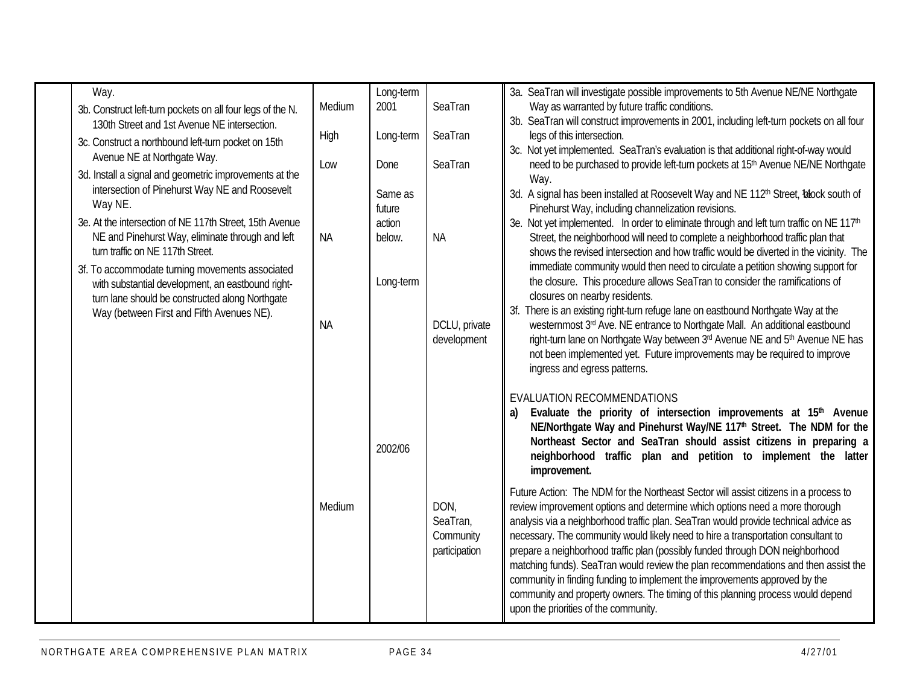| Way.<br>3b. Construct left-turn pockets on all four legs of the N.<br>130th Street and 1st Avenue NE intersection.<br>3c. Construct a northbound left-turn pocket on 15th<br>Avenue NE at Northgate Way.                                 | Medium<br>High<br>Low | Long-term<br>2001<br>Long-term<br>Done                     | SeaTran<br>SeaTran<br>SeaTran                                                                                                                                                                                                                                                                                                                      | 3a. SeaTran will investigate possible improvements to 5th Avenue NE/NE Northgate<br>Way as warranted by future traffic conditions.<br>3b. SeaTran will construct improvements in 2001, including left-turn pockets on all four<br>legs of this intersection.<br>3c. Not yet implemented. SeaTran's evaluation is that additional right-of-way would<br>need to be purchased to provide left-turn pockets at 15 <sup>th</sup> Avenue NE/NE Northgate                                                                                                                                                                                                                                                                              |
|------------------------------------------------------------------------------------------------------------------------------------------------------------------------------------------------------------------------------------------|-----------------------|------------------------------------------------------------|----------------------------------------------------------------------------------------------------------------------------------------------------------------------------------------------------------------------------------------------------------------------------------------------------------------------------------------------------|----------------------------------------------------------------------------------------------------------------------------------------------------------------------------------------------------------------------------------------------------------------------------------------------------------------------------------------------------------------------------------------------------------------------------------------------------------------------------------------------------------------------------------------------------------------------------------------------------------------------------------------------------------------------------------------------------------------------------------|
| 3d. Install a signal and geometric improvements at the<br>intersection of Pinehurst Way NE and Roosevelt<br>Way NE.<br>3e. At the intersection of NE 117th Street, 15th Avenue<br>NE and Pinehurst Way, eliminate through and left       | <b>NA</b>             | Way.<br>Same as<br>future<br>action<br><b>NA</b><br>below. | 3d. A signal has been installed at Roosevelt Way and NE 112 <sup>th</sup> Street, Iblock south of<br>Pinehurst Way, including channelization revisions.<br>3e. Not yet implemented. In order to eliminate through and left turn traffic on NE 117 <sup>th</sup><br>Street, the neighborhood will need to complete a neighborhood traffic plan that |                                                                                                                                                                                                                                                                                                                                                                                                                                                                                                                                                                                                                                                                                                                                  |
| turn traffic on NE 117th Street.<br>3f. To accommodate turning movements associated<br>with substantial development, an eastbound right-<br>turn lane should be constructed along Northgate<br>Way (between First and Fifth Avenues NE). | <b>NA</b>             | Long-term                                                  | DCLU, private<br>development                                                                                                                                                                                                                                                                                                                       | shows the revised intersection and how traffic would be diverted in the vicinity. The<br>immediate community would then need to circulate a petition showing support for<br>the closure. This procedure allows SeaTran to consider the ramifications of<br>closures on nearby residents.<br>3f. There is an existing right-turn refuge lane on eastbound Northgate Way at the<br>westernmost 3rd Ave. NE entrance to Northgate Mall. An additional eastbound<br>right-turn lane on Northgate Way between 3rd Avenue NE and 5th Avenue NE has<br>not been implemented yet. Future improvements may be required to improve<br>ingress and egress patterns.                                                                         |
|                                                                                                                                                                                                                                          |                       | 2002/06                                                    |                                                                                                                                                                                                                                                                                                                                                    | EVALUATION RECOMMENDATIONS<br>Evaluate the priority of intersection improvements at 15 <sup>th</sup> Avenue<br>a)<br>NE/Northgate Way and Pinehurst Way/NE 117 <sup>th</sup> Street. The NDM for the<br>Northeast Sector and SeaTran should assist citizens in preparing a<br>neighborhood traffic plan and petition to implement the latter<br>improvement.                                                                                                                                                                                                                                                                                                                                                                     |
|                                                                                                                                                                                                                                          | Medium                |                                                            | DON,<br>SeaTran,<br>Community<br>participation                                                                                                                                                                                                                                                                                                     | Future Action: The NDM for the Northeast Sector will assist citizens in a process to<br>review improvement options and determine which options need a more thorough<br>analysis via a neighborhood traffic plan. SeaTran would provide technical advice as<br>necessary. The community would likely need to hire a transportation consultant to<br>prepare a neighborhood traffic plan (possibly funded through DON neighborhood<br>matching funds). SeaTran would review the plan recommendations and then assist the<br>community in finding funding to implement the improvements approved by the<br>community and property owners. The timing of this planning process would depend<br>upon the priorities of the community. |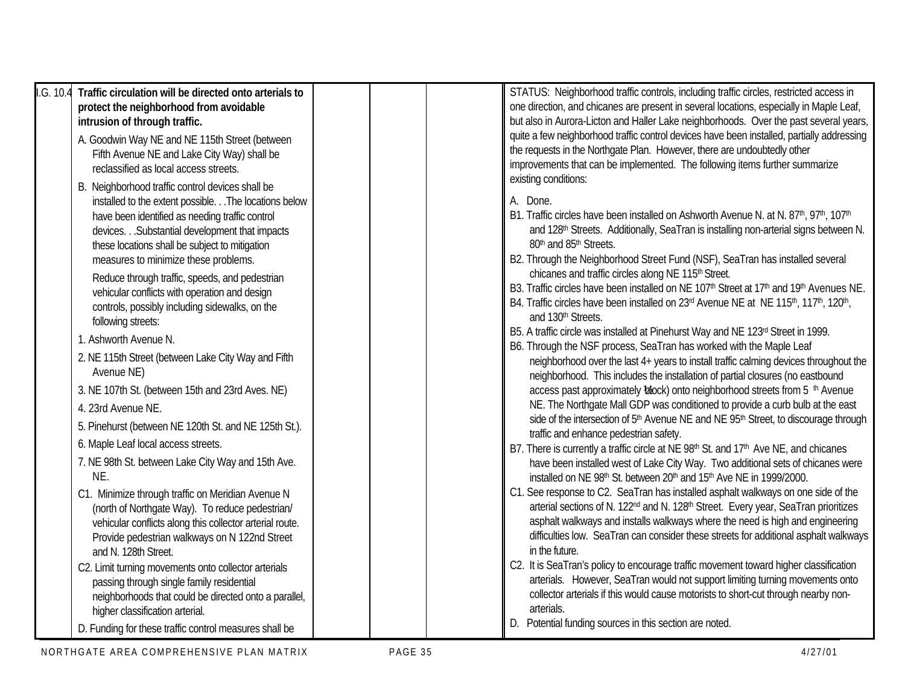| I.G. 10.4<br>Traffic circulation will be directed onto arterials to<br>protect the neighborhood from avoidable<br>intrusion of through traffic.<br>A. Goodwin Way NE and NE 115th Street (between<br>Fifth Avenue NE and Lake City Way) shall be<br>reclassified as local access streets.<br>B. Neighborhood traffic control devices shall be                                                                                                           | STATUS: Neighborhood traffic controls, including traffic circles, restricted access in<br>one direction, and chicanes are present in several locations, especially in Maple Leaf,<br>but also in Aurora-Licton and Haller Lake neighborhoods. Over the past several years,<br>quite a few neighborhood traffic control devices have been installed, partially addressing<br>the requests in the Northgate Plan. However, there are undoubtedly other<br>improvements that can be implemented. The following items further summarize<br>existing conditions:                                                                                                                                                                                                                                 |
|---------------------------------------------------------------------------------------------------------------------------------------------------------------------------------------------------------------------------------------------------------------------------------------------------------------------------------------------------------------------------------------------------------------------------------------------------------|---------------------------------------------------------------------------------------------------------------------------------------------------------------------------------------------------------------------------------------------------------------------------------------------------------------------------------------------------------------------------------------------------------------------------------------------------------------------------------------------------------------------------------------------------------------------------------------------------------------------------------------------------------------------------------------------------------------------------------------------------------------------------------------------|
| installed to the extent possible. The locations below<br>have been identified as needing traffic control<br>devices. Substantial development that impacts<br>these locations shall be subject to mitigation<br>measures to minimize these problems.<br>Reduce through traffic, speeds, and pedestrian<br>vehicular conflicts with operation and design<br>controls, possibly including sidewalks, on the<br>following streets:<br>1. Ashworth Avenue N. | A. Done.<br>B1. Traffic circles have been installed on Ashworth Avenue N. at N. 87th, 97th, 107th<br>and 128 <sup>th</sup> Streets. Additionally, SeaTran is installing non-arterial signs between N.<br>80th and 85th Streets.<br>B2. Through the Neighborhood Street Fund (NSF), SeaTran has installed several<br>chicanes and traffic circles along NE 115th Street.<br>B3. Traffic circles have been installed on NE 107 <sup>th</sup> Street at 17 <sup>th</sup> and 19 <sup>th</sup> Avenues NE.<br>B4. Traffic circles have been installed on 23rd Avenue NE at NE 115th, 117th, 120th,<br>and 130 <sup>th</sup> Streets.<br>B5. A traffic circle was installed at Pinehurst Way and NE 123rd Street in 1999.<br>B6. Through the NSF process, SeaTran has worked with the Maple Leaf |
| 2. NE 115th Street (between Lake City Way and Fifth<br>Avenue NE)                                                                                                                                                                                                                                                                                                                                                                                       | neighborhood over the last 4+ years to install traffic calming devices throughout the<br>neighborhood. This includes the installation of partial closures (no eastbound                                                                                                                                                                                                                                                                                                                                                                                                                                                                                                                                                                                                                     |
| 3. NE 107th St. (between 15th and 23rd Aves. NE)<br>4. 23rd Avenue NE.                                                                                                                                                                                                                                                                                                                                                                                  | access past approximately block) onto neighborhood streets from 5 <sup>th</sup> Avenue<br>NE. The Northgate Mall GDP was conditioned to provide a curb bulb at the east                                                                                                                                                                                                                                                                                                                                                                                                                                                                                                                                                                                                                     |
| 5. Pinehurst (between NE 120th St. and NE 125th St.).<br>6. Maple Leaf local access streets.                                                                                                                                                                                                                                                                                                                                                            | side of the intersection of 5 <sup>th</sup> Avenue NE and NE 95 <sup>th</sup> Street, to discourage through<br>traffic and enhance pedestrian safety.                                                                                                                                                                                                                                                                                                                                                                                                                                                                                                                                                                                                                                       |
| 7. NE 98th St. between Lake City Way and 15th Ave.<br>NE.                                                                                                                                                                                                                                                                                                                                                                                               | B7. There is currently a traffic circle at NE 98 <sup>th</sup> St. and 17 <sup>th</sup> Ave NE, and chicanes<br>have been installed west of Lake City Way. Two additional sets of chicanes were<br>installed on NE 98th St. between 20th and 15th Ave NE in 1999/2000.                                                                                                                                                                                                                                                                                                                                                                                                                                                                                                                      |
| C1. Minimize through traffic on Meridian Avenue N<br>(north of Northgate Way). To reduce pedestrian/<br>vehicular conflicts along this collector arterial route.<br>Provide pedestrian walkways on N 122nd Street<br>and N. 128th Street.                                                                                                                                                                                                               | C1. See response to C2. SeaTran has installed asphalt walkways on one side of the<br>arterial sections of N. 122 <sup>nd</sup> and N. 128 <sup>th</sup> Street. Every year, SeaTran prioritizes<br>asphalt walkways and installs walkways where the need is high and engineering<br>difficulties low. SeaTran can consider these streets for additional asphalt walkways<br>in the future.                                                                                                                                                                                                                                                                                                                                                                                                  |
| C2. Limit turning movements onto collector arterials<br>passing through single family residential<br>neighborhoods that could be directed onto a parallel,<br>higher classification arterial.                                                                                                                                                                                                                                                           | C2. It is SeaTran's policy to encourage traffic movement toward higher classification<br>arterials. However, SeaTran would not support limiting turning movements onto<br>collector arterials if this would cause motorists to short-cut through nearby non-<br>arterials.<br>D. Potential funding sources in this section are noted.                                                                                                                                                                                                                                                                                                                                                                                                                                                       |
| D. Funding for these traffic control measures shall be                                                                                                                                                                                                                                                                                                                                                                                                  |                                                                                                                                                                                                                                                                                                                                                                                                                                                                                                                                                                                                                                                                                                                                                                                             |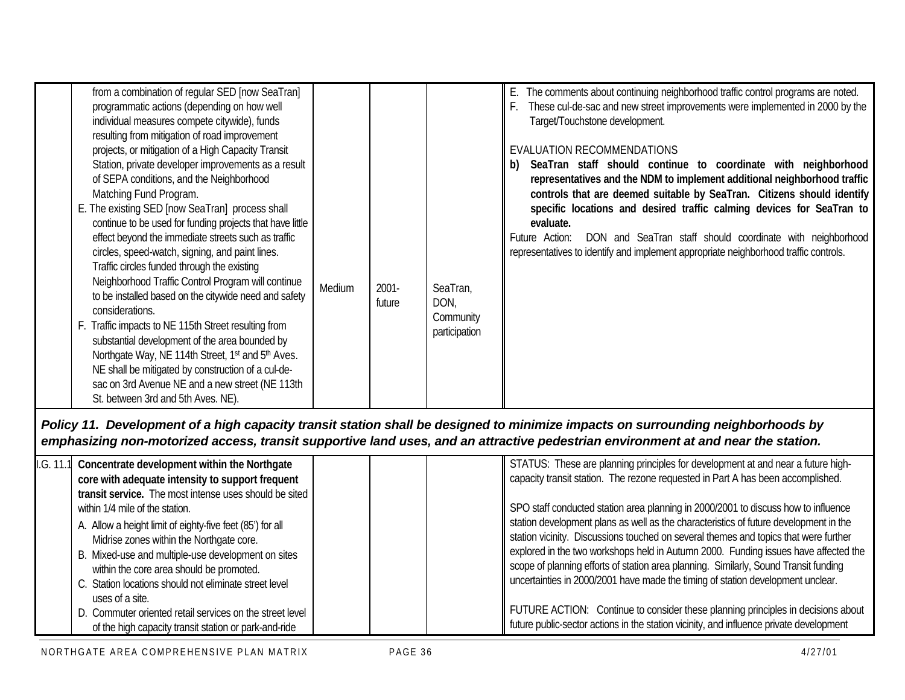| from a combination of regular SED [now SeaTran]<br>programmatic actions (depending on how well<br>individual measures compete citywide), funds<br>resulting from mitigation of road improvement<br>projects, or mitigation of a High Capacity Transit<br>Station, private developer improvements as a result<br>of SEPA conditions, and the Neighborhood<br>Matching Fund Program.<br>E. The existing SED [now SeaTran] process shall<br>continue to be used for funding projects that have little<br>effect beyond the immediate streets such as traffic<br>circles, speed-watch, signing, and paint lines.<br>Traffic circles funded through the existing<br>Neighborhood Traffic Control Program will continue<br>to be installed based on the citywide need and safety<br>considerations.<br>F. Traffic impacts to NE 115th Street resulting from<br>substantial development of the area bounded by<br>Northgate Way, NE 114th Street, 1 <sup>st</sup> and 5 <sup>th</sup> Aves.<br>NE shall be mitigated by construction of a cul-de-<br>sac on 3rd Avenue NE and a new street (NE 113th<br>St. between 3rd and 5th Aves. NE). | Medium | $2001 -$<br>future | SeaTran,<br>DON,<br>Community<br>participation | E. The comments about continuing neighborhood traffic control programs are noted.<br>These cul-de-sac and new street improvements were implemented in 2000 by the<br>Target/Touchstone development.<br>EVALUATION RECOMMENDATIONS<br>SeaTran staff should continue to coordinate with neighborhood<br>b)<br>representatives and the NDM to implement additional neighborhood traffic<br>controls that are deemed suitable by SeaTran. Citizens should identify<br>specific locations and desired traffic calming devices for SeaTran to<br>evaluate.<br>DON and SeaTran staff should coordinate with neighborhood<br>Future Action:<br>representatives to identify and implement appropriate neighborhood traffic controls. |
|-------------------------------------------------------------------------------------------------------------------------------------------------------------------------------------------------------------------------------------------------------------------------------------------------------------------------------------------------------------------------------------------------------------------------------------------------------------------------------------------------------------------------------------------------------------------------------------------------------------------------------------------------------------------------------------------------------------------------------------------------------------------------------------------------------------------------------------------------------------------------------------------------------------------------------------------------------------------------------------------------------------------------------------------------------------------------------------------------------------------------------------|--------|--------------------|------------------------------------------------|-----------------------------------------------------------------------------------------------------------------------------------------------------------------------------------------------------------------------------------------------------------------------------------------------------------------------------------------------------------------------------------------------------------------------------------------------------------------------------------------------------------------------------------------------------------------------------------------------------------------------------------------------------------------------------------------------------------------------------|
|-------------------------------------------------------------------------------------------------------------------------------------------------------------------------------------------------------------------------------------------------------------------------------------------------------------------------------------------------------------------------------------------------------------------------------------------------------------------------------------------------------------------------------------------------------------------------------------------------------------------------------------------------------------------------------------------------------------------------------------------------------------------------------------------------------------------------------------------------------------------------------------------------------------------------------------------------------------------------------------------------------------------------------------------------------------------------------------------------------------------------------------|--------|--------------------|------------------------------------------------|-----------------------------------------------------------------------------------------------------------------------------------------------------------------------------------------------------------------------------------------------------------------------------------------------------------------------------------------------------------------------------------------------------------------------------------------------------------------------------------------------------------------------------------------------------------------------------------------------------------------------------------------------------------------------------------------------------------------------------|

*Policy 11. Development of a high capacity transit station shall be designed to minimize impacts on surrounding neighborhoods by emphasizing non-motorized access, transit supportive land uses, and an attractive pedestrian environment at and near the station.*

| 1. G. 11.1 | Concentrate development within the Northgate<br>core with adequate intensity to support frequent                                                                                                                                                                                                                                                                                  | STATUS: These are planning principles for development at and near a future high-<br>capacity transit station. The rezone requested in Part A has been accomplished.                                                                                                                                                                                                                                                                                                                                                                   |
|------------|-----------------------------------------------------------------------------------------------------------------------------------------------------------------------------------------------------------------------------------------------------------------------------------------------------------------------------------------------------------------------------------|---------------------------------------------------------------------------------------------------------------------------------------------------------------------------------------------------------------------------------------------------------------------------------------------------------------------------------------------------------------------------------------------------------------------------------------------------------------------------------------------------------------------------------------|
|            | transit service. The most intense uses should be sited<br>within 1/4 mile of the station.<br>A. Allow a height limit of eighty-five feet (85') for all<br>Midrise zones within the Northgate core.<br>B. Mixed-use and multiple-use development on sites<br>within the core area should be promoted.<br>C. Station locations should not eliminate street level<br>uses of a site. | SPO staff conducted station area planning in 2000/2001 to discuss how to influence<br>station development plans as well as the characteristics of future development in the<br>station vicinity. Discussions touched on several themes and topics that were further<br>explored in the two workshops held in Autumn 2000. Funding issues have affected the<br>scope of planning efforts of station area planning. Similarly, Sound Transit funding<br>uncertainties in 2000/2001 have made the timing of station development unclear. |
|            | D. Commuter oriented retail services on the street level<br>of the high capacity transit station or park-and-ride                                                                                                                                                                                                                                                                 | FUTURE ACTION: Continue to consider these planning principles in decisions about<br>future public-sector actions in the station vicinity, and influence private development                                                                                                                                                                                                                                                                                                                                                           |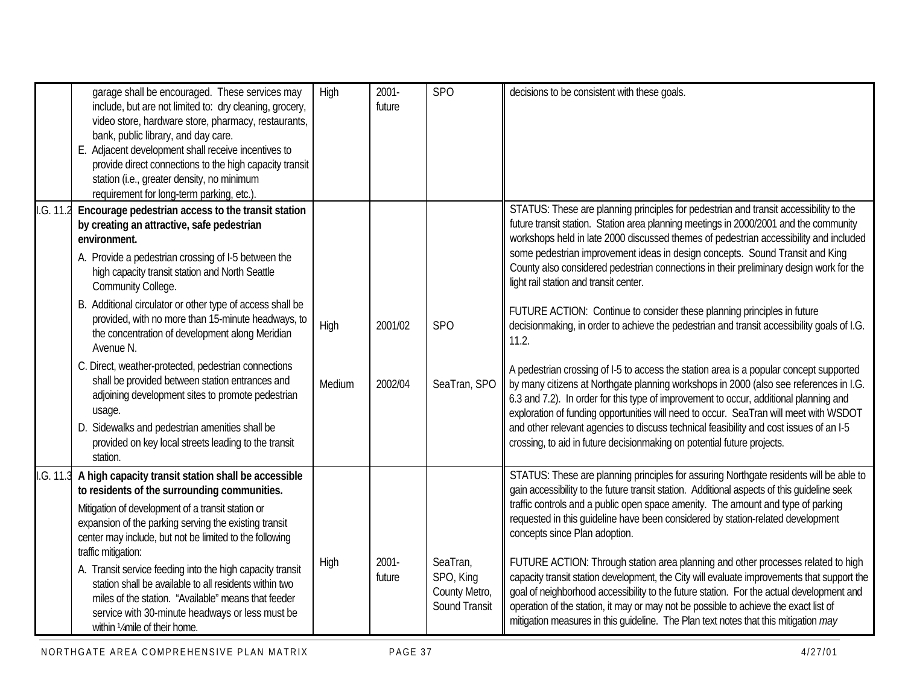|           | garage shall be encouraged. These services may<br>include, but are not limited to: dry cleaning, grocery,<br>video store, hardware store, pharmacy, restaurants,<br>bank, public library, and day care.<br>E. Adjacent development shall receive incentives to<br>provide direct connections to the high capacity transit<br>station (i.e., greater density, no minimum<br>requirement for long-term parking, etc.).                                                                                                                                                                                                                                                                                                                | High           | $2001 -$<br>future | <b>SPO</b>                                              | decisions to be consistent with these goals.                                                                                                                                                                                                                                                                                                                                                                                                                                                                                                                                                                                                                                                                                                                                                                                                                                                                                                                                                                                                                                                                                                                                                                            |
|-----------|-------------------------------------------------------------------------------------------------------------------------------------------------------------------------------------------------------------------------------------------------------------------------------------------------------------------------------------------------------------------------------------------------------------------------------------------------------------------------------------------------------------------------------------------------------------------------------------------------------------------------------------------------------------------------------------------------------------------------------------|----------------|--------------------|---------------------------------------------------------|-------------------------------------------------------------------------------------------------------------------------------------------------------------------------------------------------------------------------------------------------------------------------------------------------------------------------------------------------------------------------------------------------------------------------------------------------------------------------------------------------------------------------------------------------------------------------------------------------------------------------------------------------------------------------------------------------------------------------------------------------------------------------------------------------------------------------------------------------------------------------------------------------------------------------------------------------------------------------------------------------------------------------------------------------------------------------------------------------------------------------------------------------------------------------------------------------------------------------|
| I.G. 11.2 | Encourage pedestrian access to the transit station<br>by creating an attractive, safe pedestrian<br>environment.<br>A. Provide a pedestrian crossing of I-5 between the<br>high capacity transit station and North Seattle<br>Community College.<br>B. Additional circulator or other type of access shall be<br>provided, with no more than 15-minute headways, to<br>the concentration of development along Meridian<br>Avenue N.<br>C. Direct, weather-protected, pedestrian connections<br>shall be provided between station entrances and<br>adjoining development sites to promote pedestrian<br>usage.<br>D. Sidewalks and pedestrian amenities shall be<br>provided on key local streets leading to the transit<br>station. | High<br>Medium | 2001/02<br>2002/04 | <b>SPO</b><br>SeaTran, SPO                              | STATUS: These are planning principles for pedestrian and transit accessibility to the<br>future transit station. Station area planning meetings in 2000/2001 and the community<br>workshops held in late 2000 discussed themes of pedestrian accessibility and included<br>some pedestrian improvement ideas in design concepts. Sound Transit and King<br>County also considered pedestrian connections in their preliminary design work for the<br>light rail station and transit center.<br>FUTURE ACTION: Continue to consider these planning principles in future<br>decisionmaking, in order to achieve the pedestrian and transit accessibility goals of I.G.<br>11.2.<br>A pedestrian crossing of I-5 to access the station area is a popular concept supported<br>by many citizens at Northgate planning workshops in 2000 (also see references in I.G.<br>6.3 and 7.2). In order for this type of improvement to occur, additional planning and<br>exploration of funding opportunities will need to occur. SeaTran will meet with WSDOT<br>and other relevant agencies to discuss technical feasibility and cost issues of an I-5<br>crossing, to aid in future decisionmaking on potential future projects. |
| I.G. 11.3 | A high capacity transit station shall be accessible<br>to residents of the surrounding communities.<br>Mitigation of development of a transit station or<br>expansion of the parking serving the existing transit<br>center may include, but not be limited to the following<br>traffic mitigation:<br>A. Transit service feeding into the high capacity transit<br>station shall be available to all residents within two<br>miles of the station. "Available" means that feeder<br>service with 30-minute headways or less must be<br>within 1/4 mile of their home.                                                                                                                                                              | High           | $2001 -$<br>future | SeaTran,<br>SPO, King<br>County Metro,<br>Sound Transit | STATUS: These are planning principles for assuring Northgate residents will be able to<br>gain accessibility to the future transit station. Additional aspects of this quideline seek<br>traffic controls and a public open space amenity. The amount and type of parking<br>requested in this guideline have been considered by station-related development<br>concepts since Plan adoption.<br>FUTURE ACTION: Through station area planning and other processes related to high<br>capacity transit station development, the City will evaluate improvements that support the<br>goal of neighborhood accessibility to the future station. For the actual development and<br>operation of the station, it may or may not be possible to achieve the exact list of<br>mitigation measures in this guideline. The Plan text notes that this mitigation may                                                                                                                                                                                                                                                                                                                                                              |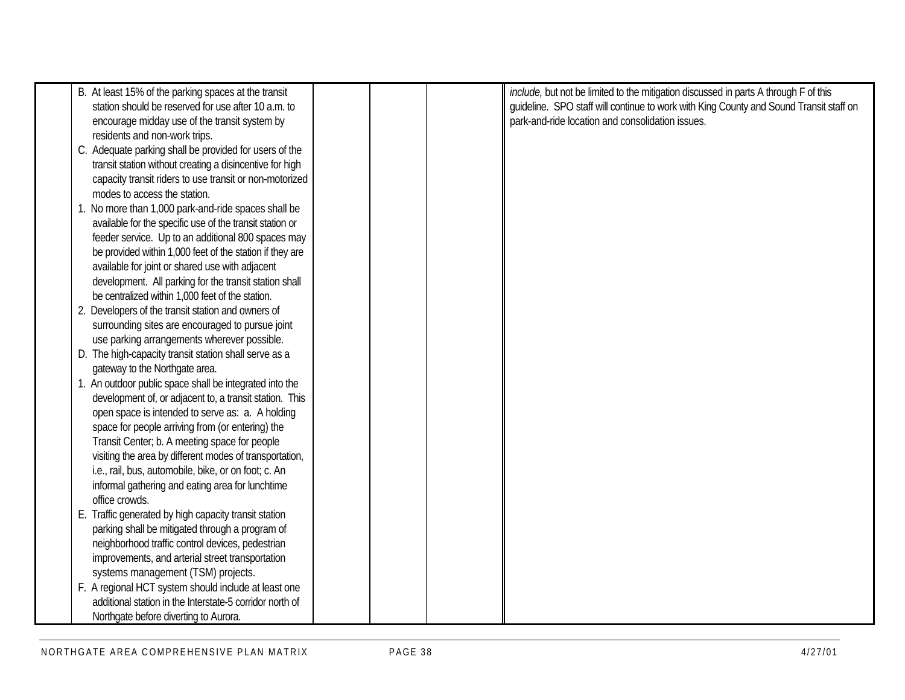| B. At least 15% of the parking spaces at the transit     |  | include, but not be limited to the mitigation discussed in parts A through F of this   |
|----------------------------------------------------------|--|----------------------------------------------------------------------------------------|
| station should be reserved for use after 10 a.m. to      |  | guideline. SPO staff will continue to work with King County and Sound Transit staff on |
| encourage midday use of the transit system by            |  | park-and-ride location and consolidation issues.                                       |
| residents and non-work trips.                            |  |                                                                                        |
| C. Adequate parking shall be provided for users of the   |  |                                                                                        |
|                                                          |  |                                                                                        |
| transit station without creating a disincentive for high |  |                                                                                        |
| capacity transit riders to use transit or non-motorized  |  |                                                                                        |
| modes to access the station.                             |  |                                                                                        |
| 1. No more than 1,000 park-and-ride spaces shall be      |  |                                                                                        |
| available for the specific use of the transit station or |  |                                                                                        |
| feeder service. Up to an additional 800 spaces may       |  |                                                                                        |
| be provided within 1,000 feet of the station if they are |  |                                                                                        |
| available for joint or shared use with adjacent          |  |                                                                                        |
| development. All parking for the transit station shall   |  |                                                                                        |
| be centralized within 1,000 feet of the station.         |  |                                                                                        |
| 2. Developers of the transit station and owners of       |  |                                                                                        |
| surrounding sites are encouraged to pursue joint         |  |                                                                                        |
| use parking arrangements wherever possible.              |  |                                                                                        |
| D. The high-capacity transit station shall serve as a    |  |                                                                                        |
| gateway to the Northgate area.                           |  |                                                                                        |
| 1. An outdoor public space shall be integrated into the  |  |                                                                                        |
| development of, or adjacent to, a transit station. This  |  |                                                                                        |
| open space is intended to serve as: a. A holding         |  |                                                                                        |
| space for people arriving from (or entering) the         |  |                                                                                        |
| Transit Center; b. A meeting space for people            |  |                                                                                        |
| visiting the area by different modes of transportation,  |  |                                                                                        |
| i.e., rail, bus, automobile, bike, or on foot; c. An     |  |                                                                                        |
| informal gathering and eating area for lunchtime         |  |                                                                                        |
| office crowds.                                           |  |                                                                                        |
| E. Traffic generated by high capacity transit station    |  |                                                                                        |
| parking shall be mitigated through a program of          |  |                                                                                        |
|                                                          |  |                                                                                        |
| neighborhood traffic control devices, pedestrian         |  |                                                                                        |
| improvements, and arterial street transportation         |  |                                                                                        |
| systems management (TSM) projects.                       |  |                                                                                        |
| F. A regional HCT system should include at least one     |  |                                                                                        |
| additional station in the Interstate-5 corridor north of |  |                                                                                        |
| Northgate before diverting to Aurora.                    |  |                                                                                        |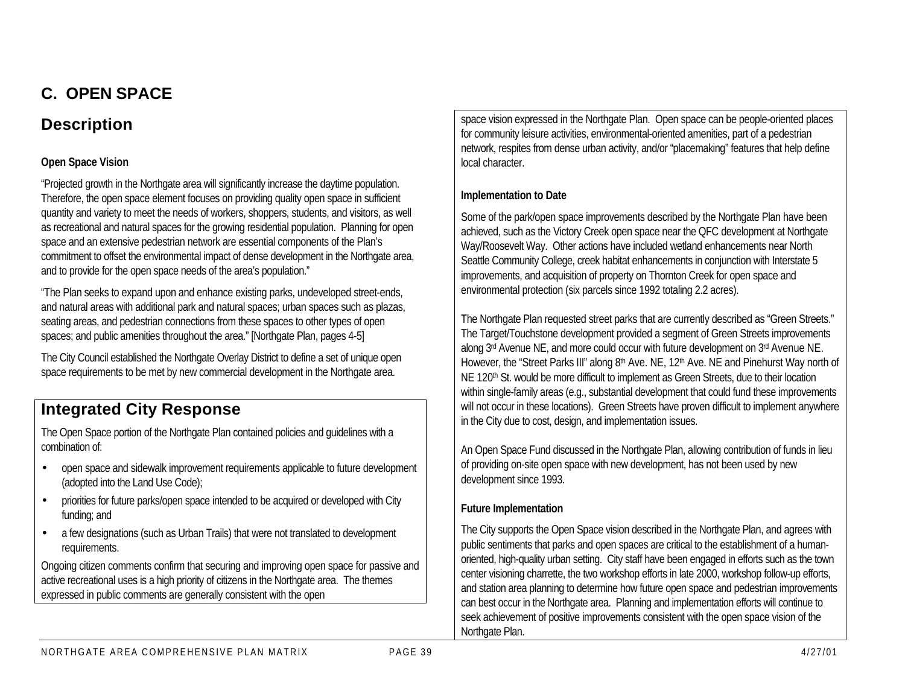## **C. OPEN SPACE**

## **Description**

#### **Open Space Vision**

"Projected growth in the Northgate area will significantly increase the daytime population. Therefore, the open space element focuses on providing quality open space in sufficient quantity and variety to meet the needs of workers, shoppers, students, and visitors, as well as recreational and natural spaces for the growing residential population. Planning for open space and an extensive pedestrian network are essential components of the Plan's commitment to offset the environmental impact of dense development in the Northgate area, and to provide for the open space needs of the area's population."

"The Plan seeks to expand upon and enhance existing parks, undeveloped street-ends, and natural areas with additional park and natural spaces; urban spaces such as plazas, seating areas, and pedestrian connections from these spaces to other types of open spaces; and public amenities throughout the area." [Northgate Plan, pages 4-5]

The City Council established the Northgate Overlay District to define a set of unique open space requirements to be met by new commercial development in the Northgate area.

## **Integrated City Response**

The Open Space portion of the Northgate Plan contained policies and guidelines with a combination of:

- open space and sidewalk improvement requirements applicable to future development (adopted into the Land Use Code);
- priorities for future parks/open space intended to be acquired or developed with City funding; and
- a few designations (such as Urban Trails) that were not translated to development requirements.

Ongoing citizen comments confirm that securing and improving open space for passive and active recreational uses is a high priority of citizens in the Northgate area. The themes expressed in public comments are generally consistent with the open

space vision expressed in the Northgate Plan. Open space can be people-oriented places for community leisure activities, environmental-oriented amenities, part of a pedestrian network, respites from dense urban activity, and/or "placemaking" features that help define local character.

#### **Implementation to Date**

Some of the park/open space improvements described by the Northgate Plan have been achieved, such as the Victory Creek open space near the QFC development at Northgate Way/Roosevelt Way. Other actions have included wetland enhancements near North Seattle Community College, creek habitat enhancements in conjunction with Interstate 5 improvements, and acquisition of property on Thornton Creek for open space and environmental protection (six parcels since 1992 totaling 2.2 acres).

The Northgate Plan requested street parks that are currently described as "Green Streets." The Target/Touchstone development provided a segment of Green Streets improvements along 3rd Avenue NE, and more could occur with future development on 3rd Avenue NE. However, the "Street Parks III" along 8<sup>th</sup> Ave. NE, 12<sup>th</sup> Ave. NE and Pinehurst Way north of NE 120<sup>th</sup> St. would be more difficult to implement as Green Streets, due to their location within single-family areas (e.g., substantial development that could fund these improvements will not occur in these locations). Green Streets have proven difficult to implement anywhere in the City due to cost, design, and implementation issues.

An Open Space Fund discussed in the Northgate Plan, allowing contribution of funds in lieu of providing on-site open space with new development, has not been used by new development since 1993.

#### **Future Implementation**

The City supports the Open Space vision described in the Northgate Plan, and agrees with public sentiments that parks and open spaces are critical to the establishment of a humanoriented, high-quality urban setting. City staff have been engaged in efforts such as the town center visioning charrette, the two workshop efforts in late 2000, workshop follow-up efforts, and station area planning to determine how future open space and pedestrian improvements can best occur in the Northgate area. Planning and implementation efforts will continue to seek achievement of positive improvements consistent with the open space vision of the Northgate Plan.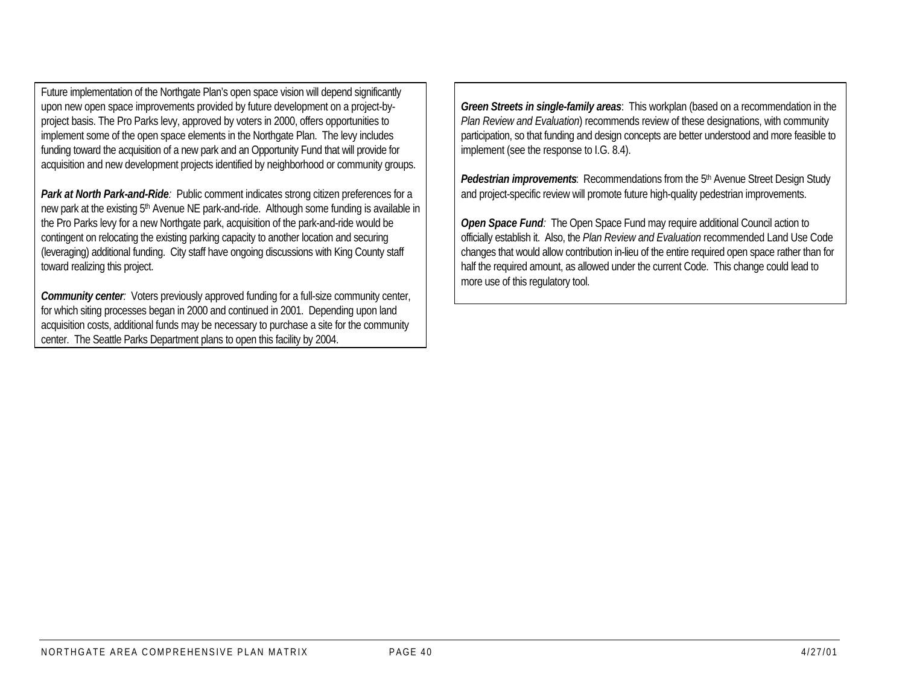Future implementation of the Northgate Plan's open space vision will depend significantly upon new open space improvements provided by future development on a project-byproject basis. The Pro Parks levy, approved by voters in 2000, offers opportunities to implement some of the open space elements in the Northgate Plan. The levy includes funding toward the acquisition of a new park and an Opportunity Fund that will provide for acquisition and new development projects identified by neighborhood or community groups.

**Park at North Park-and-Ride**: Public comment indicates strong citizen preferences for a new park at the existing 5<sup>th</sup> Avenue NE park-and-ride. Although some funding is available in the Pro Parks levy for a new Northgate park, acquisition of the park-and-ride would be contingent on relocating the existing parking capacity to another location and securing (leveraging) additional funding. City staff have ongoing discussions with King County staff toward realizing this project.

*Community center:* Voters previously approved funding for a full-size community center, for which siting processes began in 2000 and continued in 2001. Depending upon land acquisition costs, additional funds may be necessary to purchase a site for the community center. The Seattle Parks Department plans to open this facility by 2004.

*Green Streets in single-family areas*: This workplan (based on a recommendation in the *Plan Review and Evaluation*) recommends review of these designations, with community participation, so that funding and design concepts are better understood and more feasible to implement (see the response to I.G. 8.4).

**Pedestrian improvements**: Recommendations from the 5<sup>th</sup> Avenue Street Design Study and project-specific review will promote future high-quality pedestrian improvements.

*Open Space Fund:* The Open Space Fund may require additional Council action to officially establish it. Also, the *Plan Review and Evaluation* recommended Land Use Code changes that would allow contribution in-lieu of the entire required open space rather than for half the required amount, as allowed under the current Code. This change could lead to more use of this regulatory tool.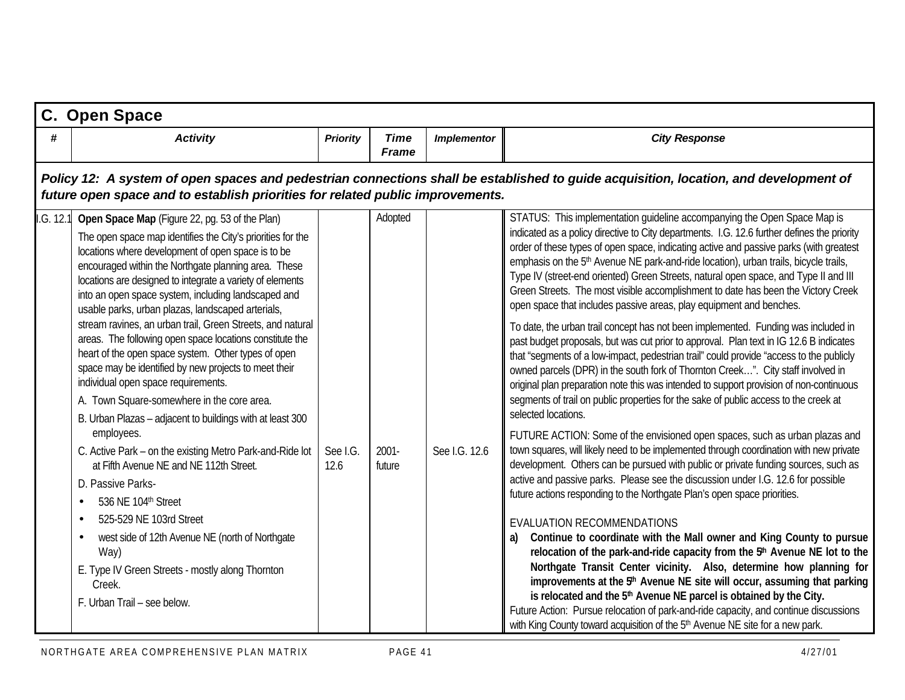|          | C. Open Space                                                                                                                                                                                                                                                                                                                                                                                                                                                                                                                                                                                                                                                                                                                                                                                                                                                                                                                                                                                                                                                                                                                                        |                  |                               |                    |                                                                                                                                                                                                                                                                                                                                                                                                                                                                                                                                                                                                                                                                                                                                                                                                                                                                                                                                                                                                                                                                                                                                                                                                                                                                                                                                                                                                                                                                                                                                                                                                                                                                                                                                                                                                                                                                                                                                                                                                                                                                                                                                                                                                                                                                         |  |  |  |  |  |
|----------|------------------------------------------------------------------------------------------------------------------------------------------------------------------------------------------------------------------------------------------------------------------------------------------------------------------------------------------------------------------------------------------------------------------------------------------------------------------------------------------------------------------------------------------------------------------------------------------------------------------------------------------------------------------------------------------------------------------------------------------------------------------------------------------------------------------------------------------------------------------------------------------------------------------------------------------------------------------------------------------------------------------------------------------------------------------------------------------------------------------------------------------------------|------------------|-------------------------------|--------------------|-------------------------------------------------------------------------------------------------------------------------------------------------------------------------------------------------------------------------------------------------------------------------------------------------------------------------------------------------------------------------------------------------------------------------------------------------------------------------------------------------------------------------------------------------------------------------------------------------------------------------------------------------------------------------------------------------------------------------------------------------------------------------------------------------------------------------------------------------------------------------------------------------------------------------------------------------------------------------------------------------------------------------------------------------------------------------------------------------------------------------------------------------------------------------------------------------------------------------------------------------------------------------------------------------------------------------------------------------------------------------------------------------------------------------------------------------------------------------------------------------------------------------------------------------------------------------------------------------------------------------------------------------------------------------------------------------------------------------------------------------------------------------------------------------------------------------------------------------------------------------------------------------------------------------------------------------------------------------------------------------------------------------------------------------------------------------------------------------------------------------------------------------------------------------------------------------------------------------------------------------------------------------|--|--|--|--|--|
| #        | <b>Activity</b>                                                                                                                                                                                                                                                                                                                                                                                                                                                                                                                                                                                                                                                                                                                                                                                                                                                                                                                                                                                                                                                                                                                                      | <b>Priority</b>  | <b>Time</b><br>Frame          | <b>Implementor</b> | <b>City Response</b>                                                                                                                                                                                                                                                                                                                                                                                                                                                                                                                                                                                                                                                                                                                                                                                                                                                                                                                                                                                                                                                                                                                                                                                                                                                                                                                                                                                                                                                                                                                                                                                                                                                                                                                                                                                                                                                                                                                                                                                                                                                                                                                                                                                                                                                    |  |  |  |  |  |
|          | Policy 12: A system of open spaces and pedestrian connections shall be established to guide acquisition, location, and development of<br>future open space and to establish priorities for related public improvements.                                                                                                                                                                                                                                                                                                                                                                                                                                                                                                                                                                                                                                                                                                                                                                                                                                                                                                                              |                  |                               |                    |                                                                                                                                                                                                                                                                                                                                                                                                                                                                                                                                                                                                                                                                                                                                                                                                                                                                                                                                                                                                                                                                                                                                                                                                                                                                                                                                                                                                                                                                                                                                                                                                                                                                                                                                                                                                                                                                                                                                                                                                                                                                                                                                                                                                                                                                         |  |  |  |  |  |
| .G. 12.1 | Open Space Map (Figure 22, pg. 53 of the Plan)<br>The open space map identifies the City's priorities for the<br>locations where development of open space is to be<br>encouraged within the Northgate planning area. These<br>locations are designed to integrate a variety of elements<br>into an open space system, including landscaped and<br>usable parks, urban plazas, landscaped arterials,<br>stream ravines, an urban trail, Green Streets, and natural<br>areas. The following open space locations constitute the<br>heart of the open space system. Other types of open<br>space may be identified by new projects to meet their<br>individual open space requirements.<br>A. Town Square-somewhere in the core area.<br>B. Urban Plazas - adjacent to buildings with at least 300<br>employees.<br>C. Active Park – on the existing Metro Park-and-Ride lot<br>at Fifth Avenue NE and NE 112th Street.<br>D. Passive Parks-<br>536 NE 104th Street<br>525-529 NE 103rd Street<br>west side of 12th Avenue NE (north of Northgate<br>Way)<br>E. Type IV Green Streets - mostly along Thornton<br>Creek.<br>F. Urban Trail - see below. | See I.G.<br>12.6 | Adopted<br>$2001 -$<br>future | See I.G. 12.6      | STATUS: This implementation guideline accompanying the Open Space Map is<br>indicated as a policy directive to City departments. I.G. 12.6 further defines the priority<br>order of these types of open space, indicating active and passive parks (with greatest<br>emphasis on the 5 <sup>th</sup> Avenue NE park-and-ride location), urban trails, bicycle trails,<br>Type IV (street-end oriented) Green Streets, natural open space, and Type II and III<br>Green Streets. The most visible accomplishment to date has been the Victory Creek<br>open space that includes passive areas, play equipment and benches.<br>To date, the urban trail concept has not been implemented. Funding was included in<br>past budget proposals, but was cut prior to approval. Plan text in IG 12.6 B indicates<br>that "segments of a low-impact, pedestrian trail" could provide "access to the publicly<br>owned parcels (DPR) in the south fork of Thornton Creek". City staff involved in<br>original plan preparation note this was intended to support provision of non-continuous<br>segments of trail on public properties for the sake of public access to the creek at<br>selected locations.<br>FUTURE ACTION: Some of the envisioned open spaces, such as urban plazas and<br>town squares, will likely need to be implemented through coordination with new private<br>development. Others can be pursued with public or private funding sources, such as<br>active and passive parks. Please see the discussion under I.G. 12.6 for possible<br>future actions responding to the Northgate Plan's open space priorities.<br>EVALUATION RECOMMENDATIONS<br>Continue to coordinate with the Mall owner and King County to pursue<br>relocation of the park-and-ride capacity from the 5 <sup>th</sup> Avenue NE lot to the<br>Northgate Transit Center vicinity. Also, determine how planning for<br>improvements at the 5 <sup>th</sup> Avenue NE site will occur, assuming that parking<br>is relocated and the 5 <sup>th</sup> Avenue NE parcel is obtained by the City.<br>Future Action: Pursue relocation of park-and-ride capacity, and continue discussions<br>with King County toward acquisition of the 5 <sup>th</sup> Avenue NE site for a new park. |  |  |  |  |  |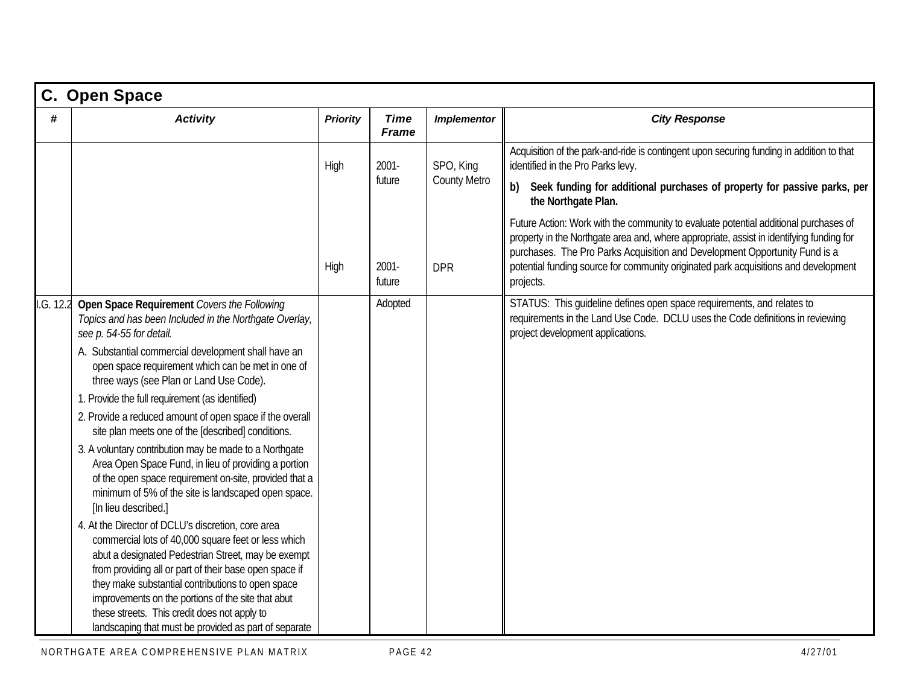| C. Open Space |                                                                                                                                                                                                                                                                                                                                                                                                                                               |                 |                             |                     |                                                                                                                                                                                                                                                                                                                                                                    |  |  |  |
|---------------|-----------------------------------------------------------------------------------------------------------------------------------------------------------------------------------------------------------------------------------------------------------------------------------------------------------------------------------------------------------------------------------------------------------------------------------------------|-----------------|-----------------------------|---------------------|--------------------------------------------------------------------------------------------------------------------------------------------------------------------------------------------------------------------------------------------------------------------------------------------------------------------------------------------------------------------|--|--|--|
| #             | <b>Activity</b>                                                                                                                                                                                                                                                                                                                                                                                                                               | <b>Priority</b> | <b>Time</b><br><b>Frame</b> | <b>Implementor</b>  | <b>City Response</b>                                                                                                                                                                                                                                                                                                                                               |  |  |  |
|               |                                                                                                                                                                                                                                                                                                                                                                                                                                               | High            | 2001-                       | SPO, King           | Acquisition of the park-and-ride is contingent upon securing funding in addition to that<br>identified in the Pro Parks levy.                                                                                                                                                                                                                                      |  |  |  |
|               |                                                                                                                                                                                                                                                                                                                                                                                                                                               |                 | future                      | <b>County Metro</b> | b) Seek funding for additional purchases of property for passive parks, per<br>the Northgate Plan.                                                                                                                                                                                                                                                                 |  |  |  |
|               |                                                                                                                                                                                                                                                                                                                                                                                                                                               | High            | $2001 -$<br>future          | <b>DPR</b>          | Future Action: Work with the community to evaluate potential additional purchases of<br>property in the Northgate area and, where appropriate, assist in identifying funding for<br>purchases. The Pro Parks Acquisition and Development Opportunity Fund is a<br>potential funding source for community originated park acquisitions and development<br>projects. |  |  |  |
| I.G. 12.2     | Open Space Requirement Covers the Following<br>Topics and has been Included in the Northgate Overlay,<br>see p. 54-55 for detail.                                                                                                                                                                                                                                                                                                             |                 | Adopted                     |                     | STATUS: This guideline defines open space requirements, and relates to<br>requirements in the Land Use Code. DCLU uses the Code definitions in reviewing<br>project development applications.                                                                                                                                                                      |  |  |  |
|               | A. Substantial commercial development shall have an<br>open space requirement which can be met in one of<br>three ways (see Plan or Land Use Code).                                                                                                                                                                                                                                                                                           |                 |                             |                     |                                                                                                                                                                                                                                                                                                                                                                    |  |  |  |
|               | 1. Provide the full requirement (as identified)                                                                                                                                                                                                                                                                                                                                                                                               |                 |                             |                     |                                                                                                                                                                                                                                                                                                                                                                    |  |  |  |
|               | 2. Provide a reduced amount of open space if the overall<br>site plan meets one of the [described] conditions.                                                                                                                                                                                                                                                                                                                                |                 |                             |                     |                                                                                                                                                                                                                                                                                                                                                                    |  |  |  |
|               | 3. A voluntary contribution may be made to a Northgate<br>Area Open Space Fund, in lieu of providing a portion<br>of the open space requirement on-site, provided that a<br>minimum of 5% of the site is landscaped open space.<br>[In lieu described.]                                                                                                                                                                                       |                 |                             |                     |                                                                                                                                                                                                                                                                                                                                                                    |  |  |  |
|               | 4. At the Director of DCLU's discretion, core area<br>commercial lots of 40,000 square feet or less which<br>abut a designated Pedestrian Street, may be exempt<br>from providing all or part of their base open space if<br>they make substantial contributions to open space<br>improvements on the portions of the site that abut<br>these streets. This credit does not apply to<br>landscaping that must be provided as part of separate |                 |                             |                     |                                                                                                                                                                                                                                                                                                                                                                    |  |  |  |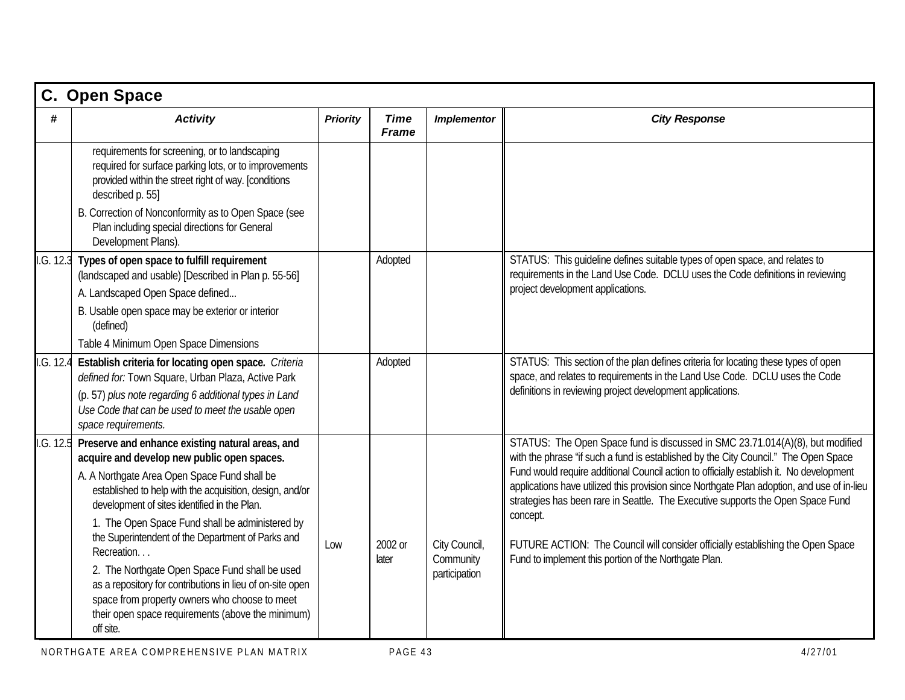|           | C. Open Space                                                                                                                                                                      |                 |                             |                            |                                                                                                                                                                                                                                                                                       |
|-----------|------------------------------------------------------------------------------------------------------------------------------------------------------------------------------------|-----------------|-----------------------------|----------------------------|---------------------------------------------------------------------------------------------------------------------------------------------------------------------------------------------------------------------------------------------------------------------------------------|
| #         | <b>Activity</b>                                                                                                                                                                    | <b>Priority</b> | <b>Time</b><br><b>Frame</b> | <b>Implementor</b>         | <b>City Response</b>                                                                                                                                                                                                                                                                  |
|           | requirements for screening, or to landscaping<br>required for surface parking lots, or to improvements<br>provided within the street right of way. [conditions<br>described p. 55] |                 |                             |                            |                                                                                                                                                                                                                                                                                       |
|           | B. Correction of Nonconformity as to Open Space (see<br>Plan including special directions for General<br>Development Plans).                                                       |                 |                             |                            |                                                                                                                                                                                                                                                                                       |
|           | .G. 12.3 Types of open space to fulfill requirement<br>(landscaped and usable) [Described in Plan p. 55-56]                                                                        |                 | Adopted                     |                            | STATUS: This guideline defines suitable types of open space, and relates to<br>requirements in the Land Use Code. DCLU uses the Code definitions in reviewing                                                                                                                         |
|           | A. Landscaped Open Space defined                                                                                                                                                   |                 |                             |                            | project development applications.                                                                                                                                                                                                                                                     |
|           | B. Usable open space may be exterior or interior<br>(defined)                                                                                                                      |                 |                             |                            |                                                                                                                                                                                                                                                                                       |
|           | Table 4 Minimum Open Space Dimensions                                                                                                                                              |                 |                             |                            |                                                                                                                                                                                                                                                                                       |
| I.G. 12.4 | Establish criteria for locating open space. Criteria<br>defined for: Town Square, Urban Plaza, Active Park                                                                         |                 | Adopted                     |                            | STATUS: This section of the plan defines criteria for locating these types of open<br>space, and relates to requirements in the Land Use Code. DCLU uses the Code                                                                                                                     |
|           | (p. 57) plus note regarding 6 additional types in Land<br>Use Code that can be used to meet the usable open<br>space requirements.                                                 |                 |                             |                            | definitions in reviewing project development applications.                                                                                                                                                                                                                            |
| .G. 12.5  | Preserve and enhance existing natural areas, and<br>acquire and develop new public open spaces.                                                                                    |                 |                             |                            | STATUS: The Open Space fund is discussed in SMC 23.71.014(A)(8), but modified<br>with the phrase "if such a fund is established by the City Council." The Open Space                                                                                                                  |
|           | A. A Northgate Area Open Space Fund shall be<br>established to help with the acquisition, design, and/or<br>development of sites identified in the Plan.                           |                 |                             |                            | Fund would require additional Council action to officially establish it. No development<br>applications have utilized this provision since Northgate Plan adoption, and use of in-lieu<br>strategies has been rare in Seattle. The Executive supports the Open Space Fund<br>concept. |
|           | 1. The Open Space Fund shall be administered by<br>the Superintendent of the Department of Parks and<br>Recreation                                                                 | Low             | 2002 or<br>later            | City Council,<br>Community | FUTURE ACTION: The Council will consider officially establishing the Open Space<br>Fund to implement this portion of the Northgate Plan.                                                                                                                                              |
|           | 2. The Northgate Open Space Fund shall be used<br>as a repository for contributions in lieu of on-site open<br>space from property owners who choose to meet                       |                 |                             | participation              |                                                                                                                                                                                                                                                                                       |
|           | their open space requirements (above the minimum)<br>off site.                                                                                                                     |                 |                             |                            |                                                                                                                                                                                                                                                                                       |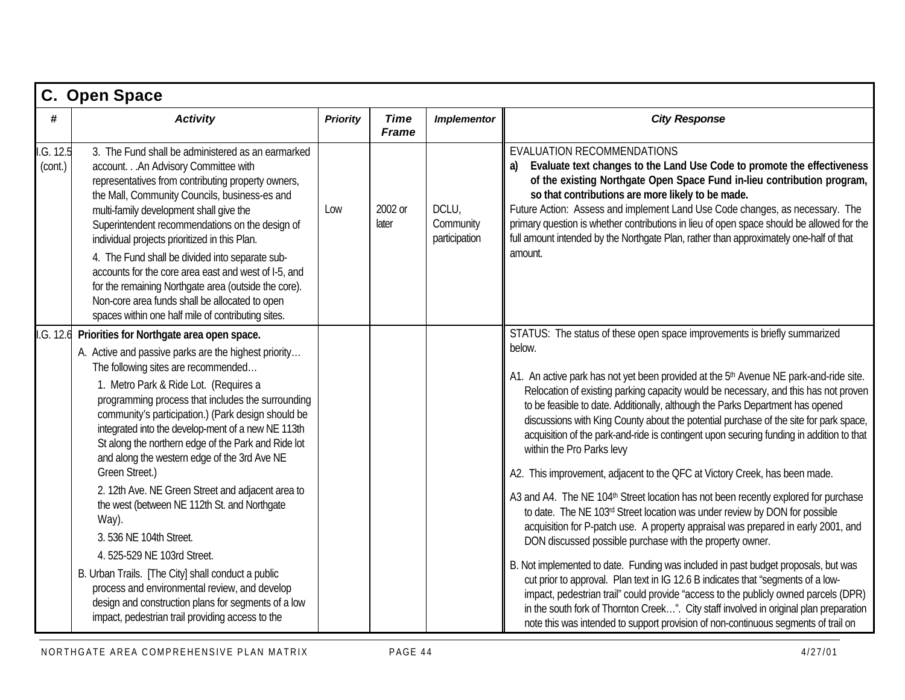|                      | C. Open Space                                                                                                                                                                                                                                                                                                                                                                                                                                                                                                                                                                                                                                                                                                                                                                                                                                                                  |                 |                             |                                     |                                                                                                                                                                                                                                                                                                                                                                                                                                                                                                                                                                                                                                                                                                                                                                                                                                                                                                                                                                                                                                                                                                                                                                                                                                                                                                                                                                                                                                                      |  |  |  |  |
|----------------------|--------------------------------------------------------------------------------------------------------------------------------------------------------------------------------------------------------------------------------------------------------------------------------------------------------------------------------------------------------------------------------------------------------------------------------------------------------------------------------------------------------------------------------------------------------------------------------------------------------------------------------------------------------------------------------------------------------------------------------------------------------------------------------------------------------------------------------------------------------------------------------|-----------------|-----------------------------|-------------------------------------|------------------------------------------------------------------------------------------------------------------------------------------------------------------------------------------------------------------------------------------------------------------------------------------------------------------------------------------------------------------------------------------------------------------------------------------------------------------------------------------------------------------------------------------------------------------------------------------------------------------------------------------------------------------------------------------------------------------------------------------------------------------------------------------------------------------------------------------------------------------------------------------------------------------------------------------------------------------------------------------------------------------------------------------------------------------------------------------------------------------------------------------------------------------------------------------------------------------------------------------------------------------------------------------------------------------------------------------------------------------------------------------------------------------------------------------------------|--|--|--|--|
| #                    | <b>Activity</b>                                                                                                                                                                                                                                                                                                                                                                                                                                                                                                                                                                                                                                                                                                                                                                                                                                                                | <b>Priority</b> | <b>Time</b><br><b>Frame</b> | <b>Implementor</b>                  | <b>City Response</b>                                                                                                                                                                                                                                                                                                                                                                                                                                                                                                                                                                                                                                                                                                                                                                                                                                                                                                                                                                                                                                                                                                                                                                                                                                                                                                                                                                                                                                 |  |  |  |  |
| I.G. 12.5<br>(cont.) | 3. The Fund shall be administered as an earmarked<br>account. An Advisory Committee with<br>representatives from contributing property owners,<br>the Mall, Community Councils, business-es and<br>multi-family development shall give the<br>Superintendent recommendations on the design of<br>individual projects prioritized in this Plan.<br>4. The Fund shall be divided into separate sub-<br>accounts for the core area east and west of I-5, and<br>for the remaining Northgate area (outside the core).<br>Non-core area funds shall be allocated to open<br>spaces within one half mile of contributing sites.                                                                                                                                                                                                                                                      | Low             | 2002 or<br>later            | DCLU,<br>Community<br>participation | EVALUATION RECOMMENDATIONS<br>Evaluate text changes to the Land Use Code to promote the effectiveness<br>of the existing Northgate Open Space Fund in-lieu contribution program,<br>so that contributions are more likely to be made.<br>Future Action: Assess and implement Land Use Code changes, as necessary. The<br>primary question is whether contributions in lieu of open space should be allowed for the<br>full amount intended by the Northgate Plan, rather than approximately one-half of that<br>amount.                                                                                                                                                                                                                                                                                                                                                                                                                                                                                                                                                                                                                                                                                                                                                                                                                                                                                                                              |  |  |  |  |
|                      | I.G. 12.6 Priorities for Northgate area open space.<br>A. Active and passive parks are the highest priority<br>The following sites are recommended<br>1. Metro Park & Ride Lot. (Requires a<br>programming process that includes the surrounding<br>community's participation.) (Park design should be<br>integrated into the develop-ment of a new NE 113th<br>St along the northern edge of the Park and Ride lot<br>and along the western edge of the 3rd Ave NE<br>Green Street.)<br>2. 12th Ave. NE Green Street and adjacent area to<br>the west (between NE 112th St. and Northgate<br>Way).<br>3.536 NE 104th Street.<br>4. 525-529 NE 103rd Street.<br>B. Urban Trails. [The City] shall conduct a public<br>process and environmental review, and develop<br>design and construction plans for segments of a low<br>impact, pedestrian trail providing access to the |                 |                             |                                     | STATUS: The status of these open space improvements is briefly summarized<br>below.<br>A1. An active park has not yet been provided at the 5 <sup>th</sup> Avenue NE park-and-ride site.<br>Relocation of existing parking capacity would be necessary, and this has not proven<br>to be feasible to date. Additionally, although the Parks Department has opened<br>discussions with King County about the potential purchase of the site for park space,<br>acquisition of the park-and-ride is contingent upon securing funding in addition to that<br>within the Pro Parks levy<br>A2. This improvement, adjacent to the QFC at Victory Creek, has been made.<br>A3 and A4. The NE 104 <sup>th</sup> Street location has not been recently explored for purchase<br>to date. The NE 103rd Street location was under review by DON for possible<br>acquisition for P-patch use. A property appraisal was prepared in early 2001, and<br>DON discussed possible purchase with the property owner.<br>B. Not implemented to date. Funding was included in past budget proposals, but was<br>cut prior to approval. Plan text in IG 12.6 B indicates that "segments of a low-<br>impact, pedestrian trail" could provide "access to the publicly owned parcels (DPR)<br>in the south fork of Thornton Creek". City staff involved in original plan preparation<br>note this was intended to support provision of non-continuous segments of trail on |  |  |  |  |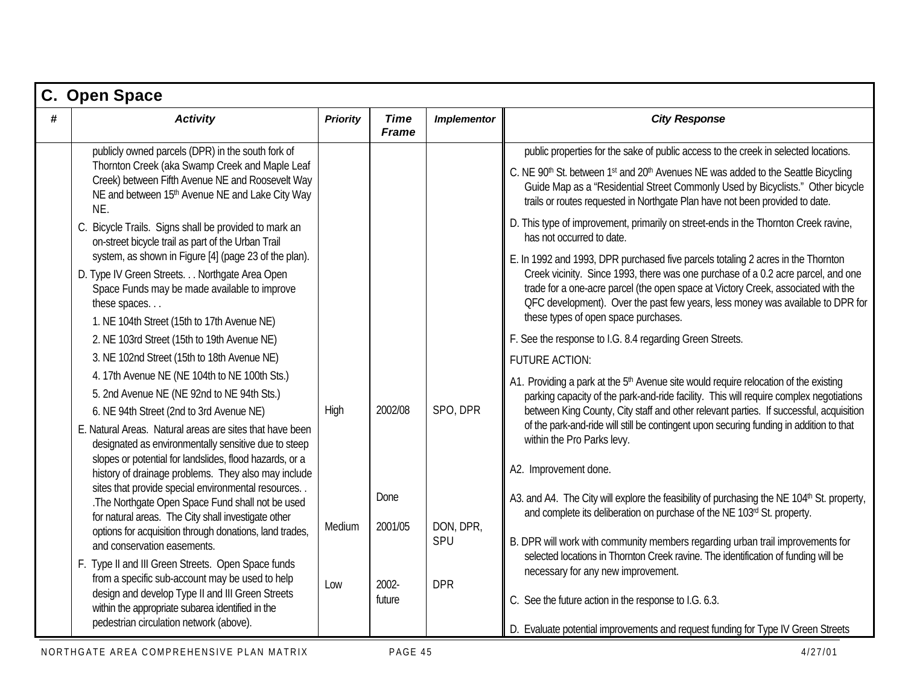|   | C. Open Space                                                                                                                                                                                                                                                                                                                                                                                                                                                                                                                                                                                                                                                                                                                                                                                                                                                                                                                                                                                                                                                                                                                                                                                                                                                                                                                                                                                                                                                    |                       |                                               |                                            |                                                                                                                                                                                                                                                                                                                                                                                                                                                                                                                                                                                                                                                                                                                                                                                                                                                                                                                                                                                                                                                                                                                                                                                                                                                                                                                                                                                                                                                                                                                                                                                                                                                                                                                                                                                                                                                                          |  |  |  |  |
|---|------------------------------------------------------------------------------------------------------------------------------------------------------------------------------------------------------------------------------------------------------------------------------------------------------------------------------------------------------------------------------------------------------------------------------------------------------------------------------------------------------------------------------------------------------------------------------------------------------------------------------------------------------------------------------------------------------------------------------------------------------------------------------------------------------------------------------------------------------------------------------------------------------------------------------------------------------------------------------------------------------------------------------------------------------------------------------------------------------------------------------------------------------------------------------------------------------------------------------------------------------------------------------------------------------------------------------------------------------------------------------------------------------------------------------------------------------------------|-----------------------|-----------------------------------------------|--------------------------------------------|--------------------------------------------------------------------------------------------------------------------------------------------------------------------------------------------------------------------------------------------------------------------------------------------------------------------------------------------------------------------------------------------------------------------------------------------------------------------------------------------------------------------------------------------------------------------------------------------------------------------------------------------------------------------------------------------------------------------------------------------------------------------------------------------------------------------------------------------------------------------------------------------------------------------------------------------------------------------------------------------------------------------------------------------------------------------------------------------------------------------------------------------------------------------------------------------------------------------------------------------------------------------------------------------------------------------------------------------------------------------------------------------------------------------------------------------------------------------------------------------------------------------------------------------------------------------------------------------------------------------------------------------------------------------------------------------------------------------------------------------------------------------------------------------------------------------------------------------------------------------------|--|--|--|--|
| # | <b>Activity</b>                                                                                                                                                                                                                                                                                                                                                                                                                                                                                                                                                                                                                                                                                                                                                                                                                                                                                                                                                                                                                                                                                                                                                                                                                                                                                                                                                                                                                                                  | <b>Priority</b>       | <b>Time</b><br><b>Frame</b>                   | <b>Implementor</b>                         | <b>City Response</b>                                                                                                                                                                                                                                                                                                                                                                                                                                                                                                                                                                                                                                                                                                                                                                                                                                                                                                                                                                                                                                                                                                                                                                                                                                                                                                                                                                                                                                                                                                                                                                                                                                                                                                                                                                                                                                                     |  |  |  |  |
|   | publicly owned parcels (DPR) in the south fork of<br>Thornton Creek (aka Swamp Creek and Maple Leaf<br>Creek) between Fifth Avenue NE and Roosevelt Way<br>NE and between 15th Avenue NE and Lake City Way<br>NE.<br>C. Bicycle Trails. Signs shall be provided to mark an<br>on-street bicycle trail as part of the Urban Trail<br>system, as shown in Figure [4] (page 23 of the plan).<br>D. Type IV Green Streets. Northgate Area Open<br>Space Funds may be made available to improve<br>these spaces<br>1. NE 104th Street (15th to 17th Avenue NE)<br>2. NE 103rd Street (15th to 19th Avenue NE)<br>3. NE 102nd Street (15th to 18th Avenue NE)<br>4. 17th Avenue NE (NE 104th to NE 100th Sts.)<br>5. 2nd Avenue NE (NE 92nd to NE 94th Sts.)<br>6. NE 94th Street (2nd to 3rd Avenue NE)<br>E. Natural Areas. Natural areas are sites that have been<br>designated as environmentally sensitive due to steep<br>slopes or potential for landslides, flood hazards, or a<br>history of drainage problems. They also may include<br>sites that provide special environmental resources<br>.The Northgate Open Space Fund shall not be used<br>for natural areas. The City shall investigate other<br>options for acquisition through donations, land trades,<br>and conservation easements.<br>F. Type II and III Green Streets. Open Space funds<br>from a specific sub-account may be used to help<br>design and develop Type II and III Green Streets | High<br>Medium<br>Low | 2002/08<br>Done<br>2001/05<br>2002-<br>future | SPO, DPR<br>DON, DPR,<br>SPU<br><b>DPR</b> | public properties for the sake of public access to the creek in selected locations.<br>C. NE 90 <sup>th</sup> St. between 1st and 20 <sup>th</sup> Avenues NE was added to the Seattle Bicycling<br>Guide Map as a "Residential Street Commonly Used by Bicyclists." Other bicycle<br>trails or routes requested in Northgate Plan have not been provided to date.<br>D. This type of improvement, primarily on street-ends in the Thornton Creek ravine,<br>has not occurred to date.<br>E. In 1992 and 1993, DPR purchased five parcels totaling 2 acres in the Thornton<br>Creek vicinity. Since 1993, there was one purchase of a 0.2 acre parcel, and one<br>trade for a one-acre parcel (the open space at Victory Creek, associated with the<br>QFC development). Over the past few years, less money was available to DPR for<br>these types of open space purchases.<br>F. See the response to I.G. 8.4 regarding Green Streets.<br><b>FUTURE ACTION:</b><br>A1. Providing a park at the 5 <sup>th</sup> Avenue site would require relocation of the existing<br>parking capacity of the park-and-ride facility. This will require complex negotiations<br>between King County, City staff and other relevant parties. If successful, acquisition<br>of the park-and-ride will still be contingent upon securing funding in addition to that<br>within the Pro Parks levy.<br>A2. Improvement done.<br>A3. and A4. The City will explore the feasibility of purchasing the NE 104 <sup>th</sup> St. property,<br>and complete its deliberation on purchase of the NE 103rd St. property.<br>B. DPR will work with community members regarding urban trail improvements for<br>selected locations in Thornton Creek ravine. The identification of funding will be<br>necessary for any new improvement.<br>C. See the future action in the response to I.G. 6.3. |  |  |  |  |
|   | within the appropriate subarea identified in the<br>pedestrian circulation network (above).                                                                                                                                                                                                                                                                                                                                                                                                                                                                                                                                                                                                                                                                                                                                                                                                                                                                                                                                                                                                                                                                                                                                                                                                                                                                                                                                                                      |                       |                                               |                                            | D. Evaluate potential improvements and request funding for Type IV Green Streets                                                                                                                                                                                                                                                                                                                                                                                                                                                                                                                                                                                                                                                                                                                                                                                                                                                                                                                                                                                                                                                                                                                                                                                                                                                                                                                                                                                                                                                                                                                                                                                                                                                                                                                                                                                         |  |  |  |  |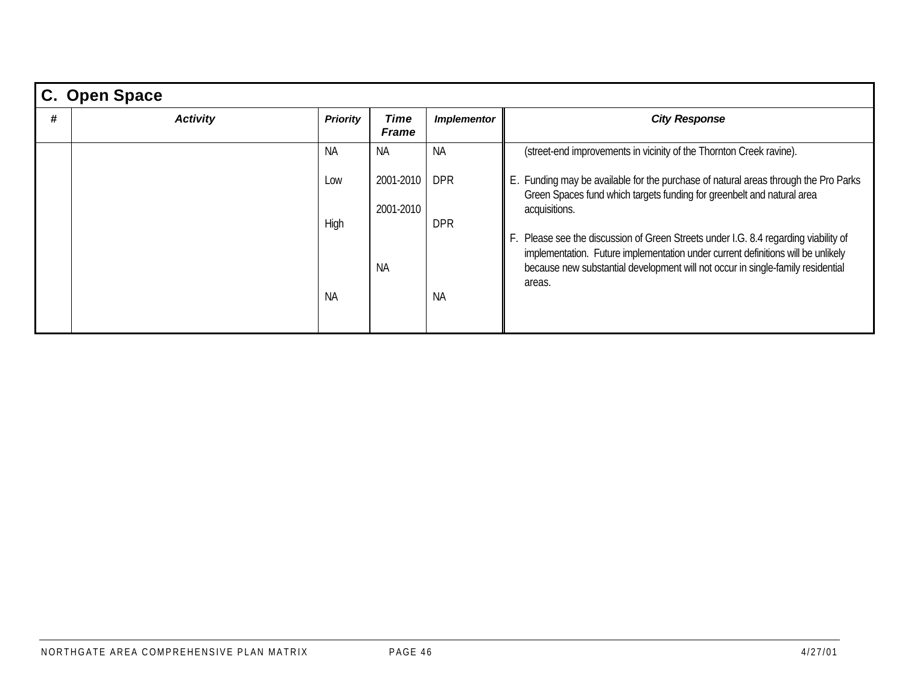|   | C. Open Space   |                 |                             |                    |                                                                                                                                                                                |  |  |  |  |  |
|---|-----------------|-----------------|-----------------------------|--------------------|--------------------------------------------------------------------------------------------------------------------------------------------------------------------------------|--|--|--|--|--|
| # | <b>Activity</b> | <b>Priority</b> | <b>Time</b><br><b>Frame</b> | <b>Implementor</b> | <b>City Response</b>                                                                                                                                                           |  |  |  |  |  |
|   |                 | NA.             | NA.                         | <b>NA</b>          | (street-end improvements in vicinity of the Thornton Creek ravine).                                                                                                            |  |  |  |  |  |
|   |                 | Low             | 2001-2010<br>2001-2010      | <b>DPR</b>         | E. Funding may be available for the purchase of natural areas through the Pro Parks<br>Green Spaces fund which targets funding for greenbelt and natural area<br>acquisitions. |  |  |  |  |  |
|   |                 | High            |                             | <b>DPR</b>         | . Please see the discussion of Green Streets under I.G. 8.4 regarding viability of<br>implementation. Future implementation under current definitions will be unlikely         |  |  |  |  |  |
|   |                 | <b>NA</b>       | <b>NA</b>                   | <b>NA</b>          | because new substantial development will not occur in single-family residential<br>areas.                                                                                      |  |  |  |  |  |
|   |                 |                 |                             |                    |                                                                                                                                                                                |  |  |  |  |  |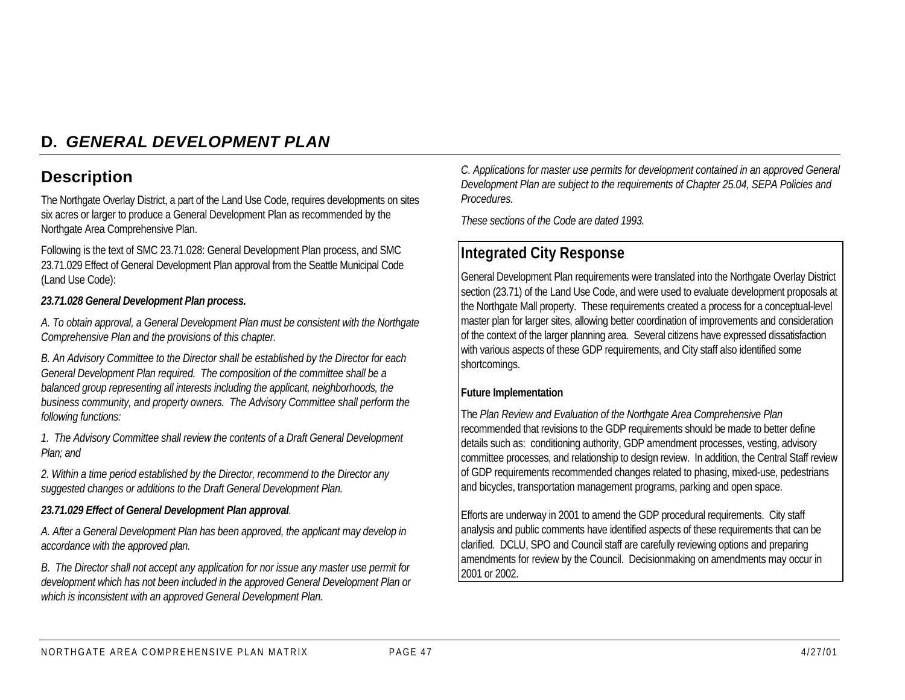## **D.** *GENERAL DEVELOPMENT PLAN*

## **Description**

The Northgate Overlay District, a part of the Land Use Code, requires developments on sites six acres or larger to produce a General Development Plan as recommended by the Northgate Area Comprehensive Plan.

Following is the text of SMC 23.71.028: General Development Plan process, and SMC 23.71.029 Effect of General Development Plan approval from the Seattle Municipal Code (Land Use Code):

#### *23.71.028 General Development Plan process.*

*A. To obtain approval, a General Development Plan must be consistent with the Northgate Comprehensive Plan and the provisions of this chapter.*

*B. An Advisory Committee to the Director shall be established by the Director for each General Development Plan required. The composition of the committee shall be a balanced group representing all interests including the applicant, neighborhoods, the business community, and property owners. The Advisory Committee shall perform the following functions:*

*1. The Advisory Committee shall review the contents of a Draft General Development Plan; and*

*2. Within a time period established by the Director, recommend to the Director any suggested changes or additions to the Draft General Development Plan.*

#### *23.71.029 Effect of General Development Plan approval.*

*A. After a General Development Plan has been approved, the applicant may develop in accordance with the approved plan.*

*B. The Director shall not accept any application for nor issue any master use permit for development which has not been included in the approved General Development Plan or which is inconsistent with an approved General Development Plan.*

*C. Applications for master use permits for development contained in an approved General Development Plan are subject to the requirements of Chapter 25.04, SEPA Policies and Procedures.*

*These sections of the Code are dated 1993.*

## **Integrated City Response**

General Development Plan requirements were translated into the Northgate Overlay District section (23.71) of the Land Use Code, and were used to evaluate development proposals at the Northgate Mall property. These requirements created a process for a conceptual-level master plan for larger sites, allowing better coordination of improvements and consideration of the context of the larger planning area. Several citizens have expressed dissatisfaction with various aspects of these GDP requirements, and City staff also identified some shortcomings.

#### **Future Implementation**

The *Plan Review and Evaluation of the Northgate Area Comprehensive Plan* recommended that revisions to the GDP requirements should be made to better define details such as: conditioning authority, GDP amendment processes, vesting, advisory committee processes, and relationship to design review. In addition, the Central Staff review of GDP requirements recommended changes related to phasing, mixed-use, pedestrians and bicycles, transportation management programs, parking and open space.

Efforts are underway in 2001 to amend the GDP procedural requirements. City staff analysis and public comments have identified aspects of these requirements that can be clarified. DCLU, SPO and Council staff are carefully reviewing options and preparing amendments for review by the Council. Decisionmaking on amendments may occur in 2001 or 2002.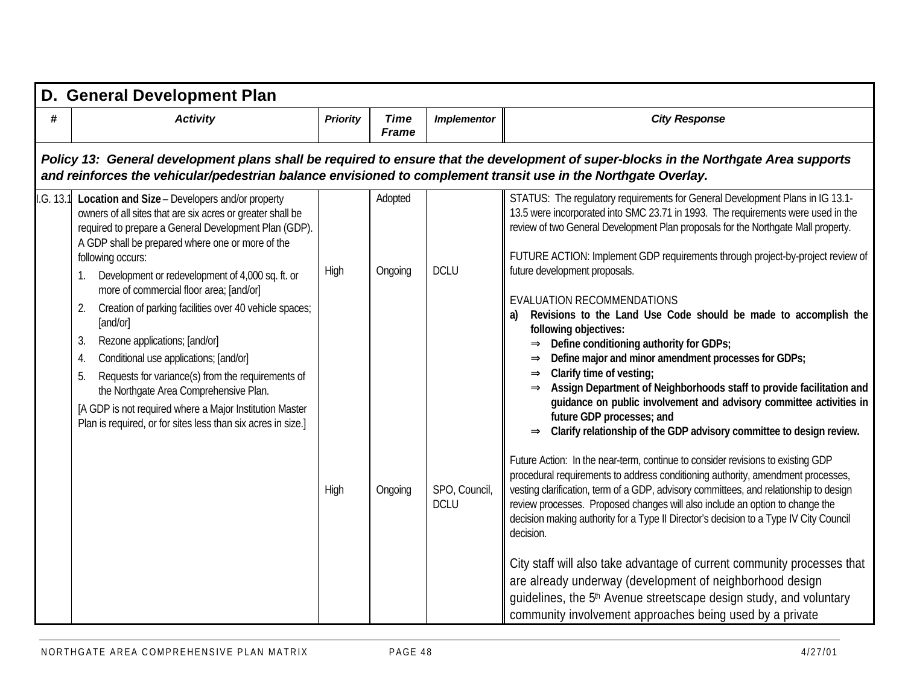|         | D. General Development Plan                                                                                                                                                                                                                                                                                                                                                                                                                                                                                                                                                                                                                                                                                                                      |                 |                               |                                             |                                                                                                                                                                                                                                                                                                                                                                                                                                                                                                                                                                                                                                                                                                                                                                                                                                                                                                                                                                                                                                                                                                                                                                                                                                                                                                                                                                                                                                                                                                                                                                                                                                                                                                      |  |  |  |  |  |  |
|---------|--------------------------------------------------------------------------------------------------------------------------------------------------------------------------------------------------------------------------------------------------------------------------------------------------------------------------------------------------------------------------------------------------------------------------------------------------------------------------------------------------------------------------------------------------------------------------------------------------------------------------------------------------------------------------------------------------------------------------------------------------|-----------------|-------------------------------|---------------------------------------------|------------------------------------------------------------------------------------------------------------------------------------------------------------------------------------------------------------------------------------------------------------------------------------------------------------------------------------------------------------------------------------------------------------------------------------------------------------------------------------------------------------------------------------------------------------------------------------------------------------------------------------------------------------------------------------------------------------------------------------------------------------------------------------------------------------------------------------------------------------------------------------------------------------------------------------------------------------------------------------------------------------------------------------------------------------------------------------------------------------------------------------------------------------------------------------------------------------------------------------------------------------------------------------------------------------------------------------------------------------------------------------------------------------------------------------------------------------------------------------------------------------------------------------------------------------------------------------------------------------------------------------------------------------------------------------------------------|--|--|--|--|--|--|
| #       | <b>Activity</b>                                                                                                                                                                                                                                                                                                                                                                                                                                                                                                                                                                                                                                                                                                                                  | <b>Priority</b> | <b>Time</b><br><b>Frame</b>   | <b>Implementor</b>                          | <b>City Response</b>                                                                                                                                                                                                                                                                                                                                                                                                                                                                                                                                                                                                                                                                                                                                                                                                                                                                                                                                                                                                                                                                                                                                                                                                                                                                                                                                                                                                                                                                                                                                                                                                                                                                                 |  |  |  |  |  |  |
|         | Policy 13: General development plans shall be required to ensure that the development of super-blocks in the Northgate Area supports<br>and reinforces the vehicular/pedestrian balance envisioned to complement transit use in the Northgate Overlay.                                                                                                                                                                                                                                                                                                                                                                                                                                                                                           |                 |                               |                                             |                                                                                                                                                                                                                                                                                                                                                                                                                                                                                                                                                                                                                                                                                                                                                                                                                                                                                                                                                                                                                                                                                                                                                                                                                                                                                                                                                                                                                                                                                                                                                                                                                                                                                                      |  |  |  |  |  |  |
| G. 13.1 | Location and Size - Developers and/or property<br>owners of all sites that are six acres or greater shall be<br>required to prepare a General Development Plan (GDP).<br>A GDP shall be prepared where one or more of the<br>following occurs:<br>Development or redevelopment of 4,000 sq. ft. or<br>more of commercial floor area; [and/or]<br>Creation of parking facilities over 40 vehicle spaces;<br>2.<br>[and/or]<br>Rezone applications; [and/or]<br>3.<br>Conditional use applications; [and/or]<br>4.<br>Requests for variance(s) from the requirements of<br>5.<br>the Northgate Area Comprehensive Plan.<br>[A GDP is not required where a Major Institution Master<br>Plan is required, or for sites less than six acres in size.] | High<br>High    | Adopted<br>Ongoing<br>Ongoing | <b>DCLU</b><br>SPO, Council,<br><b>DCLU</b> | STATUS: The regulatory requirements for General Development Plans in IG 13.1-<br>13.5 were incorporated into SMC 23.71 in 1993. The requirements were used in the<br>review of two General Development Plan proposals for the Northgate Mall property.<br>FUTURE ACTION: Implement GDP requirements through project-by-project review of<br>future development proposals.<br>EVALUATION RECOMMENDATIONS<br>Revisions to the Land Use Code should be made to accomplish the<br>a)<br>following objectives:<br>$\Rightarrow$ Define conditioning authority for GDPs;<br>Define major and minor amendment processes for GDPs;<br>Clarify time of vesting;<br>$\Rightarrow$<br>$\Rightarrow$ Assign Department of Neighborhoods staff to provide facilitation and<br>guidance on public involvement and advisory committee activities in<br>future GDP processes; and<br>Clarify relationship of the GDP advisory committee to design review.<br>$\Rightarrow$<br>Future Action: In the near-term, continue to consider revisions to existing GDP<br>procedural requirements to address conditioning authority, amendment processes,<br>vesting clarification, term of a GDP, advisory committees, and relationship to design<br>review processes. Proposed changes will also include an option to change the<br>decision making authority for a Type II Director's decision to a Type IV City Council<br>decision.<br>City staff will also take advantage of current community processes that<br>are already underway (development of neighborhood design<br>quidelines, the 5 <sup>th</sup> Avenue streetscape design study, and voluntary<br>community involvement approaches being used by a private |  |  |  |  |  |  |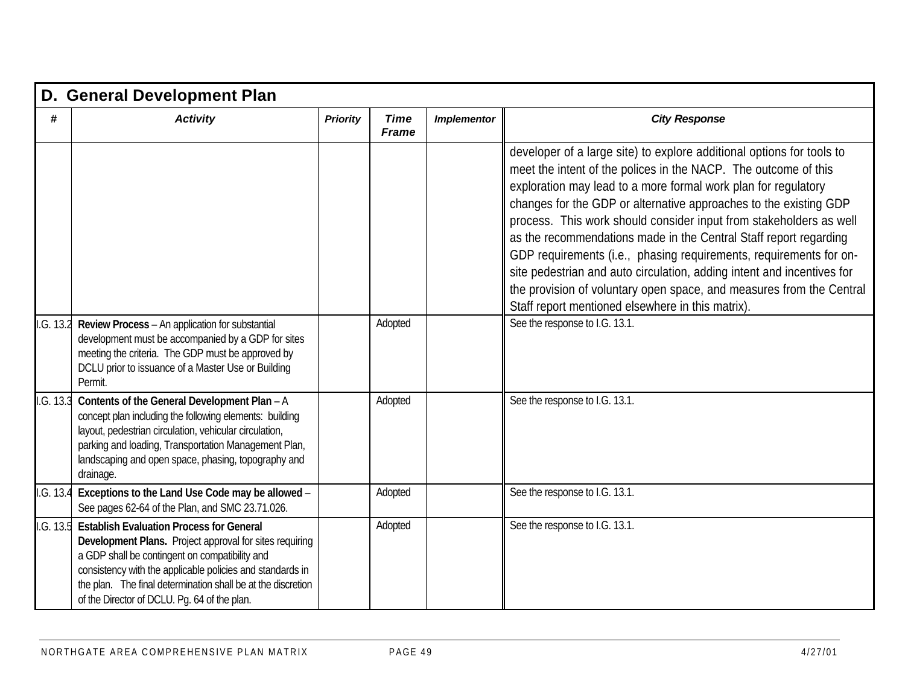|           | D. General Development Plan                                                                                                                                                                                                                                                                                                               |                 |                             |                    |                                                                                                                                                                                                                                                                                                                                                                                                                                                                                                                                                                                                                                                                                                                                           |  |  |  |
|-----------|-------------------------------------------------------------------------------------------------------------------------------------------------------------------------------------------------------------------------------------------------------------------------------------------------------------------------------------------|-----------------|-----------------------------|--------------------|-------------------------------------------------------------------------------------------------------------------------------------------------------------------------------------------------------------------------------------------------------------------------------------------------------------------------------------------------------------------------------------------------------------------------------------------------------------------------------------------------------------------------------------------------------------------------------------------------------------------------------------------------------------------------------------------------------------------------------------------|--|--|--|
| #         | <b>Activity</b>                                                                                                                                                                                                                                                                                                                           | <b>Priority</b> | <b>Time</b><br><b>Frame</b> | <b>Implementor</b> | <b>City Response</b>                                                                                                                                                                                                                                                                                                                                                                                                                                                                                                                                                                                                                                                                                                                      |  |  |  |
|           |                                                                                                                                                                                                                                                                                                                                           |                 | Adopted                     |                    | developer of a large site) to explore additional options for tools to<br>meet the intent of the polices in the NACP. The outcome of this<br>exploration may lead to a more formal work plan for regulatory<br>changes for the GDP or alternative approaches to the existing GDP<br>process. This work should consider input from stakeholders as well<br>as the recommendations made in the Central Staff report regarding<br>GDP requirements (i.e., phasing requirements, requirements for on-<br>site pedestrian and auto circulation, adding intent and incentives for<br>the provision of voluntary open space, and measures from the Central<br>Staff report mentioned elsewhere in this matrix).<br>See the response to I.G. 13.1. |  |  |  |
| I.G. 13.2 | Review Process - An application for substantial<br>development must be accompanied by a GDP for sites<br>meeting the criteria. The GDP must be approved by<br>DCLU prior to issuance of a Master Use or Building<br>Permit.                                                                                                               |                 |                             |                    |                                                                                                                                                                                                                                                                                                                                                                                                                                                                                                                                                                                                                                                                                                                                           |  |  |  |
| I.G. 13.3 | Contents of the General Development Plan - A<br>concept plan including the following elements: building<br>layout, pedestrian circulation, vehicular circulation,<br>parking and loading, Transportation Management Plan,<br>landscaping and open space, phasing, topography and<br>drainage.                                             |                 | Adopted                     |                    | See the response to I.G. 13.1.                                                                                                                                                                                                                                                                                                                                                                                                                                                                                                                                                                                                                                                                                                            |  |  |  |
| I.G. 13.4 | Exceptions to the Land Use Code may be allowed -<br>See pages 62-64 of the Plan, and SMC 23.71.026.                                                                                                                                                                                                                                       |                 | Adopted                     |                    | See the response to I.G. 13.1.                                                                                                                                                                                                                                                                                                                                                                                                                                                                                                                                                                                                                                                                                                            |  |  |  |
| I.G. 13.5 | <b>Establish Evaluation Process for General</b><br>Development Plans. Project approval for sites requiring<br>a GDP shall be contingent on compatibility and<br>consistency with the applicable policies and standards in<br>the plan. The final determination shall be at the discretion<br>of the Director of DCLU. Pq. 64 of the plan. |                 | Adopted                     |                    | See the response to I.G. 13.1.                                                                                                                                                                                                                                                                                                                                                                                                                                                                                                                                                                                                                                                                                                            |  |  |  |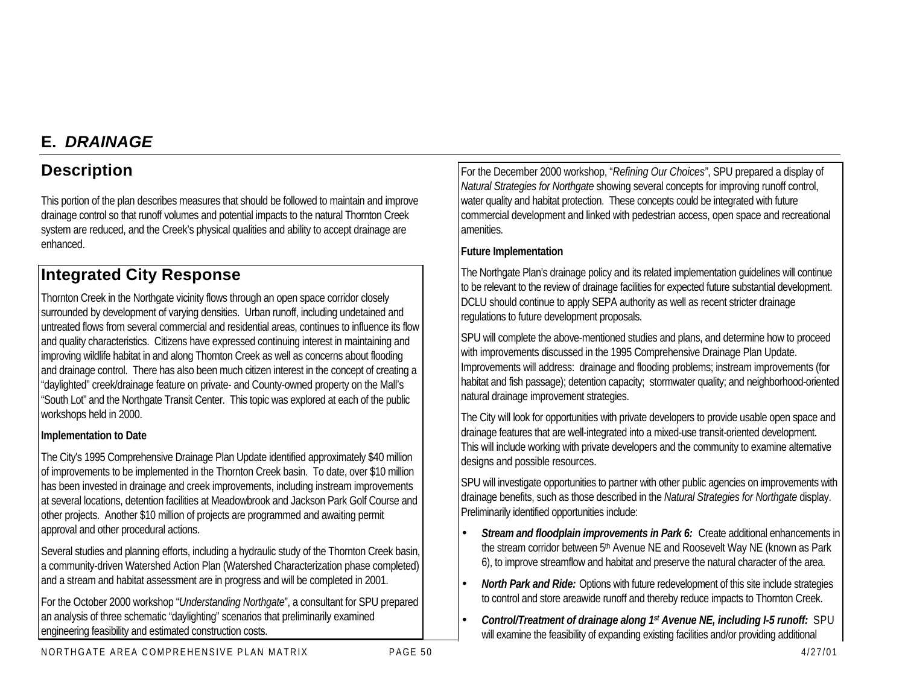## **E.** *DRAINAGE*

## **Description**

This portion of the plan describes measures that should be followed to maintain and improve drainage control so that runoff volumes and potential impacts to the natural Thornton Creek system are reduced, and the Creek's physical qualities and ability to accept drainage are enhanced.

## **Integrated City Response**

Thornton Creek in the Northgate vicinity flows through an open space corridor closely surrounded by development of varying densities. Urban runoff, including undetained and untreated flows from several commercial and residential areas, continues to influence its flow and quality characteristics. Citizens have expressed continuing interest in maintaining and improving wildlife habitat in and along Thornton Creek as well as concerns about flooding and drainage control. There has also been much citizen interest in the concept of creating a "daylighted" creek/drainage feature on private- and County-owned property on the Mall's "South Lot" and the Northgate Transit Center. This topic was explored at each of the public workshops held in 2000.

#### **Implementation to Date**

The City's 1995 Comprehensive Drainage Plan Update identified approximately \$40 million of improvements to be implemented in the Thornton Creek basin. To date, over \$10 million has been invested in drainage and creek improvements, including instream improvements at several locations, detention facilities at Meadowbrook and Jackson Park Golf Course and other projects. Another \$10 million of projects are programmed and awaiting permit approval and other procedural actions.

Several studies and planning efforts, including a hydraulic study of the Thornton Creek basin, a community-driven Watershed Action Plan (Watershed Characterization phase completed) and a stream and habitat assessment are in progress and will be completed in 2001.

For the October 2000 workshop "*Understanding Northgate*", a consultant for SPU prepared an analysis of three schematic "daylighting" scenarios that preliminarily examined engineering feasibility and estimated construction costs.

For the December 2000 workshop, "*Refining Our Choices"*, SPU prepared a display of *Natural Strategies for Northgate* showing several concepts for improving runoff control, water quality and habitat protection. These concepts could be integrated with future commercial development and linked with pedestrian access, open space and recreational amenities.

#### **Future Implementation**

The Northgate Plan's drainage policy and its related implementation guidelines will continue to be relevant to the review of drainage facilities for expected future substantial development. DCLU should continue to apply SEPA authority as well as recent stricter drainage regulations to future development proposals.

SPU will complete the above-mentioned studies and plans, and determine how to proceed with improvements discussed in the 1995 Comprehensive Drainage Plan Update. Improvements will address: drainage and flooding problems; instream improvements (for habitat and fish passage); detention capacity; stormwater quality; and neighborhood-oriented natural drainage improvement strategies.

The City will look for opportunities with private developers to provide usable open space and drainage features that are well-integrated into a mixed-use transit-oriented development. This will include working with private developers and the community to examine alternative designs and possible resources.

SPU will investigate opportunities to partner with other public agencies on improvements with drainage benefits, such as those described in the *Natural Strategies for Northgate* display. Preliminarily identified opportunities include:

- *Stream and floodplain improvements in Park 6:*Create additional enhancements in the stream corridor between 5<sup>th</sup> Avenue NE and Roosevelt Way NE (known as Park 6), to improve streamflow and habitat and preserve the natural character of the area.
- *North Park and Ride:* Options with future redevelopment of this site include strategies to control and store areawide runoff and thereby reduce impacts to Thornton Creek.
- *Control/Treatment of drainage along 1st Avenue NE, including I-5 runoff:* SPU will examine the feasibility of expanding existing facilities and/or providing additional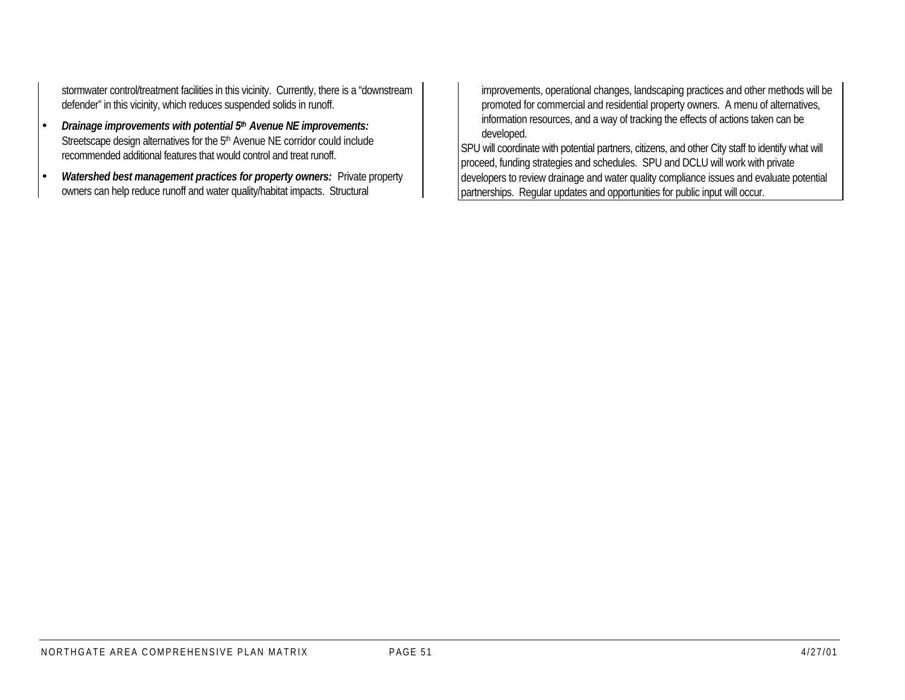stormwater control/treatment facilities in this vicinity. Currently, there is a "downstream defender" in this vicinity, which reduces suspended solids in runoff.

- *Drainage improvements with potential 5th Avenue NE improvements:* Streetscape design alternatives for the 5<sup>th</sup> Avenue NE corridor could include recommended additional features that would control and treat runoff.
- *Watershed best management practices for property owners:* Private property owners can help reduce runoff and water quality/habitat impacts. Structural

improvements, operational changes, landscaping practices and other methods will be promoted for commercial and residential property owners. A menu of alternatives, information resources, and a way of tracking the effects of actions taken can be developed.

SPU will coordinate with potential partners, citizens, and other City staff to identify what will proceed, funding strategies and schedules. SPU and DCLU will work with private developers to review drainage and water quality compliance issues and evaluate potential partnerships. Regular updates and opportunities for public input will occur.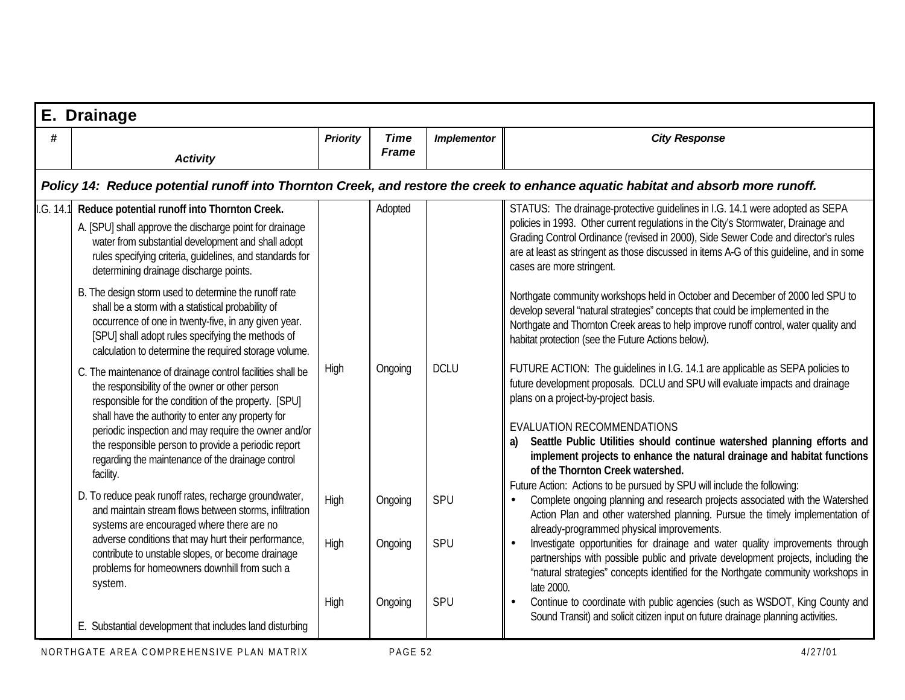|           | E. Drainage                                                                                                                                                                                                                                                                                                                                                                                                  |                 |                             |                    |                                                                                                                                                                                                                                                                                                                                                                                                                                                                                                                  |  |  |  |  |
|-----------|--------------------------------------------------------------------------------------------------------------------------------------------------------------------------------------------------------------------------------------------------------------------------------------------------------------------------------------------------------------------------------------------------------------|-----------------|-----------------------------|--------------------|------------------------------------------------------------------------------------------------------------------------------------------------------------------------------------------------------------------------------------------------------------------------------------------------------------------------------------------------------------------------------------------------------------------------------------------------------------------------------------------------------------------|--|--|--|--|
| #         | <b>Activity</b>                                                                                                                                                                                                                                                                                                                                                                                              | <b>Priority</b> | <b>Time</b><br><b>Frame</b> | <b>Implementor</b> | <b>City Response</b>                                                                                                                                                                                                                                                                                                                                                                                                                                                                                             |  |  |  |  |
|           |                                                                                                                                                                                                                                                                                                                                                                                                              |                 |                             |                    | Policy 14: Reduce potential runoff into Thornton Creek, and restore the creek to enhance aquatic habitat and absorb more runoff.                                                                                                                                                                                                                                                                                                                                                                                 |  |  |  |  |
| I.G. 14.1 | Reduce potential runoff into Thornton Creek.<br>A. [SPU] shall approve the discharge point for drainage<br>water from substantial development and shall adopt<br>rules specifying criteria, guidelines, and standards for<br>determining drainage discharge points.                                                                                                                                          |                 | Adopted                     |                    | STATUS: The drainage-protective guidelines in I.G. 14.1 were adopted as SEPA<br>policies in 1993. Other current regulations in the City's Stormwater, Drainage and<br>Grading Control Ordinance (revised in 2000), Side Sewer Code and director's rules<br>are at least as stringent as those discussed in items A-G of this quideline, and in some<br>cases are more stringent.                                                                                                                                 |  |  |  |  |
|           | B. The design storm used to determine the runoff rate<br>shall be a storm with a statistical probability of<br>occurrence of one in twenty-five, in any given year.<br>[SPU] shall adopt rules specifying the methods of<br>calculation to determine the required storage volume.                                                                                                                            |                 |                             |                    | Northgate community workshops held in October and December of 2000 led SPU to<br>develop several "natural strategies" concepts that could be implemented in the<br>Northgate and Thornton Creek areas to help improve runoff control, water quality and<br>habitat protection (see the Future Actions below).                                                                                                                                                                                                    |  |  |  |  |
|           | C. The maintenance of drainage control facilities shall be<br>the responsibility of the owner or other person<br>responsible for the condition of the property. [SPU]<br>shall have the authority to enter any property for<br>periodic inspection and may require the owner and/or<br>the responsible person to provide a periodic report<br>regarding the maintenance of the drainage control<br>facility. | High            | Ongoing                     | <b>DCLU</b>        | FUTURE ACTION: The quidelines in I.G. 14.1 are applicable as SEPA policies to<br>future development proposals. DCLU and SPU will evaluate impacts and drainage<br>plans on a project-by-project basis.<br>EVALUATION RECOMMENDATIONS<br>Seattle Public Utilities should continue watershed planning efforts and<br>a)<br>implement projects to enhance the natural drainage and habitat functions<br>of the Thornton Creek watershed.<br>Future Action: Actions to be pursued by SPU will include the following: |  |  |  |  |
|           | D. To reduce peak runoff rates, recharge groundwater,<br>and maintain stream flows between storms, infiltration<br>systems are encouraged where there are no                                                                                                                                                                                                                                                 | High            | Ongoing                     | SPU                | Complete ongoing planning and research projects associated with the Watershed<br>Action Plan and other watershed planning. Pursue the timely implementation of<br>already-programmed physical improvements.                                                                                                                                                                                                                                                                                                      |  |  |  |  |
|           | adverse conditions that may hurt their performance,<br>contribute to unstable slopes, or become drainage<br>problems for homeowners downhill from such a<br>system.                                                                                                                                                                                                                                          | High<br>High    | Ongoing<br>Ongoing          | SPU<br>SPU         | Investigate opportunities for drainage and water quality improvements through<br>partnerships with possible public and private development projects, including the<br>"natural strategies" concepts identified for the Northgate community workshops in<br>late 2000.<br>Continue to coordinate with public agencies (such as WSDOT, King County and                                                                                                                                                             |  |  |  |  |
|           | E. Substantial development that includes land disturbing                                                                                                                                                                                                                                                                                                                                                     |                 |                             |                    | Sound Transit) and solicit citizen input on future drainage planning activities.                                                                                                                                                                                                                                                                                                                                                                                                                                 |  |  |  |  |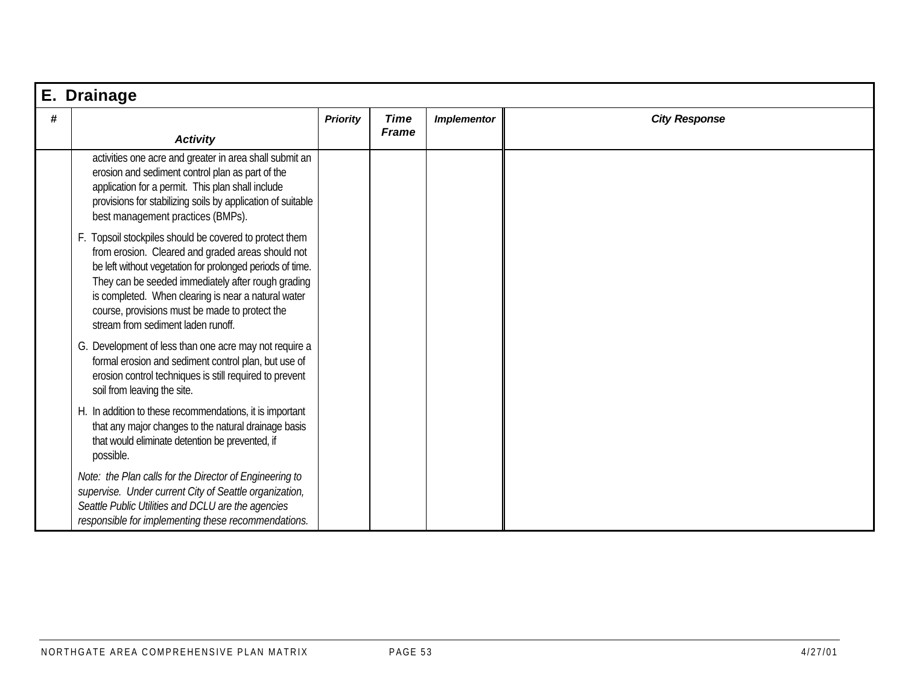|   | E. Drainage                                                                                                                                                                                                                                                                                                                                                                    |                 |                             |                    |                      |  |  |  |  |
|---|--------------------------------------------------------------------------------------------------------------------------------------------------------------------------------------------------------------------------------------------------------------------------------------------------------------------------------------------------------------------------------|-----------------|-----------------------------|--------------------|----------------------|--|--|--|--|
| # | <b>Activity</b>                                                                                                                                                                                                                                                                                                                                                                | <b>Priority</b> | <b>Time</b><br><b>Frame</b> | <b>Implementor</b> | <b>City Response</b> |  |  |  |  |
|   | activities one acre and greater in area shall submit an<br>erosion and sediment control plan as part of the<br>application for a permit. This plan shall include<br>provisions for stabilizing soils by application of suitable<br>best management practices (BMPs).                                                                                                           |                 |                             |                    |                      |  |  |  |  |
|   | F. Topsoil stockpiles should be covered to protect them<br>from erosion. Cleared and graded areas should not<br>be left without vegetation for prolonged periods of time.<br>They can be seeded immediately after rough grading<br>is completed. When clearing is near a natural water<br>course, provisions must be made to protect the<br>stream from sediment laden runoff. |                 |                             |                    |                      |  |  |  |  |
|   | G. Development of less than one acre may not require a<br>formal erosion and sediment control plan, but use of<br>erosion control techniques is still required to prevent<br>soil from leaving the site.                                                                                                                                                                       |                 |                             |                    |                      |  |  |  |  |
|   | H. In addition to these recommendations, it is important<br>that any major changes to the natural drainage basis<br>that would eliminate detention be prevented, if<br>possible.                                                                                                                                                                                               |                 |                             |                    |                      |  |  |  |  |
|   | Note: the Plan calls for the Director of Engineering to<br>supervise. Under current City of Seattle organization,<br>Seattle Public Utilities and DCLU are the agencies<br>responsible for implementing these recommendations.                                                                                                                                                 |                 |                             |                    |                      |  |  |  |  |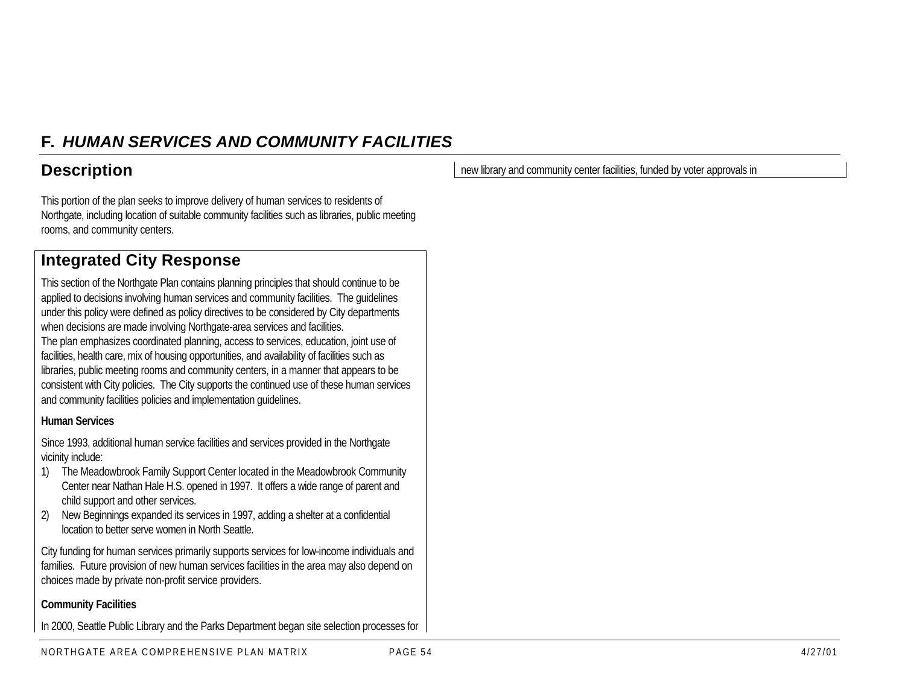## **F.** *HUMAN SERVICES AND COMMUNITY FACILITIES*

## **Description**

This portion of the plan seeks to improve delivery of human services to residents of Northgate, including location of suitable community facilities such as libraries, public meeting rooms, and community centers.

## **Integrated City Response**

This section of the Northgate Plan contains planning principles that should continue to be applied to decisions involving human services and community facilities. The guidelines under this policy were defined as policy directives to be considered by City departments when decisions are made involving Northgate-area services and facilities. The plan emphasizes coordinated planning, access to services, education, joint use of facilities, health care, mix of housing opportunities, and availability of facilities such as libraries, public meeting rooms and community centers, in a manner that appears to be consistent with City policies. The City supports the continued use of these human services and community facilities policies and implementation guidelines.

#### **Human Services**

Since 1993, additional human service facilities and services provided in the Northgate vicinity include:

- 1) The Meadowbrook Family Support Center located in the Meadowbrook Community Center near Nathan Hale H.S. opened in 1997. It offers a wide range of parent and child support and other services.
- 2) New Beginnings expanded its services in 1997, adding a shelter at a confidential location to better serve women in North Seattle.

City funding for human services primarily supports services for low-income individuals and families. Future provision of new human services facilities in the area may also depend on choices made by private non-profit service providers.

#### **Community Facilities**

In 2000, Seattle Public Library and the Parks Department began site selection processes for

NORTHGATE AREA COMPREHENSIVE PLAN MATRIX PAGE 54 6 4/27/01

new library and community center facilities, funded by voter approvals in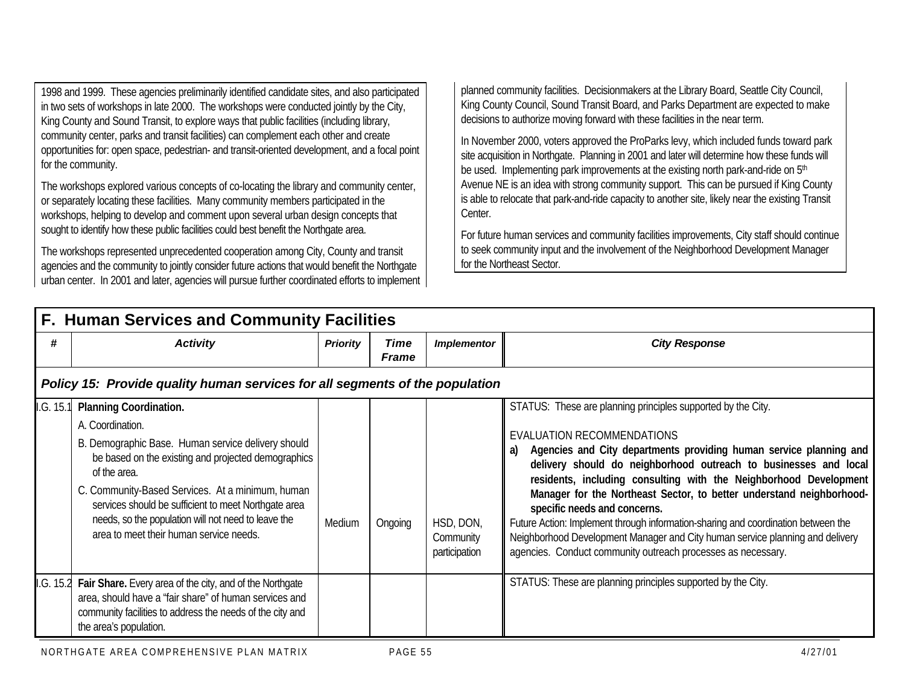1998 and 1999. These agencies preliminarily identified candidate sites, and also participated in two sets of workshops in late 2000. The workshops were conducted jointly by the City, King County and Sound Transit, to explore ways that public facilities (including library, community center, parks and transit facilities) can complement each other and create opportunities for: open space, pedestrian- and transit-oriented development, and a focal point for the community.

The workshops explored various concepts of co-locating the library and community center, or separately locating these facilities. Many community members participated in the workshops, helping to develop and comment upon several urban design concepts that sought to identify how these public facilities could best benefit the Northgate area.

The workshops represented unprecedented cooperation among City, County and transit agencies and the community to jointly consider future actions that would benefit the Northgate urban center. In 2001 and later, agencies will pursue further coordinated efforts to implement planned community facilities. Decisionmakers at the Library Board, Seattle City Council, King County Council, Sound Transit Board, and Parks Department are expected to make decisions to authorize moving forward with these facilities in the near term.

In November 2000, voters approved the ProParks levy, which included funds toward park site acquisition in Northgate. Planning in 2001 and later will determine how these funds will be used. Implementing park improvements at the existing north park-and-ride on 5<sup>th</sup> Avenue NE is an idea with strong community support. This can be pursued if King County is able to relocate that park-and-ride capacity to another site, likely near the existing Transit Center.

For future human services and community facilities improvements, City staff should continue to seek community input and the involvement of the Neighborhood Development Manager for the Northeast Sector.

|           | F. Human Services and Community Facilities                                                                                                                                                                                                                                                                                                                                                   |                 |                      |                                         |                                                                                                                                                                                                                                                                                                                                                                                                                                                                                                                                                                                                                                                                      |  |  |  |  |  |  |
|-----------|----------------------------------------------------------------------------------------------------------------------------------------------------------------------------------------------------------------------------------------------------------------------------------------------------------------------------------------------------------------------------------------------|-----------------|----------------------|-----------------------------------------|----------------------------------------------------------------------------------------------------------------------------------------------------------------------------------------------------------------------------------------------------------------------------------------------------------------------------------------------------------------------------------------------------------------------------------------------------------------------------------------------------------------------------------------------------------------------------------------------------------------------------------------------------------------------|--|--|--|--|--|--|
| #         | <b>Activity</b>                                                                                                                                                                                                                                                                                                                                                                              | <b>Priority</b> | Time<br><b>Frame</b> | <b>Implementor</b>                      | <b>City Response</b>                                                                                                                                                                                                                                                                                                                                                                                                                                                                                                                                                                                                                                                 |  |  |  |  |  |  |
|           | Policy 15: Provide quality human services for all segments of the population                                                                                                                                                                                                                                                                                                                 |                 |                      |                                         |                                                                                                                                                                                                                                                                                                                                                                                                                                                                                                                                                                                                                                                                      |  |  |  |  |  |  |
| I.G. 15.1 | <b>Planning Coordination.</b><br>A. Coordination.<br>B. Demographic Base. Human service delivery should<br>be based on the existing and projected demographics<br>of the area.<br>C. Community-Based Services. At a minimum, human<br>services should be sufficient to meet Northgate area<br>needs, so the population will not need to leave the<br>area to meet their human service needs. | Medium          | Ongoing              | HSD, DON,<br>Community<br>participation | STATUS: These are planning principles supported by the City.<br><b>EVALUATION RECOMMENDATIONS</b><br>Agencies and City departments providing human service planning and<br>a)<br>delivery should do neighborhood outreach to businesses and local<br>residents, including consulting with the Neighborhood Development<br>Manager for the Northeast Sector, to better understand neighborhood-<br>specific needs and concerns.<br>Future Action: Implement through information-sharing and coordination between the<br>Neighborhood Development Manager and City human service planning and delivery<br>agencies. Conduct community outreach processes as necessary. |  |  |  |  |  |  |
| I.G. 15.2 | Fair Share. Every area of the city, and of the Northgate<br>area, should have a "fair share" of human services and<br>community facilities to address the needs of the city and<br>the area's population.                                                                                                                                                                                    |                 |                      |                                         | STATUS: These are planning principles supported by the City.                                                                                                                                                                                                                                                                                                                                                                                                                                                                                                                                                                                                         |  |  |  |  |  |  |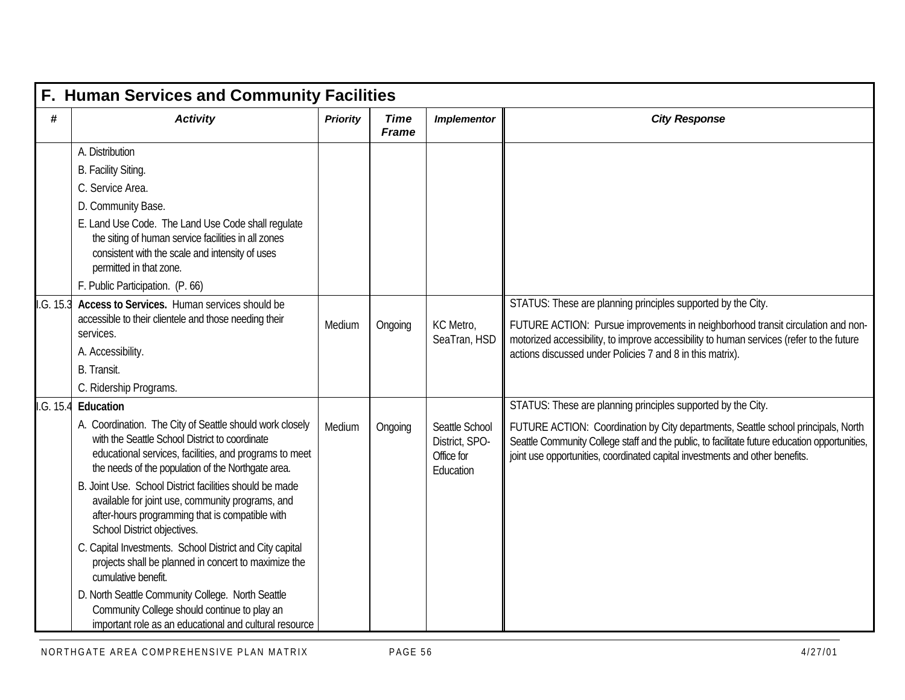|           | F. Human Services and Community Facilities                                                                                                                                                                                 |                 |                             |                                                             |                                                                                                                                                                                                                                                                    |  |  |  |  |  |
|-----------|----------------------------------------------------------------------------------------------------------------------------------------------------------------------------------------------------------------------------|-----------------|-----------------------------|-------------------------------------------------------------|--------------------------------------------------------------------------------------------------------------------------------------------------------------------------------------------------------------------------------------------------------------------|--|--|--|--|--|
| #         | <b>Activity</b>                                                                                                                                                                                                            | <b>Priority</b> | <b>Time</b><br><b>Frame</b> | <b>Implementor</b>                                          | <b>City Response</b>                                                                                                                                                                                                                                               |  |  |  |  |  |
|           | A. Distribution                                                                                                                                                                                                            |                 |                             |                                                             |                                                                                                                                                                                                                                                                    |  |  |  |  |  |
|           | B. Facility Siting.                                                                                                                                                                                                        |                 |                             |                                                             |                                                                                                                                                                                                                                                                    |  |  |  |  |  |
|           | C. Service Area.                                                                                                                                                                                                           |                 |                             |                                                             |                                                                                                                                                                                                                                                                    |  |  |  |  |  |
|           | D. Community Base.                                                                                                                                                                                                         |                 |                             |                                                             |                                                                                                                                                                                                                                                                    |  |  |  |  |  |
|           | E. Land Use Code. The Land Use Code shall regulate<br>the siting of human service facilities in all zones<br>consistent with the scale and intensity of uses<br>permitted in that zone.                                    |                 |                             |                                                             |                                                                                                                                                                                                                                                                    |  |  |  |  |  |
|           | F. Public Participation. (P. 66)                                                                                                                                                                                           |                 |                             |                                                             |                                                                                                                                                                                                                                                                    |  |  |  |  |  |
| I.G. 15.3 | Access to Services. Human services should be                                                                                                                                                                               |                 |                             |                                                             | STATUS: These are planning principles supported by the City.                                                                                                                                                                                                       |  |  |  |  |  |
|           | accessible to their clientele and those needing their<br>services.                                                                                                                                                         | Medium          | Ongoing                     | KC Metro,<br>SeaTran, HSD                                   | FUTURE ACTION: Pursue improvements in neighborhood transit circulation and non-                                                                                                                                                                                    |  |  |  |  |  |
|           | A. Accessibility.                                                                                                                                                                                                          |                 |                             |                                                             | motorized accessibility, to improve accessibility to human services (refer to the future<br>actions discussed under Policies 7 and 8 in this matrix).                                                                                                              |  |  |  |  |  |
|           | B. Transit.                                                                                                                                                                                                                |                 |                             |                                                             |                                                                                                                                                                                                                                                                    |  |  |  |  |  |
|           | C. Ridership Programs.                                                                                                                                                                                                     |                 |                             |                                                             |                                                                                                                                                                                                                                                                    |  |  |  |  |  |
| I.G. 15.4 | Education                                                                                                                                                                                                                  |                 |                             |                                                             | STATUS: These are planning principles supported by the City.                                                                                                                                                                                                       |  |  |  |  |  |
|           | A. Coordination. The City of Seattle should work closely<br>with the Seattle School District to coordinate<br>educational services, facilities, and programs to meet<br>the needs of the population of the Northgate area. | Medium          | Ongoing                     | Seattle School<br>District, SPO-<br>Office for<br>Education | FUTURE ACTION: Coordination by City departments, Seattle school principals, North<br>Seattle Community College staff and the public, to facilitate future education opportunities,<br>joint use opportunities, coordinated capital investments and other benefits. |  |  |  |  |  |
|           | B. Joint Use. School District facilities should be made<br>available for joint use, community programs, and<br>after-hours programming that is compatible with<br>School District objectives.                              |                 |                             |                                                             |                                                                                                                                                                                                                                                                    |  |  |  |  |  |
|           | C. Capital Investments. School District and City capital<br>projects shall be planned in concert to maximize the<br>cumulative benefit.                                                                                    |                 |                             |                                                             |                                                                                                                                                                                                                                                                    |  |  |  |  |  |
|           | D. North Seattle Community College. North Seattle<br>Community College should continue to play an<br>important role as an educational and cultural resource                                                                |                 |                             |                                                             |                                                                                                                                                                                                                                                                    |  |  |  |  |  |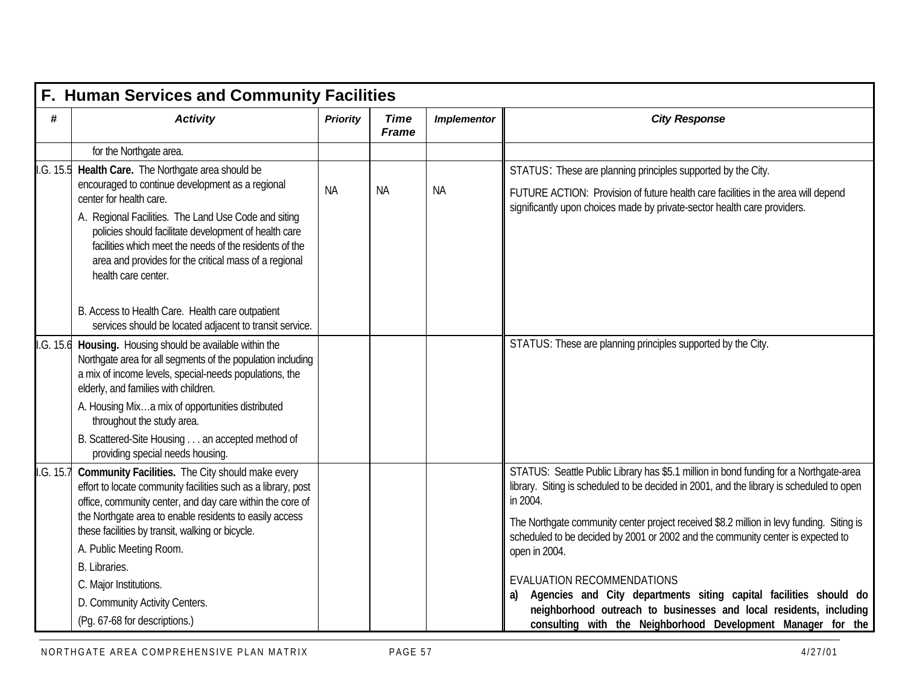|           | F. Human Services and Community Facilities                                                                                                                                                                                                               |                 |                             |                    |                                                                                                                                                                                               |  |  |  |  |
|-----------|----------------------------------------------------------------------------------------------------------------------------------------------------------------------------------------------------------------------------------------------------------|-----------------|-----------------------------|--------------------|-----------------------------------------------------------------------------------------------------------------------------------------------------------------------------------------------|--|--|--|--|
| #         | <b>Activity</b>                                                                                                                                                                                                                                          | <b>Priority</b> | <b>Time</b><br><b>Frame</b> | <b>Implementor</b> | <b>City Response</b>                                                                                                                                                                          |  |  |  |  |
|           | for the Northgate area.                                                                                                                                                                                                                                  |                 |                             |                    |                                                                                                                                                                                               |  |  |  |  |
| I.G. 15.5 | Health Care. The Northgate area should be                                                                                                                                                                                                                |                 |                             |                    | STATUS: These are planning principles supported by the City.                                                                                                                                  |  |  |  |  |
|           | encouraged to continue development as a regional<br>center for health care.                                                                                                                                                                              | <b>NA</b>       | <b>NA</b>                   | <b>NA</b>          | FUTURE ACTION: Provision of future health care facilities in the area will depend<br>significantly upon choices made by private-sector health care providers.                                 |  |  |  |  |
|           | A. Regional Facilities. The Land Use Code and siting<br>policies should facilitate development of health care<br>facilities which meet the needs of the residents of the<br>area and provides for the critical mass of a regional<br>health care center. |                 |                             |                    |                                                                                                                                                                                               |  |  |  |  |
|           | B. Access to Health Care. Health care outpatient<br>services should be located adjacent to transit service.                                                                                                                                              |                 |                             |                    |                                                                                                                                                                                               |  |  |  |  |
| I.G. 15.6 | Housing. Housing should be available within the<br>Northgate area for all segments of the population including<br>a mix of income levels, special-needs populations, the<br>elderly, and families with children.                                         |                 |                             |                    | STATUS: These are planning principles supported by the City.                                                                                                                                  |  |  |  |  |
|           | A. Housing Mixa mix of opportunities distributed<br>throughout the study area.                                                                                                                                                                           |                 |                             |                    |                                                                                                                                                                                               |  |  |  |  |
|           | B. Scattered-Site Housing an accepted method of<br>providing special needs housing.                                                                                                                                                                      |                 |                             |                    |                                                                                                                                                                                               |  |  |  |  |
| I.G. 15.7 | Community Facilities. The City should make every<br>effort to locate community facilities such as a library, post<br>office, community center, and day care within the core of                                                                           |                 |                             |                    | STATUS: Seattle Public Library has \$5.1 million in bond funding for a Northgate-area<br>library. Siting is scheduled to be decided in 2001, and the library is scheduled to open<br>in 2004. |  |  |  |  |
|           | the Northgate area to enable residents to easily access<br>these facilities by transit, walking or bicycle.                                                                                                                                              |                 |                             |                    | The Northgate community center project received \$8.2 million in levy funding. Siting is<br>scheduled to be decided by 2001 or 2002 and the community center is expected to                   |  |  |  |  |
|           | A. Public Meeting Room.                                                                                                                                                                                                                                  |                 |                             |                    | open in 2004.                                                                                                                                                                                 |  |  |  |  |
|           | B. Libraries.                                                                                                                                                                                                                                            |                 |                             |                    | <b>EVALUATION RECOMMENDATIONS</b>                                                                                                                                                             |  |  |  |  |
|           | C. Major Institutions.                                                                                                                                                                                                                                   |                 |                             |                    | Agencies and City departments siting capital facilities should do<br>a)                                                                                                                       |  |  |  |  |
|           | D. Community Activity Centers.                                                                                                                                                                                                                           |                 |                             |                    | neighborhood outreach to businesses and local residents, including                                                                                                                            |  |  |  |  |
|           | (Pg. 67-68 for descriptions.)                                                                                                                                                                                                                            |                 |                             |                    | consulting with the Neighborhood Development Manager for the                                                                                                                                  |  |  |  |  |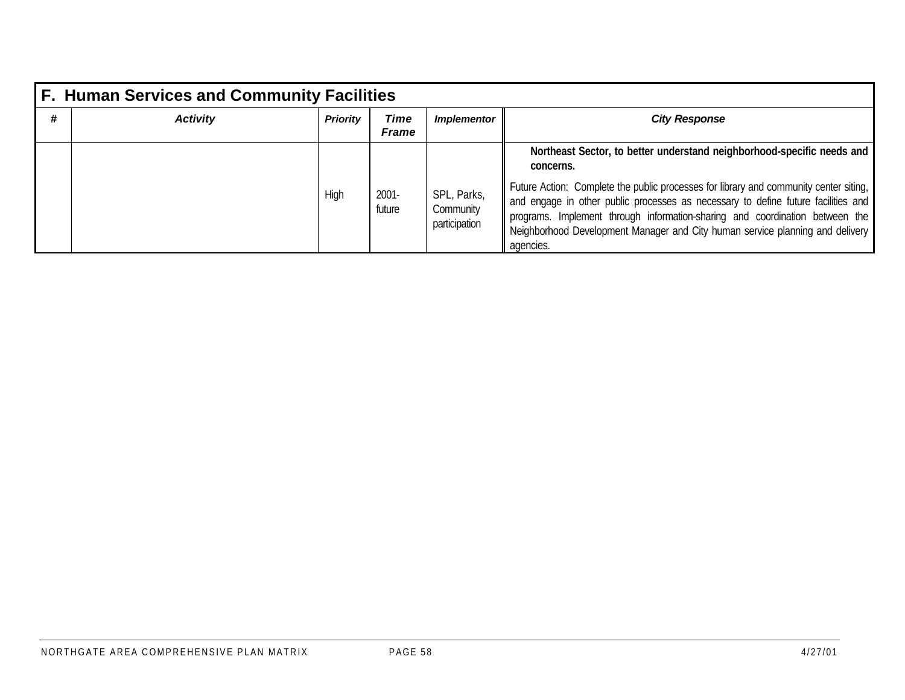|   | <b>F. Human Services and Community Facilities</b> |                 |                      |                                           |                                                                                                                                                                                                                                                                                                                                                          |  |  |  |  |
|---|---------------------------------------------------|-----------------|----------------------|-------------------------------------------|----------------------------------------------------------------------------------------------------------------------------------------------------------------------------------------------------------------------------------------------------------------------------------------------------------------------------------------------------------|--|--|--|--|
| # | <b>Activity</b>                                   | <b>Priority</b> | Time<br><b>Frame</b> | <i><b>Implementor</b></i>                 | <b>City Response</b>                                                                                                                                                                                                                                                                                                                                     |  |  |  |  |
|   |                                                   |                 |                      |                                           | Northeast Sector, to better understand neighborhood-specific needs and<br>concerns.                                                                                                                                                                                                                                                                      |  |  |  |  |
|   |                                                   | High            | $2001 -$<br>future   | SPL, Parks,<br>Community<br>participation | Future Action: Complete the public processes for library and community center siting,<br>and engage in other public processes as necessary to define future facilities and<br>programs. Implement through information-sharing and coordination between the<br>Neighborhood Development Manager and City human service planning and delivery<br>agencies. |  |  |  |  |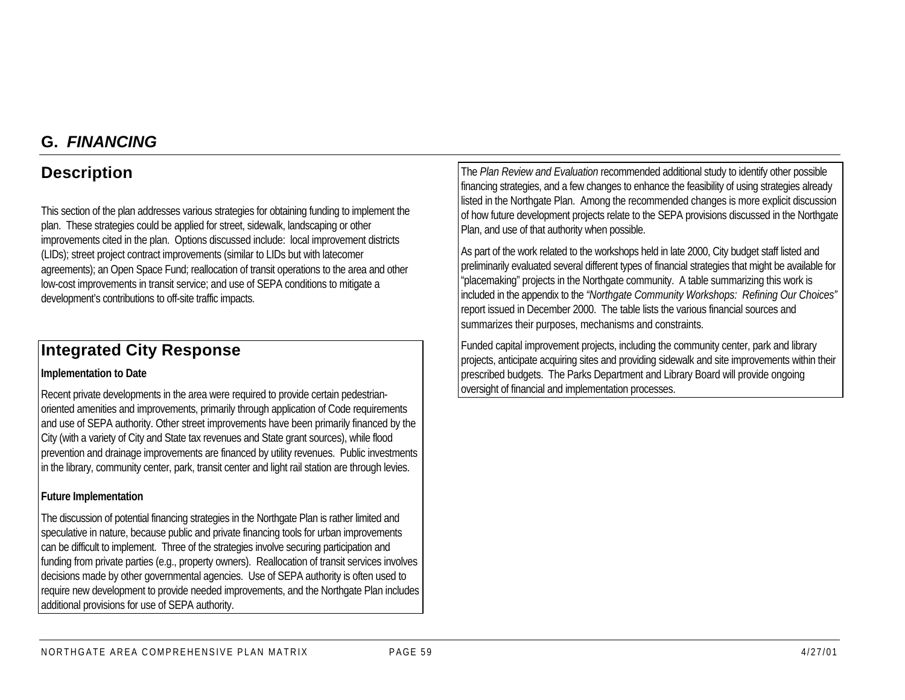## **G.** *FINANCING*

## **Description**

This section of the plan addresses various strategies for obtaining funding to implement the plan. These strategies could be applied for street, sidewalk, landscaping or other improvements cited in the plan. Options discussed include: local improvement districts (LIDs); street project contract improvements (similar to LIDs but with latecomer agreements); an Open Space Fund; reallocation of transit operations to the area and other low-cost improvements in transit service; and use of SEPA conditions to mitigate a development's contributions to off-site traffic impacts.

## **Integrated City Response**

#### **Implementation to Date**

Recent private developments in the area were required to provide certain pedestrianoriented amenities and improvements, primarily through application of Code requirements and use of SEPA authority. Other street improvements have been primarily financed by the City (with a variety of City and State tax revenues and State grant sources), while flood prevention and drainage improvements are financed by utility revenues. Public investments in the library, community center, park, transit center and light rail station are through levies.

#### **Future Implementation**

The discussion of potential financing strategies in the Northgate Plan is rather limited and speculative in nature, because public and private financing tools for urban improvements can be difficult to implement. Three of the strategies involve securing participation and funding from private parties (e.g., property owners). Reallocation of transit services involves decisions made by other governmental agencies. Use of SEPA authority is often used to require new development to provide needed improvements, and the Northgate Plan includes additional provisions for use of SEPA authority.

The *Plan Review and Evaluation* recommended additional study to identify other possible financing strategies, and a few changes to enhance the feasibility of using strategies already listed in the Northgate Plan. Among the recommended changes is more explicit discussion of how future development projects relate to the SEPA provisions discussed in the Northgate Plan, and use of that authority when possible.

As part of the work related to the workshops held in late 2000, City budget staff listed and preliminarily evaluated several different types of financial strategies that might be available for "placemaking" projects in the Northgate community. A table summarizing this work is included in the appendix to the *"Northgate Community Workshops: Refining Our Choices"* report issued in December 2000. The table lists the various financial sources and summarizes their purposes, mechanisms and constraints.

Funded capital improvement projects, including the community center, park and library projects, anticipate acquiring sites and providing sidewalk and site improvements within their prescribed budgets. The Parks Department and Library Board will provide ongoing oversight of financial and implementation processes.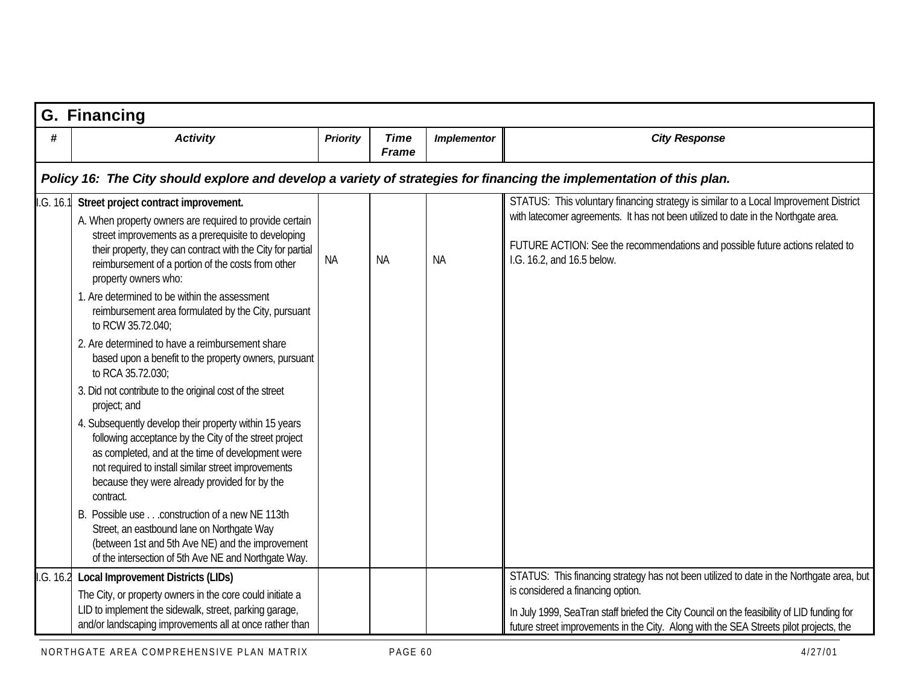|            | <b>G. Financing</b>                                                                                                                                                                                                                                                                                                                                                                                                                                                                                                                                                                                                                                                                                                                                                                                                                                                                                                                                                                                                                                                                                                                                     |                 |                             |                    |                                                                                                                                                                                                                                                                                                                       |  |  |  |  |  |
|------------|---------------------------------------------------------------------------------------------------------------------------------------------------------------------------------------------------------------------------------------------------------------------------------------------------------------------------------------------------------------------------------------------------------------------------------------------------------------------------------------------------------------------------------------------------------------------------------------------------------------------------------------------------------------------------------------------------------------------------------------------------------------------------------------------------------------------------------------------------------------------------------------------------------------------------------------------------------------------------------------------------------------------------------------------------------------------------------------------------------------------------------------------------------|-----------------|-----------------------------|--------------------|-----------------------------------------------------------------------------------------------------------------------------------------------------------------------------------------------------------------------------------------------------------------------------------------------------------------------|--|--|--|--|--|
| #          | <b>Activity</b>                                                                                                                                                                                                                                                                                                                                                                                                                                                                                                                                                                                                                                                                                                                                                                                                                                                                                                                                                                                                                                                                                                                                         | <b>Priority</b> | <b>Time</b><br><b>Frame</b> | <b>Implementor</b> | <b>City Response</b>                                                                                                                                                                                                                                                                                                  |  |  |  |  |  |
|            | Policy 16: The City should explore and develop a variety of strategies for financing the implementation of this plan.                                                                                                                                                                                                                                                                                                                                                                                                                                                                                                                                                                                                                                                                                                                                                                                                                                                                                                                                                                                                                                   |                 |                             |                    |                                                                                                                                                                                                                                                                                                                       |  |  |  |  |  |
| 1. G. 16.1 | Street project contract improvement.<br>A. When property owners are required to provide certain<br>street improvements as a prerequisite to developing<br>their property, they can contract with the City for partial<br>reimbursement of a portion of the costs from other<br>property owners who:<br>1. Are determined to be within the assessment<br>reimbursement area formulated by the City, pursuant<br>to RCW 35.72.040;<br>2. Are determined to have a reimbursement share<br>based upon a benefit to the property owners, pursuant<br>to RCA 35.72.030;<br>3. Did not contribute to the original cost of the street<br>project; and<br>4. Subsequently develop their property within 15 years<br>following acceptance by the City of the street project<br>as completed, and at the time of development were<br>not required to install similar street improvements<br>because they were already provided for by the<br>contract.<br>B. Possible use construction of a new NE 113th<br>Street, an eastbound lane on Northgate Way<br>(between 1st and 5th Ave NE) and the improvement<br>of the intersection of 5th Ave NE and Northgate Way. | <b>NA</b>       | <b>NA</b>                   | <b>NA</b>          | STATUS: This voluntary financing strategy is similar to a Local Improvement District<br>with latecomer agreements. It has not been utilized to date in the Northgate area.<br>FUTURE ACTION: See the recommendations and possible future actions related to<br>I.G. 16.2, and 16.5 below.                             |  |  |  |  |  |
| I.G. 16.2  | <b>Local Improvement Districts (LIDs)</b><br>The City, or property owners in the core could initiate a<br>LID to implement the sidewalk, street, parking garage,<br>and/or landscaping improvements all at once rather than                                                                                                                                                                                                                                                                                                                                                                                                                                                                                                                                                                                                                                                                                                                                                                                                                                                                                                                             |                 |                             |                    | STATUS: This financing strategy has not been utilized to date in the Northgate area, but<br>is considered a financing option.<br>In July 1999, SeaTran staff briefed the City Council on the feasibility of LID funding for<br>future street improvements in the City. Along with the SEA Streets pilot projects, the |  |  |  |  |  |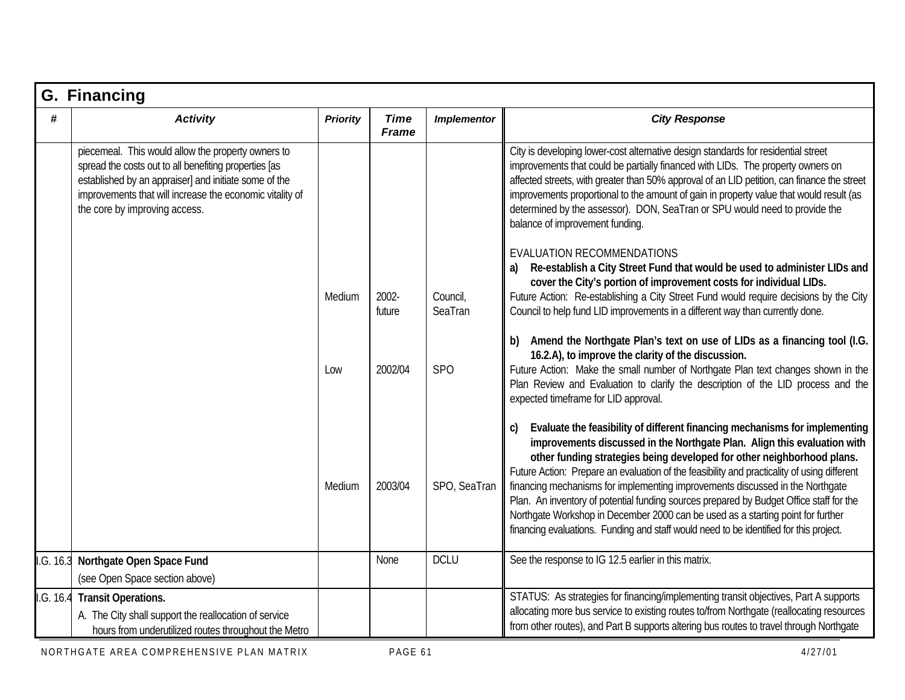|           | G. Financing                                                                                                                                                                                                                                                      |                 |                             |                     |                                                                                                                                                                                                                                                                                                                                                                                                                                                                                                                                                                                                                                                                                                 |  |  |  |  |
|-----------|-------------------------------------------------------------------------------------------------------------------------------------------------------------------------------------------------------------------------------------------------------------------|-----------------|-----------------------------|---------------------|-------------------------------------------------------------------------------------------------------------------------------------------------------------------------------------------------------------------------------------------------------------------------------------------------------------------------------------------------------------------------------------------------------------------------------------------------------------------------------------------------------------------------------------------------------------------------------------------------------------------------------------------------------------------------------------------------|--|--|--|--|
| #         | <b>Activity</b>                                                                                                                                                                                                                                                   | <b>Priority</b> | <b>Time</b><br><b>Frame</b> | <b>Implementor</b>  | <b>City Response</b>                                                                                                                                                                                                                                                                                                                                                                                                                                                                                                                                                                                                                                                                            |  |  |  |  |
|           | piecemeal. This would allow the property owners to<br>spread the costs out to all benefiting properties [as<br>established by an appraiser] and initiate some of the<br>improvements that will increase the economic vitality of<br>the core by improving access. |                 |                             |                     | City is developing lower-cost alternative design standards for residential street<br>improvements that could be partially financed with LIDs. The property owners on<br>affected streets, with greater than 50% approval of an LID petition, can finance the street<br>improvements proportional to the amount of gain in property value that would result (as<br>determined by the assessor). DON, SeaTran or SPU would need to provide the<br>balance of improvement funding.                                                                                                                                                                                                                 |  |  |  |  |
|           |                                                                                                                                                                                                                                                                   | Medium          | 2002-<br>future             | Council,<br>SeaTran | EVALUATION RECOMMENDATIONS<br>Re-establish a City Street Fund that would be used to administer LIDs and<br>cover the City's portion of improvement costs for individual LIDs.<br>Future Action: Re-establishing a City Street Fund would require decisions by the City<br>Council to help fund LID improvements in a different way than currently done.                                                                                                                                                                                                                                                                                                                                         |  |  |  |  |
|           |                                                                                                                                                                                                                                                                   | Low             | 2002/04                     | <b>SPO</b>          | b) Amend the Northgate Plan's text on use of LIDs as a financing tool (I.G.<br>16.2.A), to improve the clarity of the discussion.<br>Future Action: Make the small number of Northgate Plan text changes shown in the<br>Plan Review and Evaluation to clarify the description of the LID process and the<br>expected timeframe for LID approval.                                                                                                                                                                                                                                                                                                                                               |  |  |  |  |
|           |                                                                                                                                                                                                                                                                   | Medium          | 2003/04                     | SPO, SeaTran        | Evaluate the feasibility of different financing mechanisms for implementing<br>C)<br>improvements discussed in the Northgate Plan. Align this evaluation with<br>other funding strategies being developed for other neighborhood plans.<br>Future Action: Prepare an evaluation of the feasibility and practicality of using different<br>financing mechanisms for implementing improvements discussed in the Northgate<br>Plan. An inventory of potential funding sources prepared by Budget Office staff for the<br>Northgate Workshop in December 2000 can be used as a starting point for further<br>financing evaluations. Funding and staff would need to be identified for this project. |  |  |  |  |
| I.G. 16.3 | Northgate Open Space Fund<br>(see Open Space section above)                                                                                                                                                                                                       |                 | None                        | <b>DCLU</b>         | See the response to IG 12.5 earlier in this matrix.                                                                                                                                                                                                                                                                                                                                                                                                                                                                                                                                                                                                                                             |  |  |  |  |
|           | I.G. 16.4 Transit Operations.<br>A. The City shall support the reallocation of service<br>hours from underutilized routes throughout the Metro                                                                                                                    |                 |                             |                     | STATUS: As strategies for financing/implementing transit objectives, Part A supports<br>allocating more bus service to existing routes to/from Northgate (reallocating resources<br>from other routes), and Part B supports altering bus routes to travel through Northgate                                                                                                                                                                                                                                                                                                                                                                                                                     |  |  |  |  |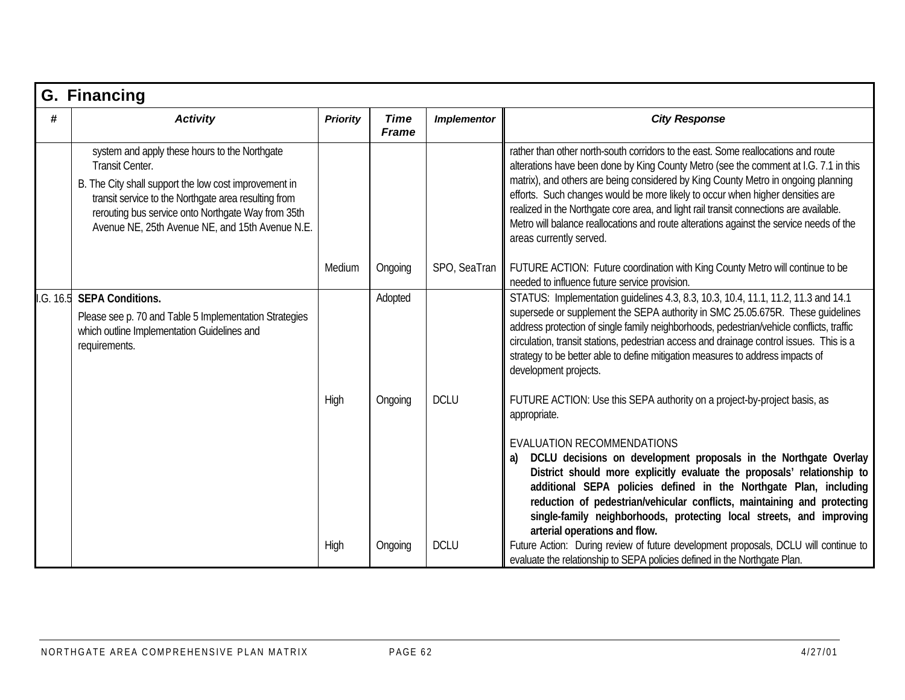| G. Financing |                                                                                                                                                                                                                                                                                            |                 |                             |                    |                                                                                                                                                                                                                                                                                                                                                                                                                                                                                                                                                                 |  |  |  |  |
|--------------|--------------------------------------------------------------------------------------------------------------------------------------------------------------------------------------------------------------------------------------------------------------------------------------------|-----------------|-----------------------------|--------------------|-----------------------------------------------------------------------------------------------------------------------------------------------------------------------------------------------------------------------------------------------------------------------------------------------------------------------------------------------------------------------------------------------------------------------------------------------------------------------------------------------------------------------------------------------------------------|--|--|--|--|
| #            | <b>Activity</b>                                                                                                                                                                                                                                                                            | <b>Priority</b> | <b>Time</b><br><b>Frame</b> | <b>Implementor</b> | <b>City Response</b>                                                                                                                                                                                                                                                                                                                                                                                                                                                                                                                                            |  |  |  |  |
|              | system and apply these hours to the Northgate<br>Transit Center.<br>B. The City shall support the low cost improvement in<br>transit service to the Northgate area resulting from<br>rerouting bus service onto Northgate Way from 35th<br>Avenue NE, 25th Avenue NE, and 15th Avenue N.E. |                 |                             |                    | rather than other north-south corridors to the east. Some reallocations and route<br>alterations have been done by King County Metro (see the comment at I.G. 7.1 in this<br>matrix), and others are being considered by King County Metro in ongoing planning<br>efforts. Such changes would be more likely to occur when higher densities are<br>realized in the Northgate core area, and light rail transit connections are available.<br>Metro will balance reallocations and route alterations against the service needs of the<br>areas currently served. |  |  |  |  |
|              |                                                                                                                                                                                                                                                                                            | Medium          | Ongoing                     | SPO, SeaTran       | FUTURE ACTION: Future coordination with King County Metro will continue to be<br>needed to influence future service provision.                                                                                                                                                                                                                                                                                                                                                                                                                                  |  |  |  |  |
| I.G. 16.5    | <b>SEPA Conditions.</b><br>Please see p. 70 and Table 5 Implementation Strategies<br>which outline Implementation Guidelines and<br>requirements.                                                                                                                                          |                 | Adopted                     |                    | STATUS: Implementation quidelines 4.3, 8.3, 10.3, 10.4, 11.1, 11.2, 11.3 and 14.1<br>supersede or supplement the SEPA authority in SMC 25.05.675R. These quidelines<br>address protection of single family neighborhoods, pedestrian/vehicle conflicts, traffic<br>circulation, transit stations, pedestrian access and drainage control issues. This is a<br>strategy to be better able to define mitigation measures to address impacts of<br>development projects.                                                                                           |  |  |  |  |
|              |                                                                                                                                                                                                                                                                                            | High            | Ongoing                     | <b>DCLU</b>        | FUTURE ACTION: Use this SEPA authority on a project-by-project basis, as<br>appropriate.                                                                                                                                                                                                                                                                                                                                                                                                                                                                        |  |  |  |  |
|              |                                                                                                                                                                                                                                                                                            |                 |                             |                    | <b>EVALUATION RECOMMENDATIONS</b><br>DCLU decisions on development proposals in the Northgate Overlay<br>District should more explicitly evaluate the proposals' relationship to<br>additional SEPA policies defined in the Northgate Plan, including<br>reduction of pedestrian/vehicular conflicts, maintaining and protecting<br>single-family neighborhoods, protecting local streets, and improving<br>arterial operations and flow.                                                                                                                       |  |  |  |  |
|              |                                                                                                                                                                                                                                                                                            | High            | Ongoing                     | <b>DCLU</b>        | Future Action: During review of future development proposals, DCLU will continue to<br>evaluate the relationship to SEPA policies defined in the Northgate Plan.                                                                                                                                                                                                                                                                                                                                                                                                |  |  |  |  |